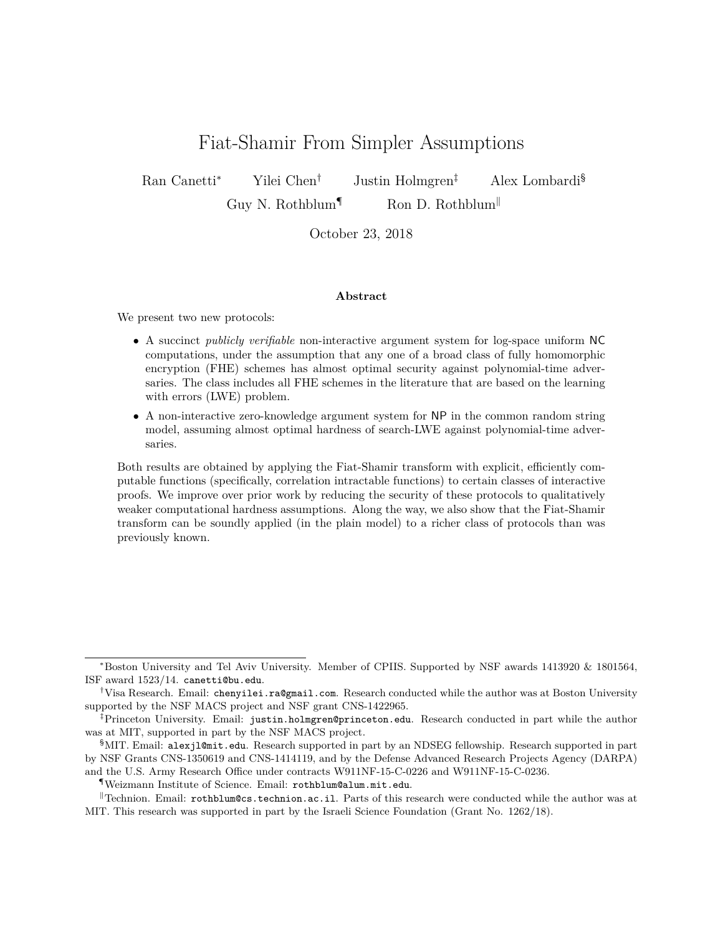# Fiat-Shamir From Simpler Assumptions

Ran Canetti<sup>∗</sup> Yilei Chen† Justin Holmgren‡ Alex Lombardi§

Guy N. Rothblum<sup> $\P$ </sup> Ron D. Rothblum

October 23, 2018

#### **Abstract**

We present two new protocols:

- A succinct *publicly verifiable* non-interactive argument system for log-space uniform NC computations, under the assumption that any one of a broad class of fully homomorphic encryption (FHE) schemes has almost optimal security against polynomial-time adversaries. The class includes all FHE schemes in the literature that are based on the learning with errors (LWE) problem.
- A non-interactive zero-knowledge argument system for NP in the common random string model, assuming almost optimal hardness of search-LWE against polynomial-time adversaries.

Both results are obtained by applying the Fiat-Shamir transform with explicit, efficiently computable functions (specifically, correlation intractable functions) to certain classes of interactive proofs. We improve over prior work by reducing the security of these protocols to qualitatively weaker computational hardness assumptions. Along the way, we also show that the Fiat-Shamir transform can be soundly applied (in the plain model) to a richer class of protocols than was previously known.

<sup>∗</sup>Boston University and Tel Aviv University. Member of CPIIS. Supported by NSF awards 1413920 & 1801564, ISF award 1523/14. canetti@bu.edu.

<sup>†</sup>Visa Research. Email: chenyilei.ra@gmail.com. Research conducted while the author was at Boston University supported by the NSF MACS project and NSF grant CNS-1422965.

<sup>‡</sup>Princeton University. Email: justin.holmgren@princeton.edu. Research conducted in part while the author was at MIT, supported in part by the NSF MACS project.

<sup>§</sup>MIT. Email: alexjl@mit.edu. Research supported in part by an NDSEG fellowship. Research supported in part by NSF Grants CNS-1350619 and CNS-1414119, and by the Defense Advanced Research Projects Agency (DARPA) and the U.S. Army Research Office under contracts W911NF-15-C-0226 and W911NF-15-C-0236.

<sup>¶</sup>Weizmann Institute of Science. Email: rothblum@alum.mit.edu.

<sup>&</sup>lt;sup> $\parallel$ </sup>Technion. Email: rothblum@cs.technion.ac.il. Parts of this research were conducted while the author was at MIT. This research was supported in part by the Israeli Science Foundation (Grant No. 1262/18).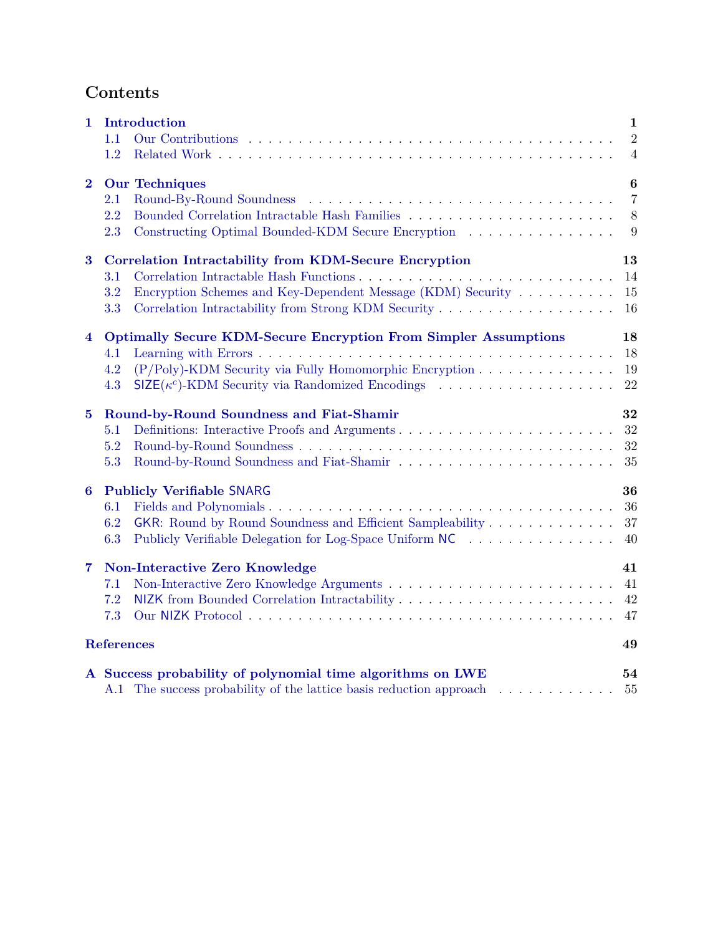# **Contents**

| $\mathbf{1}$            | Introduction                                                            | $\mathbf 1$      |
|-------------------------|-------------------------------------------------------------------------|------------------|
|                         | 1.1                                                                     | $\overline{2}$   |
|                         | 1.2                                                                     | $\overline{4}$   |
| $\bf{2}$                | <b>Our Techniques</b>                                                   | $\boldsymbol{6}$ |
|                         | $2.1\,$                                                                 | $\overline{7}$   |
|                         | 2.2                                                                     | 8                |
|                         | 2.3<br>Constructing Optimal Bounded-KDM Secure Encryption               | 9                |
| $\bf{3}$                | <b>Correlation Intractability from KDM-Secure Encryption</b>            | 13               |
|                         | 3.1                                                                     | 14               |
|                         | Encryption Schemes and Key-Dependent Message (KDM) Security<br>3.2      | 15               |
|                         | 3.3                                                                     | 16               |
| $\overline{\mathbf{4}}$ | <b>Optimally Secure KDM-Secure Encryption From Simpler Assumptions</b>  | 18               |
|                         | 4.1                                                                     | 18               |
|                         | $(P/Poly)$ -KDM Security via Fully Homomorphic Encryption<br>4.2        | 19               |
|                         | $\mathsf{SIZE}(\kappa^c)$ -KDM Security via Randomized Encodings<br>4.3 | 22               |
| $5\phantom{.0}$         | Round-by-Round Soundness and Fiat-Shamir                                | 32               |
|                         | 5.1                                                                     | 32               |
|                         | 5.2                                                                     | 32               |
|                         | 5.3                                                                     | 35               |
| 6                       | <b>Publicly Verifiable SNARG</b>                                        | 36               |
|                         | 6.1                                                                     | 36               |
|                         | GKR: Round by Round Soundness and Efficient Sampleability<br>6.2        | 37               |
|                         | 6.3<br>Publicly Verifiable Delegation for Log-Space Uniform NC          | 40               |
| 7                       | Non-Interactive Zero Knowledge                                          | 41               |
|                         | 7.1                                                                     | 41               |
|                         | 7.2                                                                     | 42               |
|                         | 7.3                                                                     | 47               |
| <b>References</b>       |                                                                         | 49               |
|                         | A Success probability of polynomial time algorithms on LWE              | 54               |
|                         | A.1 The success probability of the lattice basis reduction approach     | 55               |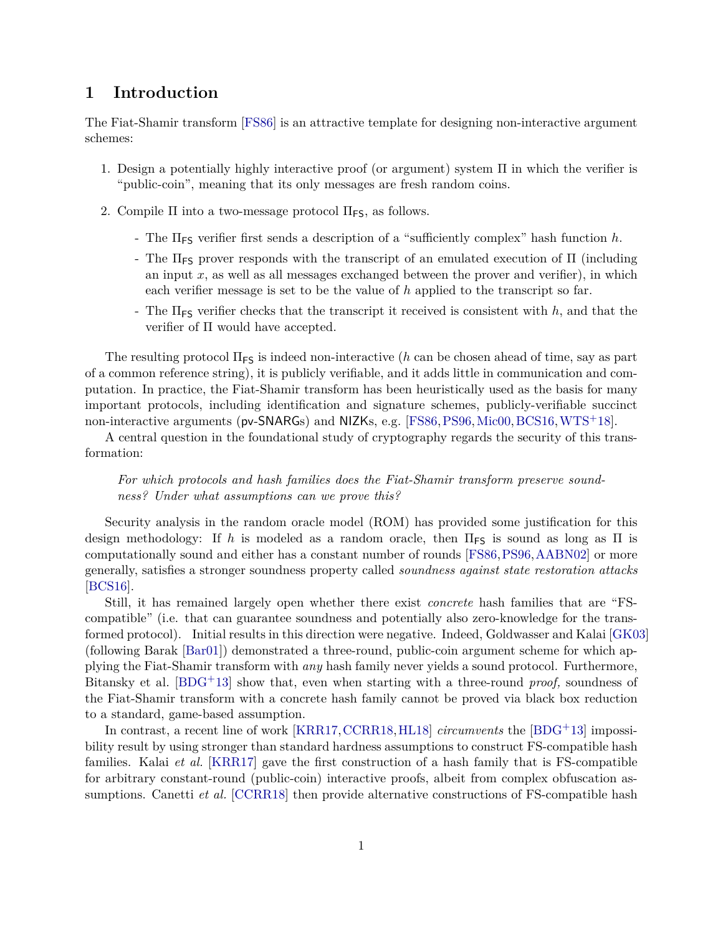# <span id="page-2-0"></span>**1 Introduction**

The Fiat-Shamir transform [\[FS86\]](#page-52-0) is an attractive template for designing non-interactive argument schemes:

- 1. Design a potentially highly interactive proof (or argument) system Π in which the verifier is "public-coin", meaning that its only messages are fresh random coins.
- 2. Compile  $\Pi$  into a two-message protocol  $\Pi_{\textsf{FS}}$ , as follows.
	- The ΠFS verifier first sends a description of a "sufficiently complex" hash function *h*.
	- The  $\Pi$ <sub>FS</sub> prover responds with the transcript of an emulated execution of  $\Pi$  (including an input *x*, as well as all messages exchanged between the prover and verifier), in which each verifier message is set to be the value of *h* applied to the transcript so far.
	- The  $\Pi_{FS}$  verifier checks that the transcript it received is consistent with  $h$ , and that the verifier of Π would have accepted.

The resulting protocol  $\Pi_{FS}$  is indeed non-interactive (*h* can be chosen ahead of time, say as part of a common reference string), it is publicly verifiable, and it adds little in communication and computation. In practice, the Fiat-Shamir transform has been heuristically used as the basis for many important protocols, including identification and signature schemes, publicly-verifiable succinct non-interactive arguments (pv-SNARGs) and NIZKs, e.g. [\[FS86,](#page-52-0) [PS96,](#page-54-0) [Mic00,](#page-54-1) [BCS16,](#page-50-1) [WTS](#page-55-1)<sup>+</sup>18].

A central question in the foundational study of cryptography regards the security of this transformation:

### *For which protocols and hash families does the Fiat-Shamir transform preserve soundness? Under what assumptions can we prove this?*

Security analysis in the random oracle model (ROM) has provided some justification for this design methodology: If h is modeled as a random oracle, then  $\Pi_{FS}$  is sound as long as  $\Pi$  is computationally sound and either has a constant number of rounds [\[FS86,](#page-52-0) [PS96,](#page-54-0) [AABN02\]](#page-50-2) or more generally, satisfies a stronger soundness property called *soundness against state restoration attacks* [\[BCS16\]](#page-50-1).

Still, it has remained largely open whether there exist *concrete* hash families that are "FScompatible" (i.e. that can guarantee soundness and potentially also zero-knowledge for the transformed protocol). Initial results in this direction were negative. Indeed, Goldwasser and Kalai [\[GK03\]](#page-52-1) (following Barak [\[Bar01\]](#page-50-3)) demonstrated a three-round, public-coin argument scheme for which applying the Fiat-Shamir transform with *any* hash family never yields a sound protocol. Furthermore, Bitansky et al. [\[BDG](#page-50-4)+13] show that, even when starting with a three-round *proof,* soundness of the Fiat-Shamir transform with a concrete hash family cannot be proved via black box reduction to a standard, game-based assumption.

In contrast, a recent line of work [\[KRR17,](#page-53-0)[CCRR18,](#page-52-2)[HL18\]](#page-53-1) *circumvents* the [\[BDG](#page-50-4)+13] impossibility result by using stronger than standard hardness assumptions to construct FS-compatible hash families. Kalai *et al.* [\[KRR17\]](#page-53-0) gave the first construction of a hash family that is FS-compatible for arbitrary constant-round (public-coin) interactive proofs, albeit from complex obfuscation assumptions. Canetti *et al.* [\[CCRR18\]](#page-52-2) then provide alternative constructions of FS-compatible hash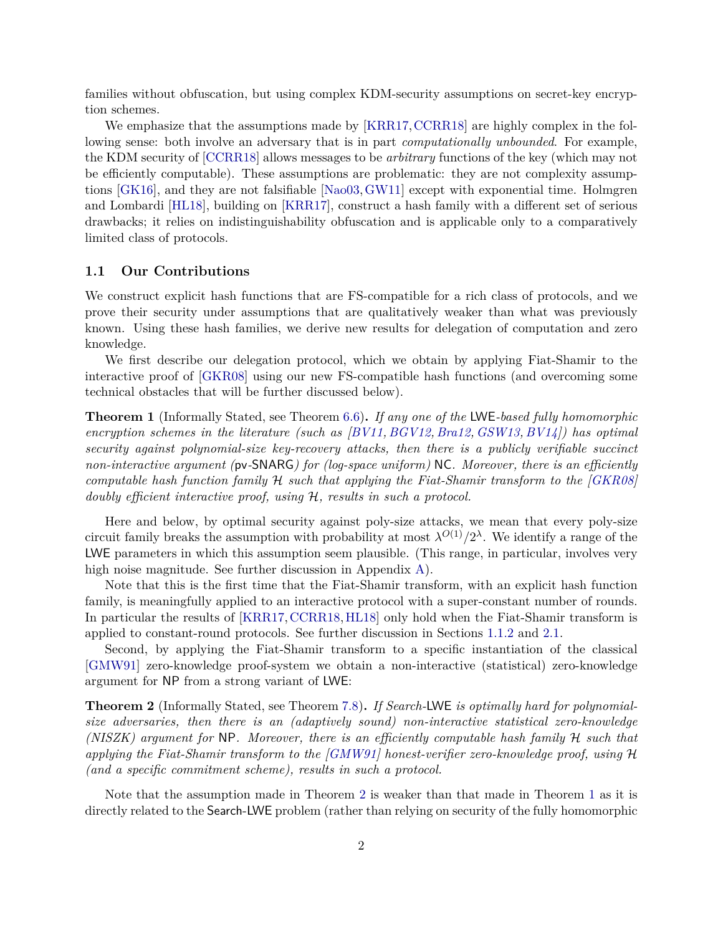families without obfuscation, but using complex KDM-security assumptions on secret-key encryption schemes.

We emphasize that the assumptions made by [\[KRR17,](#page-53-0) [CCRR18\]](#page-52-2) are highly complex in the following sense: both involve an adversary that is in part *computationally unbounded*. For example, the KDM security of [\[CCRR18\]](#page-52-2) allows messages to be *arbitrary* functions of the key (which may not be efficiently computable). These assumptions are problematic: they are not complexity assumptions [\[GK16\]](#page-52-3), and they are not falsifiable [\[Nao03,](#page-54-2)[GW11\]](#page-53-2) except with exponential time. Holmgren and Lombardi [\[HL18\]](#page-53-1), building on [\[KRR17\]](#page-53-0), construct a hash family with a different set of serious drawbacks; it relies on indistinguishability obfuscation and is applicable only to a comparatively limited class of protocols.

#### <span id="page-3-0"></span>**1.1 Our Contributions**

We construct explicit hash functions that are FS-compatible for a rich class of protocols, and we prove their security under assumptions that are qualitatively weaker than what was previously known. Using these hash families, we derive new results for delegation of computation and zero knowledge.

We first describe our delegation protocol, which we obtain by applying Fiat-Shamir to the interactive proof of [\[GKR08\]](#page-52-4) using our new FS-compatible hash functions (and overcoming some technical obstacles that will be further discussed below).

<span id="page-3-2"></span>**Theorem 1** (Informally Stated, see Theorem [6.6\)](#page-42-2)**.** *If any one of the* LWE*-based fully homomorphic encryption schemes in the literature (such as [\[BV11,](#page-51-0) [BGV12,](#page-51-1) [Bra12,](#page-51-2) [GSW13,](#page-53-3) [BV14\]](#page-52-5)) has optimal security against polynomial-size key-recovery attacks, then there is a publicly verifiable succinct non-interactive argument (*pv*-*SNARG*) for (log-space uniform)* NC*. Moreover, there is an efficiently computable hash function family* H *such that applying the Fiat-Shamir transform to the [\[GKR08\]](#page-52-4) doubly efficient interactive proof, using* H*, results in such a protocol.*

Here and below, by optimal security against poly-size attacks, we mean that every poly-size circuit family breaks the assumption with probability at most  $\lambda^{O(1)}/2^{\lambda}$ . We identify a range of the LWE parameters in which this assumption seem plausible. (This range, in particular, involves very high noise magnitude. See further discussion in Appendix [A\)](#page-55-0).

Note that this is the first time that the Fiat-Shamir transform, with an explicit hash function family, is meaningfully applied to an interactive protocol with a super-constant number of rounds. In particular the results of [\[KRR17,](#page-53-0) [CCRR18,](#page-52-2) [HL18\]](#page-53-1) only hold when the Fiat-Shamir transform is applied to constant-round protocols. See further discussion in Sections [1.1.2](#page-5-1) and [2.1.](#page-8-0)

Second, by applying the Fiat-Shamir transform to a specific instantiation of the classical [\[GMW91\]](#page-52-6) zero-knowledge proof-system we obtain a non-interactive (statistical) zero-knowledge argument for NP from a strong variant of LWE:

<span id="page-3-1"></span>**Theorem 2** (Informally Stated, see Theorem [7.8\)](#page-48-1)**.** *If Search-*LWE *is optimally hard for polynomialsize adversaries, then there is an (adaptively sound) non-interactive statistical zero-knowledge (NISZK) argument for* NP*. Moreover, there is an efficiently computable hash family* H *such that applying the Fiat-Shamir transform to the [\[GMW91\]](#page-52-6) honest-verifier zero-knowledge proof, using* H *(and a specific commitment scheme), results in such a protocol.*

Note that the assumption made in Theorem [2](#page-3-1) is weaker than that made in Theorem [1](#page-3-2) as it is directly related to the Search-LWE problem (rather than relying on security of the fully homomorphic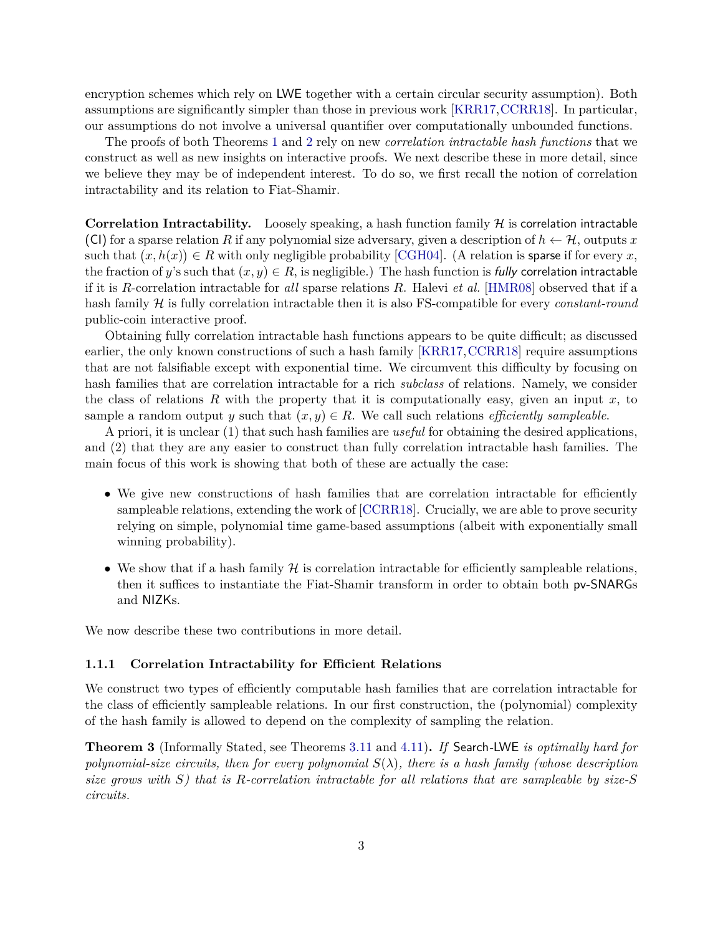encryption schemes which rely on LWE together with a certain circular security assumption). Both assumptions are significantly simpler than those in previous work [\[KRR17,](#page-53-0)[CCRR18\]](#page-52-2). In particular, our assumptions do not involve a universal quantifier over computationally unbounded functions.

The proofs of both Theorems [1](#page-3-2) and [2](#page-3-1) rely on new *correlation intractable hash functions* that we construct as well as new insights on interactive proofs. We next describe these in more detail, since we believe they may be of independent interest. To do so, we first recall the notion of correlation intractability and its relation to Fiat-Shamir.

**Correlation Intractability.** Loosely speaking, a hash function family  $H$  is correlation intractable (CI) for a sparse relation *R* if any polynomial size adversary, given a description of  $h \leftarrow H$ , outputs *x* such that  $(x, h(x)) \in R$  with only negligible probability [\[CGH04\]](#page-52-7). (A relation is sparse if for every *x*, the fraction of *y*'s such that  $(x, y) \in R$ , is negligible.) The hash function is fully correlation intractable if it is *R*-correlation intractable for *all* sparse relations *R*. Halevi *et al.* [\[HMR08\]](#page-53-4) observed that if a hash family H is fully correlation intractable then it is also FS-compatible for every *constant-round* public-coin interactive proof.

Obtaining fully correlation intractable hash functions appears to be quite difficult; as discussed earlier, the only known constructions of such a hash family [\[KRR17,](#page-53-0) [CCRR18\]](#page-52-2) require assumptions that are not falsifiable except with exponential time. We circumvent this difficulty by focusing on hash families that are correlation intractable for a rich *subclass* of relations. Namely, we consider the class of relations *R* with the property that it is computationally easy, given an input *x*, to sample a random output *y* such that  $(x, y) \in R$ . We call such relations *efficiently sampleable*.

A priori, it is unclear (1) that such hash families are *useful* for obtaining the desired applications, and (2) that they are any easier to construct than fully correlation intractable hash families. The main focus of this work is showing that both of these are actually the case:

- We give new constructions of hash families that are correlation intractable for efficiently sampleable relations, extending the work of [\[CCRR18\]](#page-52-2). Crucially, we are able to prove security relying on simple, polynomial time game-based assumptions (albeit with exponentially small winning probability).
- We show that if a hash family  $H$  is correlation intractable for efficiently sampleable relations, then it suffices to instantiate the Fiat-Shamir transform in order to obtain both pv-SNARGs and NIZKs.

We now describe these two contributions in more detail.

#### **1.1.1 Correlation Intractability for Efficient Relations**

We construct two types of efficiently computable hash families that are correlation intractable for the class of efficiently sampleable relations. In our first construction, the (polynomial) complexity of the hash family is allowed to depend on the complexity of sampling the relation.

<span id="page-4-0"></span>**Theorem 3** (Informally Stated, see Theorems [3.11](#page-17-1) and [4.11\)](#page-25-0)**.** *If* Search*-*LWE *is optimally hard for polynomial-size circuits, then for every polynomial*  $S(\lambda)$ *, there is a hash family (whose description size grows with S) that is R-correlation intractable for all relations that are sampleable by size-S circuits.*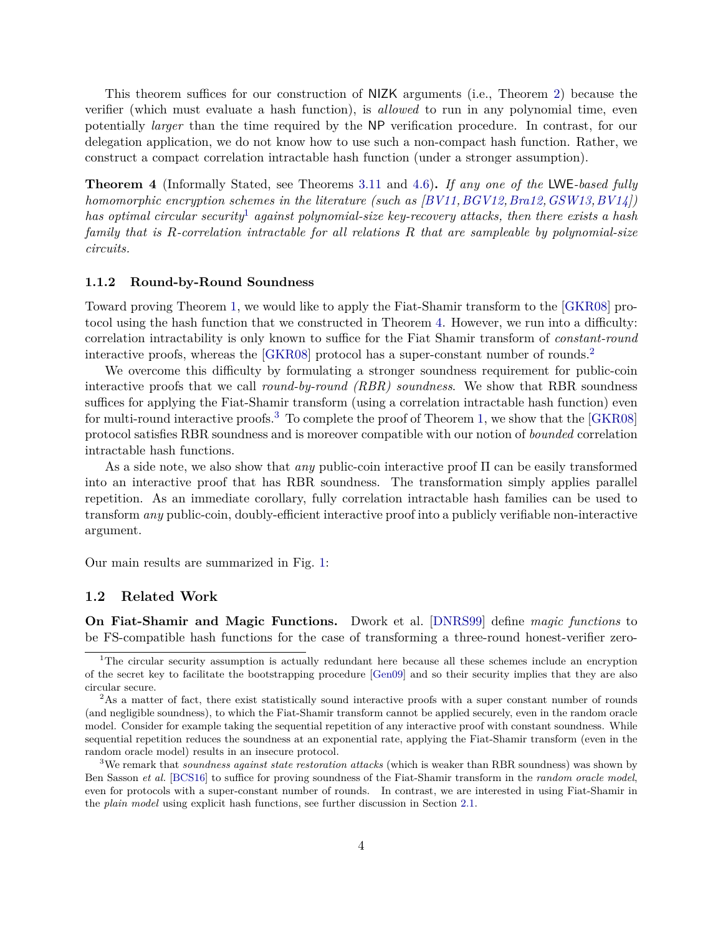This theorem suffices for our construction of NIZK arguments (i.e., Theorem [2\)](#page-3-1) because the verifier (which must evaluate a hash function), is *allowed* to run in any polynomial time, even potentially *larger* than the time required by the NP verification procedure. In contrast, for our delegation application, we do not know how to use such a non-compact hash function. Rather, we construct a compact correlation intractable hash function (under a stronger assumption).

<span id="page-5-3"></span>**Theorem 4** (Informally Stated, see Theorems [3.11](#page-17-1) and [4.6\)](#page-22-0)**.** *If any one of the* LWE*-based fully homomorphic encryption schemes in the literature (such as [\[BV11,](#page-51-0)[BGV12,](#page-51-1)[Bra12,](#page-51-2)[GSW13,](#page-53-3)[BV14\]](#page-52-5)) has optimal circular security*[1](#page-5-2) *against polynomial-size key-recovery attacks, then there exists a hash family that is R-correlation intractable for all relations R that are sampleable by polynomial-size circuits.*

#### <span id="page-5-1"></span>**1.1.2 Round-by-Round Soundness**

Toward proving Theorem [1,](#page-3-2) we would like to apply the Fiat-Shamir transform to the [\[GKR08\]](#page-52-4) protocol using the hash function that we constructed in Theorem [4.](#page-5-3) However, we run into a difficulty: correlation intractability is only known to suffice for the Fiat Shamir transform of *constant-round* interactive proofs, whereas the [\[GKR08\]](#page-52-4) protocol has a super-constant number of rounds.<sup>[2](#page-5-4)</sup>

We overcome this difficulty by formulating a stronger soundness requirement for public-coin interactive proofs that we call *round-by-round (RBR) soundness*. We show that RBR soundness suffices for applying the Fiat-Shamir transform (using a correlation intractable hash function) even for multi-round interactive proofs.<sup>[3](#page-5-5)</sup> To complete the proof of Theorem [1,](#page-3-2) we show that the  $[GKR08]$ protocol satisfies RBR soundness and is moreover compatible with our notion of *bounded* correlation intractable hash functions.

As a side note, we also show that *any* public-coin interactive proof Π can be easily transformed into an interactive proof that has RBR soundness. The transformation simply applies parallel repetition. As an immediate corollary, fully correlation intractable hash families can be used to transform *any* public-coin, doubly-efficient interactive proof into a publicly verifiable non-interactive argument.

Our main results are summarized in Fig. [1:](#page-6-0)

### <span id="page-5-0"></span>**1.2 Related Work**

**On Fiat-Shamir and Magic Functions.** Dwork et al. [\[DNRS99\]](#page-52-8) define *magic functions* to be FS-compatible hash functions for the case of transforming a three-round honest-verifier zero-

<span id="page-5-2"></span><sup>&</sup>lt;sup>1</sup>The circular security assumption is actually redundant here because all these schemes include an encryption of the secret key to facilitate the bootstrapping procedure [\[Gen09\]](#page-52-9) and so their security implies that they are also circular secure.

<span id="page-5-4"></span><sup>&</sup>lt;sup>2</sup>As a matter of fact, there exist statistically sound interactive proofs with a super constant number of rounds (and negligible soundness), to which the Fiat-Shamir transform cannot be applied securely, even in the random oracle model. Consider for example taking the sequential repetition of any interactive proof with constant soundness. While sequential repetition reduces the soundness at an exponential rate, applying the Fiat-Shamir transform (even in the random oracle model) results in an insecure protocol.

<span id="page-5-5"></span><sup>3</sup>We remark that *soundness against state restoration attacks* (which is weaker than RBR soundness) was shown by Ben Sasson *et al.* [\[BCS16\]](#page-50-1) to suffice for proving soundness of the Fiat-Shamir transform in the *random oracle model*, even for protocols with a super-constant number of rounds. In contrast, we are interested in using Fiat-Shamir in the *plain model* using explicit hash functions, see further discussion in Section [2.1.](#page-8-0)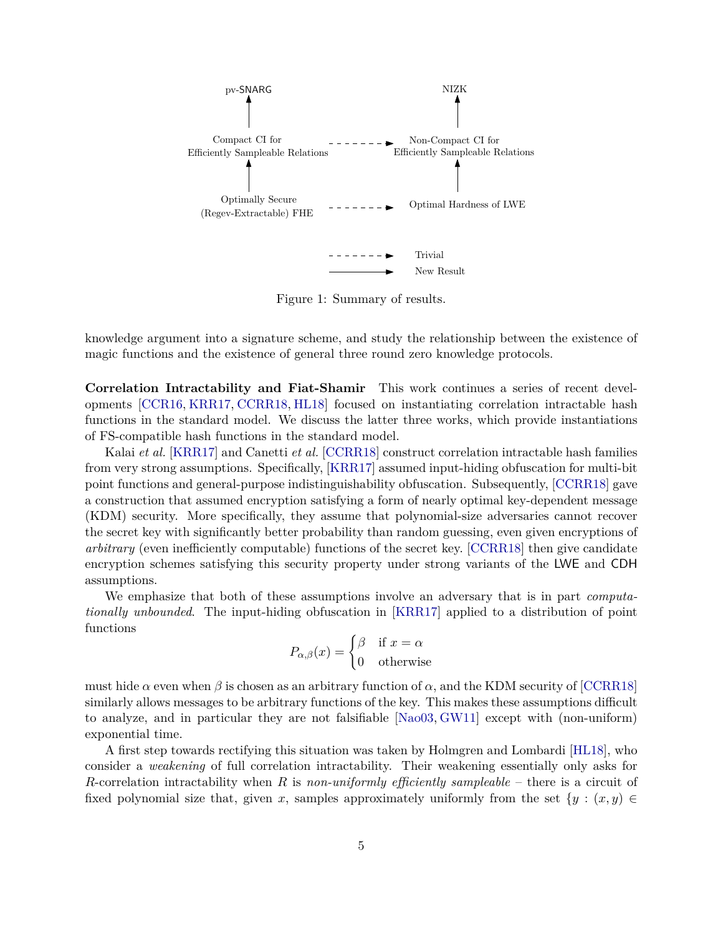

<span id="page-6-0"></span>Figure 1: Summary of results.

knowledge argument into a signature scheme, and study the relationship between the existence of magic functions and the existence of general three round zero knowledge protocols.

**Correlation Intractability and Fiat-Shamir** This work continues a series of recent developments [\[CCR16,](#page-52-10) [KRR17,](#page-53-0) [CCRR18,](#page-52-2) [HL18\]](#page-53-1) focused on instantiating correlation intractable hash functions in the standard model. We discuss the latter three works, which provide instantiations of FS-compatible hash functions in the standard model.

Kalai *et al.* [\[KRR17\]](#page-53-0) and Canetti *et al.* [\[CCRR18\]](#page-52-2) construct correlation intractable hash families from very strong assumptions. Specifically, [\[KRR17\]](#page-53-0) assumed input-hiding obfuscation for multi-bit point functions and general-purpose indistinguishability obfuscation. Subsequently, [\[CCRR18\]](#page-52-2) gave a construction that assumed encryption satisfying a form of nearly optimal key-dependent message (KDM) security. More specifically, they assume that polynomial-size adversaries cannot recover the secret key with significantly better probability than random guessing, even given encryptions of *arbitrary* (even inefficiently computable) functions of the secret key. [\[CCRR18\]](#page-52-2) then give candidate encryption schemes satisfying this security property under strong variants of the LWE and CDH assumptions.

We emphasize that both of these assumptions involve an adversary that is in part *computationally unbounded*. The input-hiding obfuscation in [\[KRR17\]](#page-53-0) applied to a distribution of point functions

$$
P_{\alpha,\beta}(x) = \begin{cases} \beta & \text{if } x = \alpha \\ 0 & \text{otherwise} \end{cases}
$$

must hide  $\alpha$  even when  $\beta$  is chosen as an arbitrary function of  $\alpha$ , and the KDM security of [\[CCRR18\]](#page-52-2) similarly allows messages to be arbitrary functions of the key. This makes these assumptions difficult to analyze, and in particular they are not falsifiable [\[Nao03,](#page-54-2) [GW11\]](#page-53-2) except with (non-uniform) exponential time.

A first step towards rectifying this situation was taken by Holmgren and Lombardi [\[HL18\]](#page-53-1), who consider a *weakening* of full correlation intractability. Their weakening essentially only asks for *R*-correlation intractability when *R* is *non-uniformly efficiently sampleable* – there is a circuit of fixed polynomial size that, given *x*, samples approximately uniformly from the set  $\{y : (x, y) \in$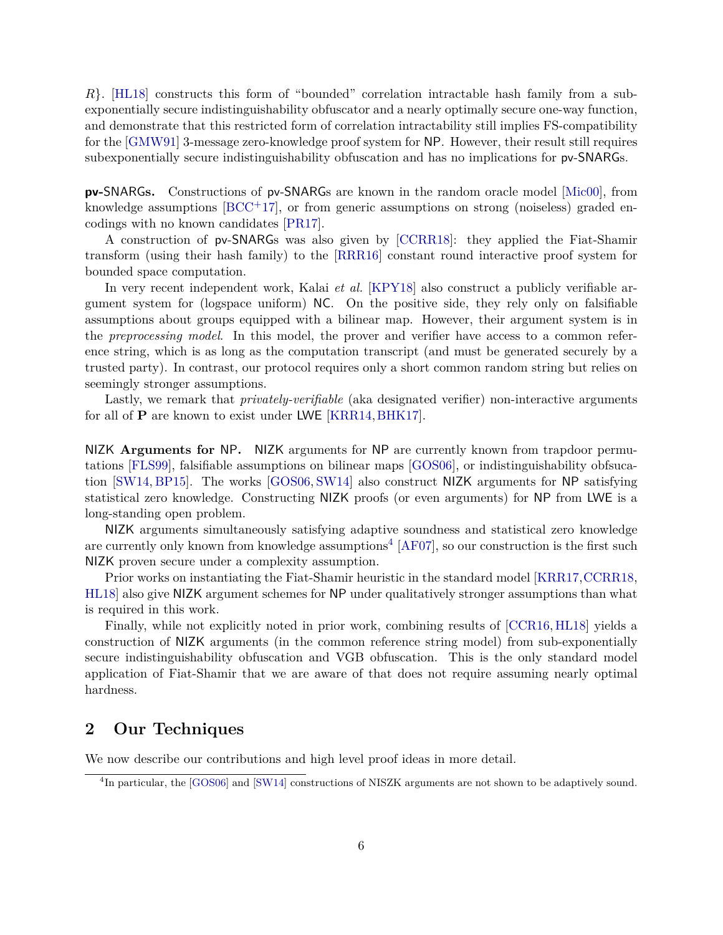*R*}. [\[HL18\]](#page-53-1) constructs this form of "bounded" correlation intractable hash family from a subexponentially secure indistinguishability obfuscator and a nearly optimally secure one-way function, and demonstrate that this restricted form of correlation intractability still implies FS-compatibility for the [\[GMW91\]](#page-52-6) 3-message zero-knowledge proof system for NP. However, their result still requires subexponentially secure indistinguishability obfuscation and has no implications for pv-SNARGs.

**pv-**SNARG**s.** Constructions of pv-SNARGs are known in the random oracle model [\[Mic00\]](#page-54-1), from knowledge assumptions  $[BCC^+17]$  $[BCC^+17]$ , or from generic assumptions on strong (noiseless) graded encodings with no known candidates [\[PR17\]](#page-54-3).

A construction of pv-SNARGs was also given by [\[CCRR18\]](#page-52-2): they applied the Fiat-Shamir transform (using their hash family) to the [\[RRR16\]](#page-54-4) constant round interactive proof system for bounded space computation.

In very recent independent work, Kalai *et al.* [\[KPY18\]](#page-53-5) also construct a publicly verifiable argument system for (logspace uniform) NC. On the positive side, they rely only on falsifiable assumptions about groups equipped with a bilinear map. However, their argument system is in the *preprocessing model*. In this model, the prover and verifier have access to a common reference string, which is as long as the computation transcript (and must be generated securely by a trusted party). In contrast, our protocol requires only a short common random string but relies on seemingly stronger assumptions.

Lastly, we remark that *privately-verifiable* (aka designated verifier) non-interactive arguments for all of **P** are known to exist under LWE [\[KRR14,](#page-53-6)[BHK17\]](#page-51-3).

NIZK **Arguments for** NP**.** NIZK arguments for NP are currently known from trapdoor permutations [\[FLS99\]](#page-52-11), falsifiable assumptions on bilinear maps [\[GOS06\]](#page-53-7), or indistinguishability obfsucation [\[SW14,](#page-55-2) [BP15\]](#page-51-4). The works [\[GOS06,](#page-53-7) [SW14\]](#page-55-2) also construct NIZK arguments for NP satisfying statistical zero knowledge. Constructing NIZK proofs (or even arguments) for NP from LWE is a long-standing open problem.

NIZK arguments simultaneously satisfying adaptive soundness and statistical zero knowledge are currently only known from knowledge assumptions<sup>[4](#page-7-1)</sup> [\[AF07\]](#page-50-6), so our construction is the first such NIZK proven secure under a complexity assumption.

Prior works on instantiating the Fiat-Shamir heuristic in the standard model [\[KRR17,](#page-53-0)[CCRR18,](#page-52-2) [HL18\]](#page-53-1) also give NIZK argument schemes for NP under qualitatively stronger assumptions than what is required in this work.

Finally, while not explicitly noted in prior work, combining results of [\[CCR16,](#page-52-10) [HL18\]](#page-53-1) yields a construction of NIZK arguments (in the common reference string model) from sub-exponentially secure indistinguishability obfuscation and VGB obfuscation. This is the only standard model application of Fiat-Shamir that we are aware of that does not require assuming nearly optimal hardness.

# <span id="page-7-0"></span>**2 Our Techniques**

We now describe our contributions and high level proof ideas in more detail.

<span id="page-7-1"></span><sup>&</sup>lt;sup>4</sup>In particular, the [\[GOS06\]](#page-53-7) and [\[SW14\]](#page-55-2) constructions of NISZK arguments are not shown to be adaptively sound.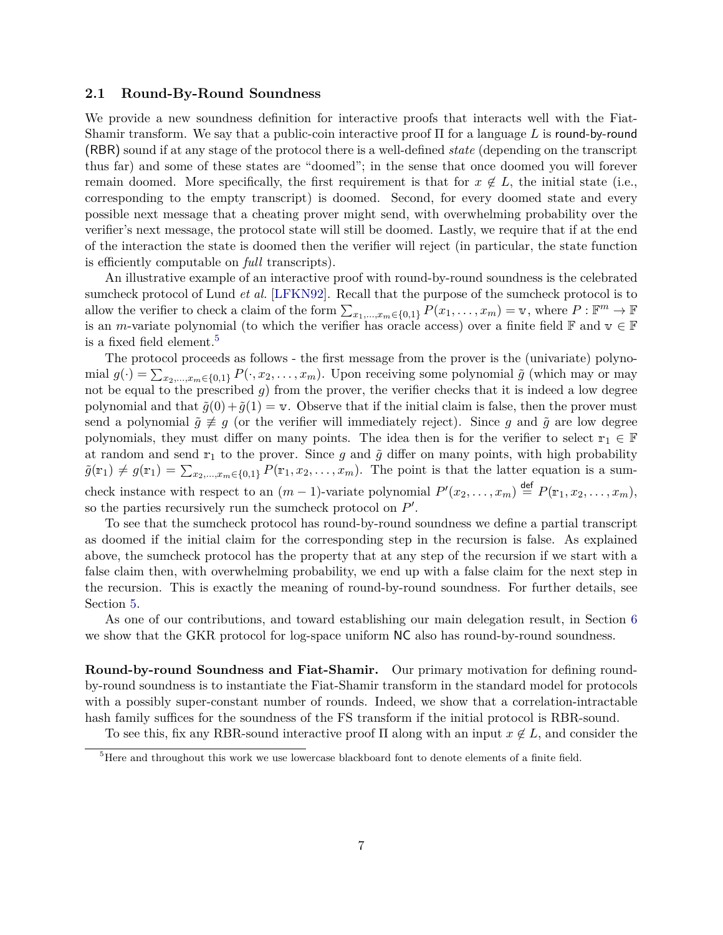#### <span id="page-8-0"></span>**2.1 Round-By-Round Soundness**

We provide a new soundness definition for interactive proofs that interacts well with the Fiat-Shamir transform. We say that a public-coin interactive proof Π for a language *L* is round-by-round (RBR) sound if at any stage of the protocol there is a well-defined *state* (depending on the transcript thus far) and some of these states are "doomed"; in the sense that once doomed you will forever remain doomed. More specifically, the first requirement is that for  $x \notin L$ , the initial state (i.e., corresponding to the empty transcript) is doomed. Second, for every doomed state and every possible next message that a cheating prover might send, with overwhelming probability over the verifier's next message, the protocol state will still be doomed. Lastly, we require that if at the end of the interaction the state is doomed then the verifier will reject (in particular, the state function is efficiently computable on *full* transcripts).

An illustrative example of an interactive proof with round-by-round soundness is the celebrated sumcheck protocol of Lund *et al.* [\[LFKN92\]](#page-54-5). Recall that the purpose of the sumcheck protocol is to allow the verifier to check a claim of the form  $\sum_{x_1,\dots,x_m\in\{0,1\}} P(x_1,\dots,x_m) = \mathbf{v}$ , where  $P: \mathbb{F}^m \to \mathbb{F}$ is an *m*-variate polynomial (to which the verifier has oracle access) over a finite field  $\mathbb{F}$  and  $v \in \mathbb{F}$ is a fixed field element.<sup>[5](#page-8-1)</sup>

The protocol proceeds as follows - the first message from the prover is the (univariate) polynomial  $g(\cdot) = \sum_{x_2,\dots,x_m \in \{0,1\}} P(\cdot, x_2, \dots, x_m)$ . Upon receiving some polynomial  $\tilde{g}$  (which may or may not be equal to the prescribed *g*) from the prover, the verifier checks that it is indeed a low degree polynomial and that  $\tilde{g}(0) + \tilde{g}(1) = v$ . Observe that if the initial claim is false, then the prover must send a polynomial  $\tilde{g} \not\equiv g$  (or the verifier will immediately reject). Since *g* and  $\tilde{g}$  are low degree polynomials, they must differ on many points. The idea then is for the verifier to select  $r_1 \in \mathbb{F}$ at random and send  $r_1$  to the prover. Since  $g$  and  $\tilde{g}$  differ on many points, with high probability  $\tilde{g}(\mathbf{r}_1) \neq g(\mathbf{r}_1) = \sum_{x_2,\dots,x_m \in \{0,1\}} P(\mathbf{r}_1, x_2, \dots, x_m)$ . The point is that the latter equation is a sumcheck instance with respect to an  $(m-1)$ -variate polynomial  $P'(x_2, \ldots, x_m) \stackrel{\text{def}}{=} P(\mathbb{r}_1, x_2, \ldots, x_m)$ , so the parties recursively run the sumcheck protocol on  $P'$ .

To see that the sumcheck protocol has round-by-round soundness we define a partial transcript as doomed if the initial claim for the corresponding step in the recursion is false. As explained above, the sumcheck protocol has the property that at any step of the recursion if we start with a false claim then, with overwhelming probability, we end up with a false claim for the next step in the recursion. This is exactly the meaning of round-by-round soundness. For further details, see Section [5.](#page-33-0)

As one of our contributions, and toward establishing our main delegation result, in Section [6](#page-37-0) we show that the GKR protocol for log-space uniform  $NC$  also has round-by-round soundness.

**Round-by-round Soundness and Fiat-Shamir.** Our primary motivation for defining roundby-round soundness is to instantiate the Fiat-Shamir transform in the standard model for protocols with a possibly super-constant number of rounds. Indeed, we show that a correlation-intractable hash family suffices for the soundness of the FS transform if the initial protocol is RBR-sound.

To see this, fix any RBR-sound interactive proof  $\Pi$  along with an input  $x \notin L$ , and consider the

<span id="page-8-1"></span> ${}^{5}$ Here and throughout this work we use lowercase blackboard font to denote elements of a finite field.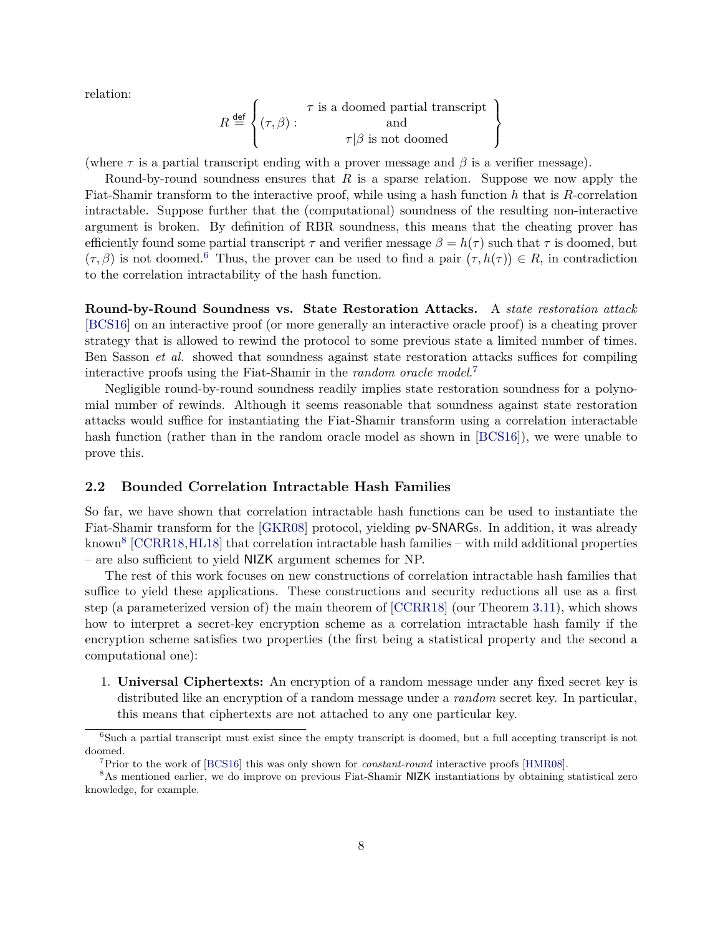relation:

$$
R \stackrel{\text{def}}{=} \left\{ (\tau, \beta) : \begin{array}{c} \tau \text{ is a doomed partial transcript} \\ \text{and} \\ \tau | \beta \text{ is not doomed} \end{array} \right\}
$$

(where  $\tau$  is a partial transcript ending with a prover message and  $\beta$  is a verifier message).

Round-by-round soundness ensures that *R* is a sparse relation. Suppose we now apply the Fiat-Shamir transform to the interactive proof, while using a hash function *h* that is *R*-correlation intractable. Suppose further that the (computational) soundness of the resulting non-interactive argument is broken. By definition of RBR soundness, this means that the cheating prover has efficiently found some partial transcript  $\tau$  and verifier message  $\beta = h(\tau)$  such that  $\tau$  is doomed, but  $(\tau, \beta)$  is not doomed.<sup>[6](#page-9-1)</sup> Thus, the prover can be used to find a pair  $(\tau, h(\tau)) \in R$ , in contradiction to the correlation intractability of the hash function.

**Round-by-Round Soundness vs. State Restoration Attacks.** A *state restoration attack* [\[BCS16\]](#page-50-1) on an interactive proof (or more generally an interactive oracle proof) is a cheating prover strategy that is allowed to rewind the protocol to some previous state a limited number of times. Ben Sasson *et al.* showed that soundness against state restoration attacks suffices for compiling interactive proofs using the Fiat-Shamir in the *random oracle model*. [7](#page-9-2)

Negligible round-by-round soundness readily implies state restoration soundness for a polynomial number of rewinds. Although it seems reasonable that soundness against state restoration attacks would suffice for instantiating the Fiat-Shamir transform using a correlation interactable hash function (rather than in the random oracle model as shown in [\[BCS16\]](#page-50-1)), we were unable to prove this.

#### <span id="page-9-0"></span>**2.2 Bounded Correlation Intractable Hash Families**

So far, we have shown that correlation intractable hash functions can be used to instantiate the Fiat-Shamir transform for the [\[GKR08\]](#page-52-4) protocol, yielding pv-SNARGs. In addition, it was already known<sup>[8](#page-9-3)</sup> [\[CCRR18,](#page-52-2)[HL18\]](#page-53-1) that correlation intractable hash families – with mild additional properties – are also sufficient to yield NIZK argument schemes for NP.

The rest of this work focuses on new constructions of correlation intractable hash families that suffice to yield these applications. These constructions and security reductions all use as a first step (a parameterized version of) the main theorem of [\[CCRR18\]](#page-52-2) (our Theorem [3.11\)](#page-17-1), which shows how to interpret a secret-key encryption scheme as a correlation intractable hash family if the encryption scheme satisfies two properties (the first being a statistical property and the second a computational one):

1. **Universal Ciphertexts:** An encryption of a random message under any fixed secret key is distributed like an encryption of a random message under a *random* secret key. In particular, this means that ciphertexts are not attached to any one particular key.

<span id="page-9-1"></span><sup>&</sup>lt;sup>6</sup>Such a partial transcript must exist since the empty transcript is doomed, but a full accepting transcript is not doomed.

<span id="page-9-3"></span><span id="page-9-2"></span><sup>7</sup>Prior to the work of [\[BCS16\]](#page-50-1) this was only shown for *constant-round* interactive proofs [\[HMR08\]](#page-53-4).

<sup>8</sup>As mentioned earlier, we do improve on previous Fiat-Shamir NIZK instantiations by obtaining statistical zero knowledge, for example.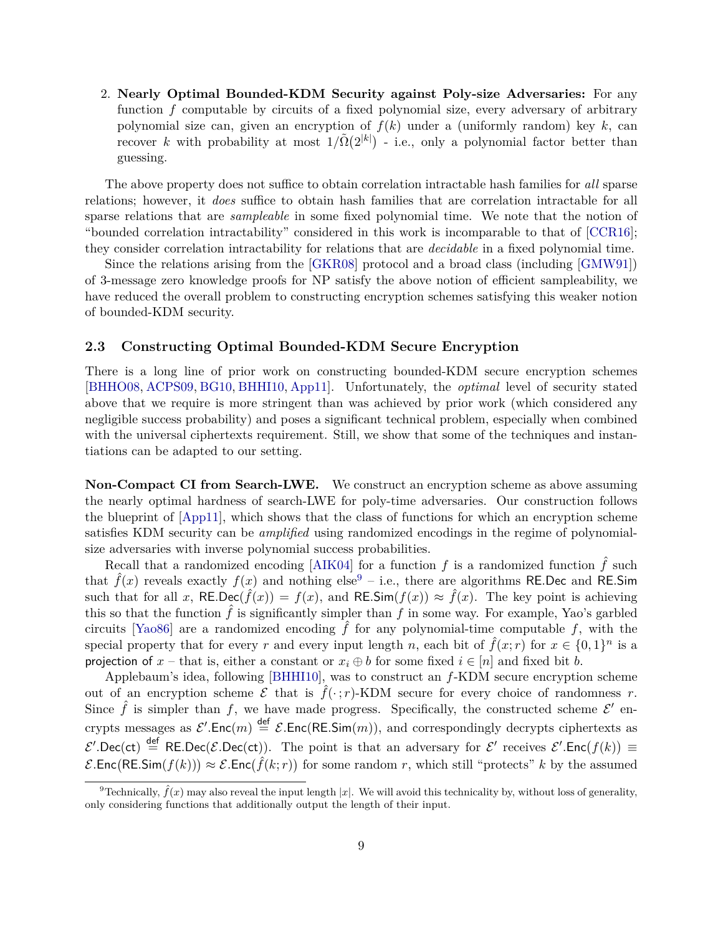2. **Nearly Optimal Bounded-KDM Security against Poly-size Adversaries:** For any function *f* computable by circuits of a fixed polynomial size, every adversary of arbitrary polynomial size can, given an encryption of  $f(k)$  under a (uniformly random) key  $k$ , can recover *k* with probability at most  $1/\tilde{\Omega}(2^{|k|})$  - i.e., only a polynomial factor better than guessing.

The above property does not suffice to obtain correlation intractable hash families for *all* sparse relations; however, it *does* suffice to obtain hash families that are correlation intractable for all sparse relations that are *sampleable* in some fixed polynomial time. We note that the notion of "bounded correlation intractability" considered in this work is incomparable to that of [\[CCR16\]](#page-52-10); they consider correlation intractability for relations that are *decidable* in a fixed polynomial time.

Since the relations arising from the [\[GKR08\]](#page-52-4) protocol and a broad class (including [\[GMW91\]](#page-52-6)) of 3-message zero knowledge proofs for NP satisfy the above notion of efficient sampleability, we have reduced the overall problem to constructing encryption schemes satisfying this weaker notion of bounded-KDM security.

#### <span id="page-10-0"></span>**2.3 Constructing Optimal Bounded-KDM Secure Encryption**

There is a long line of prior work on constructing bounded-KDM secure encryption schemes [\[BHHO08,](#page-51-5) [ACPS09,](#page-50-7) [BG10,](#page-51-6) [BHHI10,](#page-51-7) [App11\]](#page-50-8). Unfortunately, the *optimal* level of security stated above that we require is more stringent than was achieved by prior work (which considered any negligible success probability) and poses a significant technical problem, especially when combined with the universal ciphertexts requirement. Still, we show that some of the techniques and instantiations can be adapted to our setting.

**Non-Compact CI from Search-LWE.** We construct an encryption scheme as above assuming the nearly optimal hardness of search-LWE for poly-time adversaries. Our construction follows the blueprint of [\[App11\]](#page-50-8), which shows that the class of functions for which an encryption scheme satisfies KDM security can be *amplified* using randomized encodings in the regime of polynomialsize adversaries with inverse polynomial success probabilities.

Recall that a randomized encoding [\[AIK04\]](#page-50-9) for a function  $f$  is a randomized function  $\hat{f}$  such that  $\hat{f}(x)$  reveals exactly  $f(x)$  and nothing else<sup>[9](#page-10-1)</sup> – i.e., there are algorithms RE.Dec and RE.Sim such that for all *x*,  $REDec(\hat{f}(x)) = f(x)$ , and  $RE.Sim(f(x)) \approx \hat{f}(x)$ . The key point is achieving this so that the function  $\hat{f}$  is significantly simpler than  $f$  in some way. For example, Yao's garbled circuits [\[Yao86\]](#page-55-3) are a randomized encoding  $\hat{f}$  for any polynomial-time computable  $f$ , with the special property that for every *r* and every input length *n*, each bit of  $\hat{f}(x; r)$  for  $x \in \{0, 1\}^n$  is a projection of  $x$  – that is, either a constant or  $x_i \oplus b$  for some fixed  $i \in [n]$  and fixed bit *b*.

Applebaum's idea, following [\[BHHI10\]](#page-51-7), was to construct an *f*-KDM secure encryption scheme out of an encryption scheme  $\mathcal E$  that is  $\hat f(\cdot; r)$ -KDM secure for every choice of randomness *r*. Since  $\hat{f}$  is simpler than f, we have made progress. Specifically, the constructed scheme  $\mathcal{E}'$  encrypts messages as  $\mathcal{E}'$ .Enc $(m) \stackrel{\text{def}}{=} \mathcal{E}$ .Enc $(RE.Sim(m))$ , and correspondingly decrypts ciphertexts as  $\mathcal{E}'$ .Dec(ct)  $\stackrel{\text{def}}{=}$  RE.Dec( $\mathcal{E}$ .Dec(ct)). The point is that an adversary for  $\mathcal{E}'$  receives  $\mathcal{E}'$ .Enc( $f(k)$ )  $\equiv$  $\mathcal{E}$ .Enc(RE.Sim( $f(k)$ ))  $\approx \mathcal{E}$ .Enc( $\hat{f}(k; r)$ ) for some random *r*, which still "protects" *k* by the assumed

<span id="page-10-1"></span><sup>&</sup>lt;sup>9</sup>Technically,  $\hat{f}(x)$  may also reveal the input length |x|. We will avoid this technicality by, without loss of generality, only considering functions that additionally output the length of their input.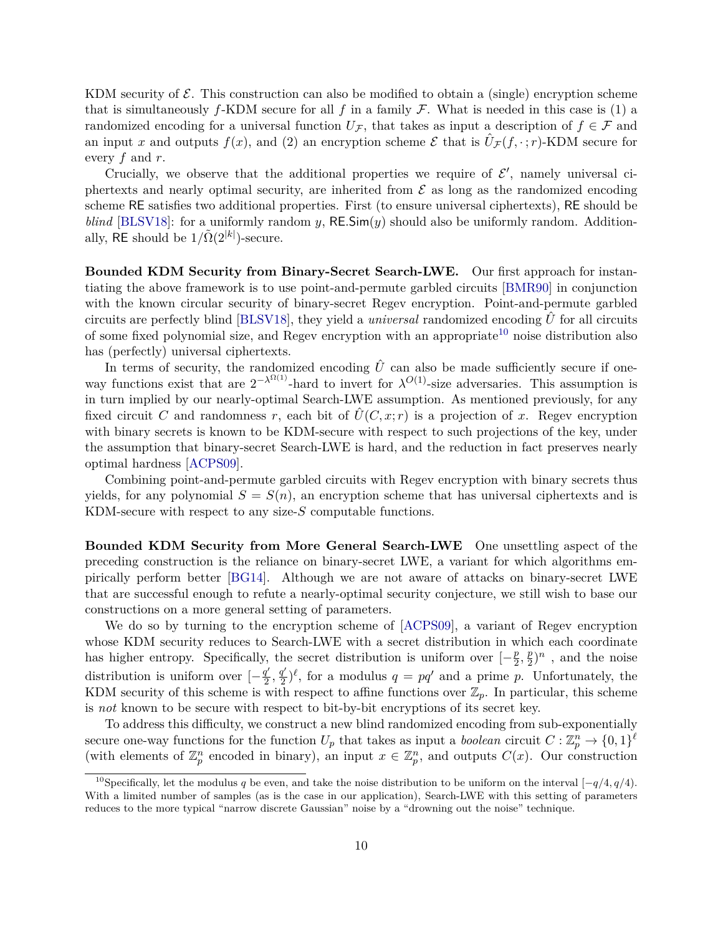KDM security of  $\mathcal{E}$ . This construction can also be modified to obtain a (single) encryption scheme that is simultaneously  $f$ -KDM secure for all  $f$  in a family  $\mathcal F$ . What is needed in this case is (1) a randomized encoding for a universal function  $U_{\mathcal{F}}$ , that takes as input a description of  $f \in \mathcal{F}$  and an input *x* and outputs  $f(x)$ , and (2) an encryption scheme  $\mathcal E$  that is  $\hat U_{\mathcal F}(f, \cdot; r)$ -KDM secure for every *f* and *r*.

Crucially, we observe that the additional properties we require of  $\mathcal{E}'$ , namely universal ciphertexts and nearly optimal security, are inherited from  $\mathcal E$  as long as the randomized encoding scheme RE satisfies two additional properties. First (to ensure universal ciphertexts), RE should be *blind* [\[BLSV18\]](#page-51-8): for a uniformly random *y*,  $RE\text{Sim}(y)$  should also be uniformly random. Additionally, RE should be  $1/\tilde{\Omega}(2^{|k|})$ -secure.

**Bounded KDM Security from Binary-Secret Search-LWE.** Our first approach for instantiating the above framework is to use point-and-permute garbled circuits [\[BMR90\]](#page-51-9) in conjunction with the known circular security of binary-secret Regev encryption. Point-and-permute garbled circuits are perfectly blind [\[BLSV18\]](#page-51-8), they yield a *universal* randomized encoding  $\hat{U}$  for all circuits of some fixed polynomial size, and Regev encryption with an appropriate<sup>[10](#page-11-0)</sup> noise distribution also has (perfectly) universal ciphertexts.

In terms of security, the randomized encoding  $\hat{U}$  can also be made sufficiently secure if oneway functions exist that are  $2^{-\lambda^{\Omega(1)}}$ -hard to invert for  $\lambda^{O(1)}$ -size adversaries. This assumption is in turn implied by our nearly-optimal Search-LWE assumption. As mentioned previously, for any fixed circuit *C* and randomness *r*, each bit of  $\hat{U}(C, x; r)$  is a projection of *x*. Regev encryption with binary secrets is known to be KDM-secure with respect to such projections of the key, under the assumption that binary-secret Search-LWE is hard, and the reduction in fact preserves nearly optimal hardness [\[ACPS09\]](#page-50-7).

Combining point-and-permute garbled circuits with Regev encryption with binary secrets thus yields, for any polynomial  $S = S(n)$ , an encryption scheme that has universal ciphertexts and is KDM-secure with respect to any size-*S* computable functions.

**Bounded KDM Security from More General Search-LWE** One unsettling aspect of the preceding construction is the reliance on binary-secret LWE, a variant for which algorithms empirically perform better [\[BG14\]](#page-51-10). Although we are not aware of attacks on binary-secret LWE that are successful enough to refute a nearly-optimal security conjecture, we still wish to base our constructions on a more general setting of parameters.

We do so by turning to the encryption scheme of [\[ACPS09\]](#page-50-7), a variant of Regev encryption whose KDM security reduces to Search-LWE with a secret distribution in which each coordinate has higher entropy. Specifically, the secret distribution is uniform over  $\left[-\frac{p}{2}\right]$  $\frac{p}{2}, \frac{p}{2}$  $(\frac{p}{2})^n$ , and the noise distribution is uniform over  $\left[-\frac{q'}{2}\right]$  $\frac{q'}{2}, \frac{q'}{2}$  $q' = \frac{q'}{2}$ , for a modulus  $q = pq'$  and a prime *p*. Unfortunately, the KDM security of this scheme is with respect to affine functions over  $\mathbb{Z}_p$ . In particular, this scheme is *not* known to be secure with respect to bit-by-bit encryptions of its secret key.

To address this difficulty, we construct a new blind randomized encoding from sub-exponentially secure one-way functions for the function  $U_p$  that takes as input a *boolean* circuit  $C: \mathbb{Z}_p^n \to \{0,1\}^{\ell}$ (with elements of  $\mathbb{Z}_p^n$  encoded in binary), an input  $x \in \mathbb{Z}_p^n$ , and outputs  $C(x)$ . Our construction

<span id="page-11-0"></span><sup>10</sup>Specifically, let the modulus *q* be even, and take the noise distribution to be uniform on the interval [−*q/*4*, q/*4). With a limited number of samples (as is the case in our application), Search-LWE with this setting of parameters reduces to the more typical "narrow discrete Gaussian" noise by a "drowning out the noise" technique.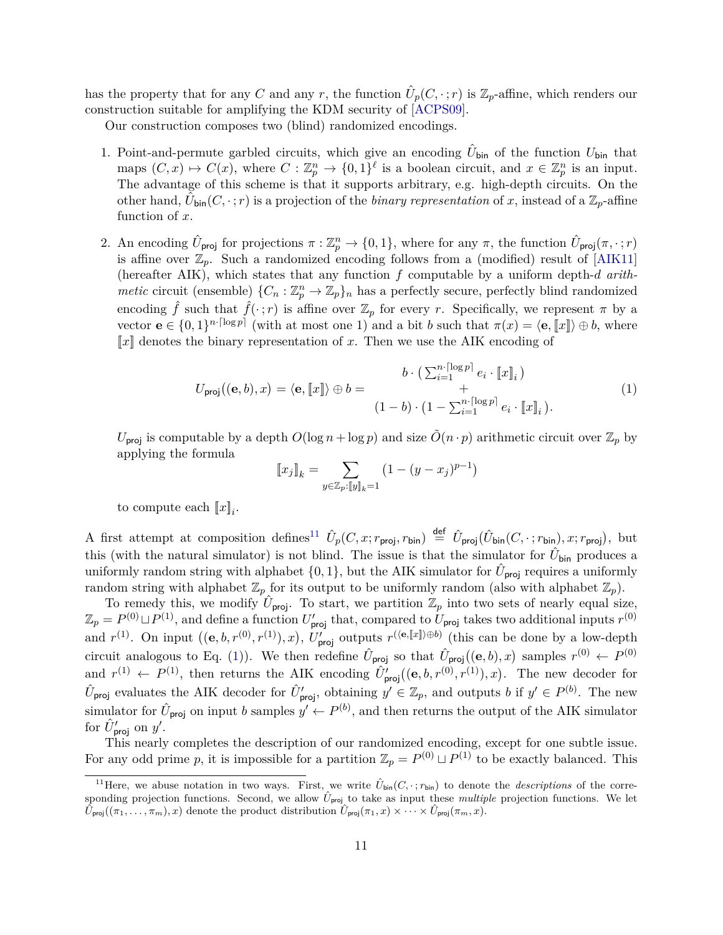has the property that for any *C* and any *r*, the function  $\hat{U}_p(C, \cdot; r)$  is  $\mathbb{Z}_p$ -affine, which renders our construction suitable for amplifying the KDM security of [\[ACPS09\]](#page-50-7).

Our construction composes two (blind) randomized encodings.

- 1. Point-and-permute garbled circuits, which give an encoding  $\hat{U}_{\text{bin}}$  of the function  $U_{\text{bin}}$  that maps  $(C, x) \mapsto C(x)$ , where  $C: \mathbb{Z}_p^n \to \{0,1\}^{\ell}$  is a boolean circuit, and  $x \in \mathbb{Z}_p^n$  is an input. The advantage of this scheme is that it supports arbitrary, e.g. high-depth circuits. On the other hand,  $\tilde{U}_{\text{bin}}(C, \cdot; r)$  is a projection of the *binary representation* of *x*, instead of a  $\mathbb{Z}_p$ -affine function of *x*.
- 2. An encoding  $\hat{U}_{\text{proj}}$  for projections  $\pi : \mathbb{Z}_p^n \to \{0,1\}$ , where for any  $\pi$ , the function  $\hat{U}_{\text{proj}}(\pi, \cdot; r)$ is affine over  $\mathbb{Z}_p$ . Such a randomized encoding follows from a (modified) result of [\[AIK11\]](#page-50-10) (hereafter AIK), which states that any function *f* computable by a uniform depth-*d arithmetic* circuit (ensemble)  $\{C_n : \mathbb{Z}_p^n \to \mathbb{Z}_p\}$  has a perfectly secure, perfectly blind randomized encoding  $\hat{f}$  such that  $\hat{f}(\cdot; r)$  is affine over  $\mathbb{Z}_p$  for every *r*. Specifically, we represent  $\pi$  by a vector  $\mathbf{e} \in \{0,1\}^{n \cdot \lceil \log p \rceil}$  (with at most one 1) and a bit *b* such that  $\pi(x) = \langle \mathbf{e}, \llbracket x \rrbracket \rangle \oplus b$ , where  $\llbracket x \rrbracket$  denotes the binary representation of x. Then we use the AIK encoding of

<span id="page-12-1"></span>
$$
U_{\text{proj}}((\mathbf{e},b),x) = \langle \mathbf{e}, [\![x]\!] \rangle \oplus b = \begin{cases} b \cdot \left( \sum_{i=1}^{n \lceil \log p \rceil} e_i \cdot [\![x]\!]_i \right) \\ + \\ (1-b) \cdot \left( 1 - \sum_{i=1}^{n \lceil \log p \rceil} e_i \cdot [\![x]\!]_i \right). \end{cases} \tag{1}
$$

 $U_{\text{proj}}$  is computable by a depth  $O(\log n + \log p)$  and size  $O(n \cdot p)$  arithmetic circuit over  $\mathbb{Z}_p$  by applying the formula

$$
[[x_j]]_k = \sum_{y \in \mathbb{Z}_p : [y]_k = 1} (1 - (y - x_j)^{p-1})
$$

to compute each  $\llbracket x \rrbracket_i$ .

A first attempt at composition defines<sup>[11](#page-12-0)</sup>  $\hat{U}_p(C, x; r_{\text{proj}}, r_{\text{bin}}) \stackrel{\text{def}}{=} \hat{U}_{\text{proj}}(\hat{U}_{\text{bin}}(C, \cdot; r_{\text{bin}}), x; r_{\text{proj}})$ , but this (with the natural simulator) is not blind. The issue is that the simulator for  $\hat{U}_{\text{bin}}$  produces a uniformly random string with alphabet  $\{0, 1\}$ , but the AIK simulator for  $\hat{U}_{\text{proj}}$  requires a uniformly random string with alphabet  $\mathbb{Z}_p$  for its output to be uniformly random (also with alphabet  $\mathbb{Z}_p$ ).

To remedy this, we modify  $\hat{U}_{\text{proj}}$ . To start, we partition  $\mathbb{Z}_p$  into two sets of nearly equal size,  $\mathbb{Z}_p = P^{(0)} \sqcup P^{(1)}$ , and define a function  $U'_{\text{proj}}$  that, compared to  $U_{\text{proj}}$  takes two additional inputs  $r^{(0)}$ and  $r^{(1)}$ . On input  $((e, b, r^{(0)}, r^{(1)}), x)$ ,  $U'_{\text{proj}}$  outputs  $r^{(\langle e, \llbracket x \rrbracket \rangle \oplus b)}$  (this can be done by a low-depth circuit analogous to Eq. [\(1\)](#page-12-1)). We then redefine  $\hat{U}_{\text{proj}}$  so that  $\hat{U}_{\text{proj}}((e, b), x)$  samples  $r^{(0)} \leftarrow P^{(0)}$ and  $r^{(1)} \leftarrow P^{(1)}$ , then returns the AIK encoding  $\hat{U}'_{\text{proj}}((e, b, r^{(0)}, r^{(1)}), x)$ . The new decoder for  $\hat{U}_{\text{proj}}$  evaluates the AIK decoder for  $\hat{U}'_{\text{proj}}$ , obtaining  $y' \in \mathbb{Z}_p$ , and outputs *b* if  $y' \in P^{(b)}$ . The new simulator for  $\hat{U}_{\text{proj}}$  on input *b* samples  $y' \leftarrow P^{(b)}$ , and then returns the output of the AIK simulator for  $\hat{U}_{\text{proj}}'$  on  $y'$ .

This nearly completes the description of our randomized encoding, except for one subtle issue. For any odd prime *p*, it is impossible for a partition  $\mathbb{Z}_p = P^{(0)} \sqcup P^{(1)}$  to be exactly balanced. This

<span id="page-12-0"></span><sup>&</sup>lt;sup>11</sup>Here, we abuse notation in two ways. First, we write  $\hat{U}_{\text{bin}}(C, \cdot; r_{\text{bin}})$  to denote the *descriptions* of the corresponding projection functions. Second, we allow  $\hat{U}_{\text{proj}}$  to take as input these *multiple* projection functions. We let  $\hat{U}_{\text{proj}}((\pi_1, \ldots, \pi_m), x)$  denote the product distribution  $\hat{U}_{\text{proj}}(\pi_1, x) \times \cdots \times \hat{U}_{\text{proj}}(\pi_m, x)$ .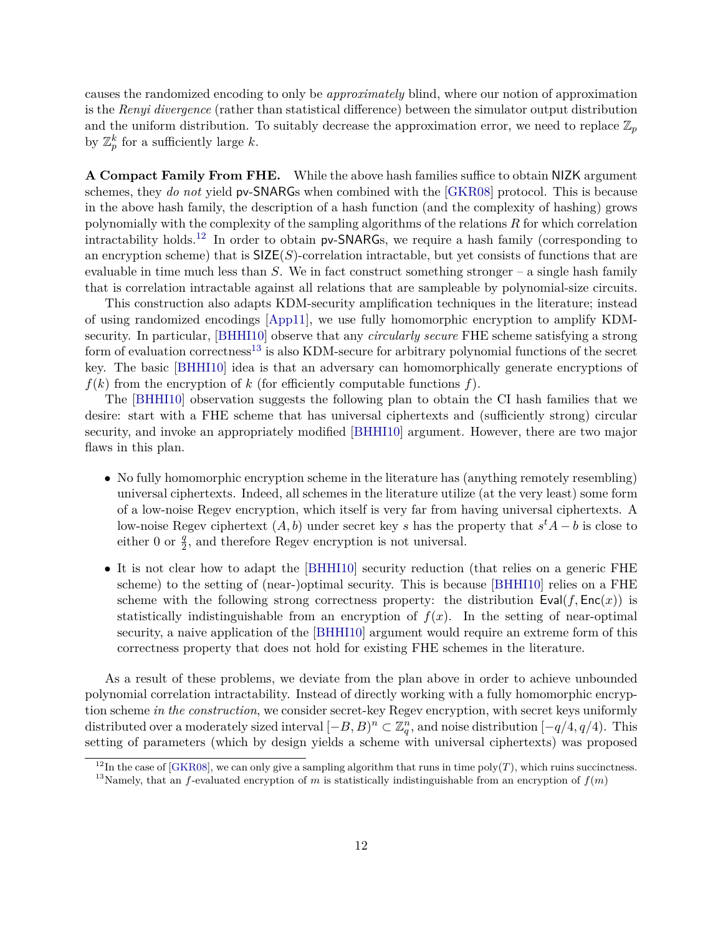causes the randomized encoding to only be *approximately* blind, where our notion of approximation is the *Renyi divergence* (rather than statistical difference) between the simulator output distribution and the uniform distribution. To suitably decrease the approximation error, we need to replace  $\mathbb{Z}_p$ by  $\mathbb{Z}_p^k$  for a sufficiently large *k*.

**A Compact Family From FHE.** While the above hash families suffice to obtain NIZK argument schemes, they *do not* yield pv-SNARGs when combined with the [\[GKR08\]](#page-52-4) protocol. This is because in the above hash family, the description of a hash function (and the complexity of hashing) grows polynomially with the complexity of the sampling algorithms of the relations *R* for which correlation intractability holds.<sup>[12](#page-13-0)</sup> In order to obtain  $pv$ -SNARGs, we require a hash family (corresponding to an encryption scheme) that is  $\mathsf{SIZE}(S)$ -correlation intractable, but yet consists of functions that are evaluable in time much less than *S*. We in fact construct something stronger – a single hash family that is correlation intractable against all relations that are sampleable by polynomial-size circuits.

This construction also adapts KDM-security amplification techniques in the literature; instead of using randomized encodings [\[App11\]](#page-50-8), we use fully homomorphic encryption to amplify KDMsecurity. In particular, [\[BHHI10\]](#page-51-7) observe that any *circularly secure* FHE scheme satisfying a strong form of evaluation correctness<sup>[13](#page-13-1)</sup> is also KDM-secure for arbitrary polynomial functions of the secret key. The basic [\[BHHI10\]](#page-51-7) idea is that an adversary can homomorphically generate encryptions of  $f(k)$  from the encryption of  $k$  (for efficiently computable functions  $f$ ).

The [\[BHHI10\]](#page-51-7) observation suggests the following plan to obtain the CI hash families that we desire: start with a FHE scheme that has universal ciphertexts and (sufficiently strong) circular security, and invoke an appropriately modified [\[BHHI10\]](#page-51-7) argument. However, there are two major flaws in this plan.

- No fully homomorphic encryption scheme in the literature has (anything remotely resembling) universal ciphertexts. Indeed, all schemes in the literature utilize (at the very least) some form of a low-noise Regev encryption, which itself is very far from having universal ciphertexts. A low-noise Regev ciphertext  $(A, b)$  under secret key *s* has the property that  $s<sup>t</sup>A - b$  is close to either 0 or  $\frac{q}{2}$ , and therefore Regev encryption is not universal.
- It is not clear how to adapt the [\[BHHI10\]](#page-51-7) security reduction (that relies on a generic FHE scheme) to the setting of (near-)optimal security. This is because [\[BHHI10\]](#page-51-7) relies on a FHE scheme with the following strong correctness property: the distribution  $Eval(f, Enc(x))$  is statistically indistinguishable from an encryption of  $f(x)$ . In the setting of near-optimal security, a naive application of the [\[BHHI10\]](#page-51-7) argument would require an extreme form of this correctness property that does not hold for existing FHE schemes in the literature.

As a result of these problems, we deviate from the plan above in order to achieve unbounded polynomial correlation intractability. Instead of directly working with a fully homomorphic encryption scheme *in the construction*, we consider secret-key Regev encryption, with secret keys uniformly distributed over a moderately sized interval  $[-B, B)^n \subset \mathbb{Z}_q^n$ , and noise distribution  $[-q/4, q/4)$ . This setting of parameters (which by design yields a scheme with universal ciphertexts) was proposed

<span id="page-13-1"></span><span id="page-13-0"></span><sup>&</sup>lt;sup>12</sup>In the case of [\[GKR08\]](#page-52-4), we can only give a sampling algorithm that runs in time poly(*T*), which ruins succinctness. <sup>13</sup>Namely, that an *f*-evaluated encryption of *m* is statistically indistinguishable from an encryption of  $f(m)$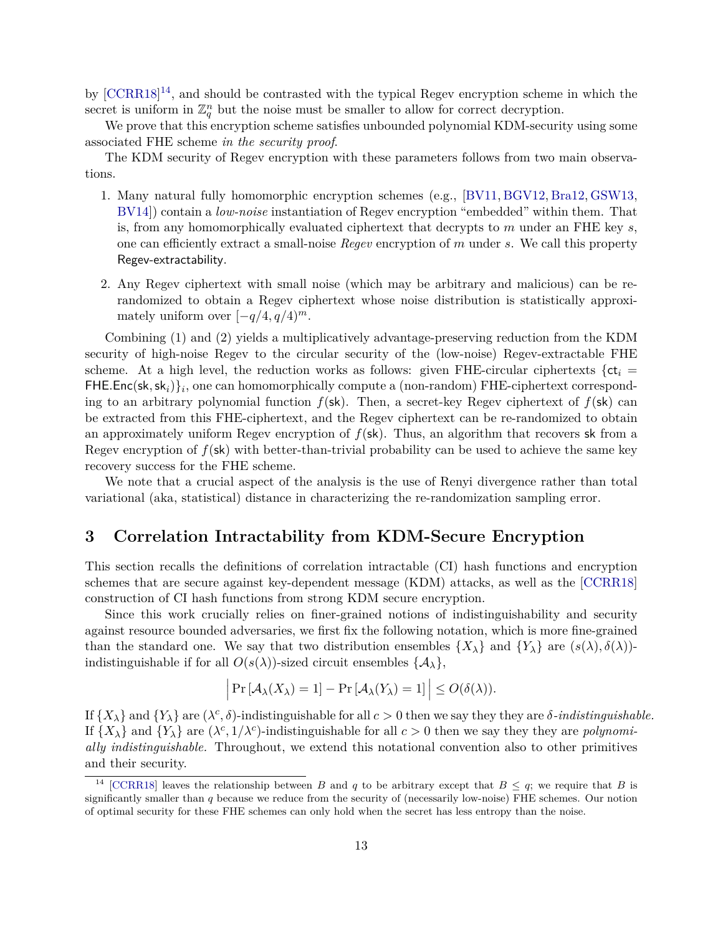by [\[CCRR18\]](#page-52-2)<sup>[14](#page-14-1)</sup>, and should be contrasted with the typical Regev encryption scheme in which the secret is uniform in  $\mathbb{Z}_q^n$  but the noise must be smaller to allow for correct decryption.

We prove that this encryption scheme satisfies unbounded polynomial KDM-security using some associated FHE scheme *in the security proof*.

The KDM security of Regev encryption with these parameters follows from two main observations.

- 1. Many natural fully homomorphic encryption schemes (e.g., [\[BV11,](#page-51-0) [BGV12,](#page-51-1) [Bra12,](#page-51-2) [GSW13,](#page-53-3) [BV14\]](#page-52-5)) contain a *low-noise* instantiation of Regev encryption "embedded" within them. That is, from any homomorphically evaluated ciphertext that decrypts to *m* under an FHE key *s*, one can efficiently extract a small-noise *Regev* encryption of *m* under *s*. We call this property Regev-extractability.
- 2. Any Regev ciphertext with small noise (which may be arbitrary and malicious) can be rerandomized to obtain a Regev ciphertext whose noise distribution is statistically approximately uniform over  $[-q/4, q/4]^m$ .

Combining (1) and (2) yields a multiplicatively advantage-preserving reduction from the KDM security of high-noise Regev to the circular security of the (low-noise) Regev-extractable FHE scheme. At a high level, the reduction works as follows: given FHE-circular ciphertexts  $\{ct_i =$ FHE*.*Enc(sk*,*sk*i*)}*<sup>i</sup>* , one can homomorphically compute a (non-random) FHE-ciphertext corresponding to an arbitrary polynomial function  $f(\mathsf{sk})$ . Then, a secret-key Regev ciphertext of  $f(\mathsf{sk})$  can be extracted from this FHE-ciphertext, and the Regev ciphertext can be re-randomized to obtain an approximately uniform Regev encryption of  $f(\mathsf{sk})$ . Thus, an algorithm that recovers sk from a Regev encryption of *f*(sk) with better-than-trivial probability can be used to achieve the same key recovery success for the FHE scheme.

We note that a crucial aspect of the analysis is the use of Renyi divergence rather than total variational (aka, statistical) distance in characterizing the re-randomization sampling error.

## <span id="page-14-0"></span>**3 Correlation Intractability from KDM-Secure Encryption**

This section recalls the definitions of correlation intractable (CI) hash functions and encryption schemes that are secure against key-dependent message (KDM) attacks, as well as the [\[CCRR18\]](#page-52-2) construction of CI hash functions from strong KDM secure encryption.

Since this work crucially relies on finer-grained notions of indistinguishability and security against resource bounded adversaries, we first fix the following notation, which is more fine-grained than the standard one. We say that two distribution ensembles  $\{X_{\lambda}\}\$ and  $\{Y_{\lambda}\}\$ are  $(s(\lambda), \delta(\lambda))$ indistinguishable if for all  $O(s(\lambda))$ -sized circuit ensembles  $\{\mathcal{A}_{\lambda}\},\$ 

$$
\left|\Pr\left[\mathcal{A}_{\lambda}(X_{\lambda})=1\right]-\Pr\left[\mathcal{A}_{\lambda}(Y_{\lambda})=1\right]\right|\leq O(\delta(\lambda)).
$$

If  $\{X_{\lambda}\}\$ and  $\{Y_{\lambda}\}\$ are  $(\lambda^{c}, \delta)$ -indistinguishable for all  $c > 0$  then we say they they are  $\delta$ -*indistinguishable*. If  $\{X_{\lambda}\}\$ and  $\{Y_{\lambda}\}\$ are  $(\lambda^{c}, 1/\lambda^{c})$ -indistinguishable for all  $c > 0$  then we say they they are *polynomially indistinguishable.* Throughout, we extend this notational convention also to other primitives and their security.

<span id="page-14-1"></span><sup>&</sup>lt;sup>14</sup> [\[CCRR18\]](#page-52-2) leaves the relationship between *B* and *q* to be arbitrary except that  $B \leq q$ ; we require that *B* is significantly smaller than *q* because we reduce from the security of (necessarily low-noise) FHE schemes. Our notion of optimal security for these FHE schemes can only hold when the secret has less entropy than the noise.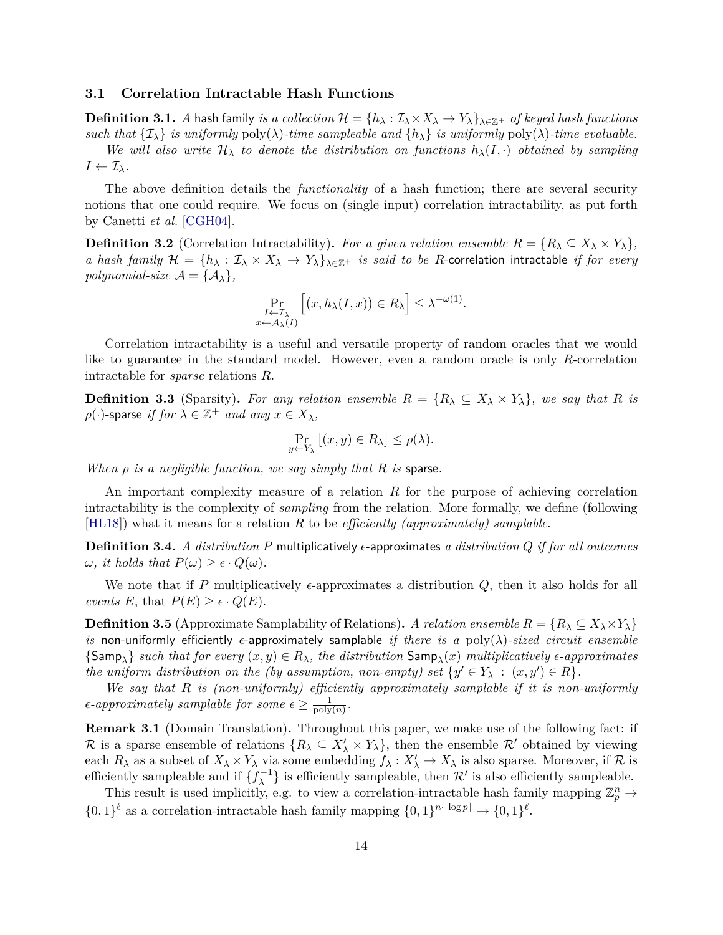### <span id="page-15-0"></span>**3.1 Correlation Intractable Hash Functions**

**Definition 3.1.** *A* hash family *is a collection*  $\mathcal{H} = \{h_\lambda : \mathcal{I}_\lambda \times X_\lambda \to Y_\lambda\}_{\lambda \in \mathbb{Z}^+}$  *of keyed hash functions such that*  $\{\mathcal{I}_\lambda\}$  *is uniformly* poly( $\lambda$ )*-time sampleable and*  $\{h_\lambda\}$  *is uniformly* poly( $\lambda$ )*-time evaluable.* 

*We will also write*  $H_{\lambda}$  *to denote the distribution on functions*  $h_{\lambda}(I, \cdot)$  *obtained by sampling*  $I \leftarrow \mathcal{I}_{\lambda}$ *.* 

The above definition details the *functionality* of a hash function; there are several security notions that one could require. We focus on (single input) correlation intractability, as put forth by Canetti *et al.* [\[CGH04\]](#page-52-7).

**Definition 3.2** (Correlation Intractability). For a given relation ensemble  $R = \{R_\lambda \subseteq X_\lambda \times Y_\lambda\}$ , *a hash family*  $\mathcal{H} = \{h_\lambda : \mathcal{I}_\lambda \times X_\lambda \to Y_\lambda\}_{\lambda \in \mathbb{Z}^+}$  *is said to be R*-correlation intractable *if for every polynomial-size*  $\mathcal{A} = {\mathcal{A}_{\lambda}}$ ,

$$
\Pr_{\substack{I \leftarrow \mathcal{I}_{\lambda} \\ x \leftarrow \mathcal{A}_{\lambda}(I)}} \left[ (x, h_{\lambda}(I, x)) \in R_{\lambda} \right] \leq \lambda^{-\omega(1)}.
$$

Correlation intractability is a useful and versatile property of random oracles that we would like to guarantee in the standard model. However, even a random oracle is only *R*-correlation intractable for *sparse* relations *R*.

**Definition 3.3** (Sparsity). For any relation ensemble  $R = \{R_\lambda \subseteq X_\lambda \times Y_\lambda\}$ , we say that R is  $\rho(\cdot)$ -sparse *if for*  $\lambda \in \mathbb{Z}^+$  *and any*  $x \in X_{\lambda}$ *,* 

$$
\Pr_{y \leftarrow Y_{\lambda}} [(x, y) \in R_{\lambda}] \le \rho(\lambda).
$$

*When ρ is a negligible function, we say simply that R is* sparse*.*

An important complexity measure of a relation *R* for the purpose of achieving correlation intractability is the complexity of *sampling* from the relation. More formally, we define (following [\[HL18\]](#page-53-1)) what it means for a relation *R* to be *efficiently (approximately) samplable*.

**Definition 3.4.** *A distribution*  $P$  multiplicatively  $\epsilon$ -approximates *a distribution*  $Q$  *if for all outcomes*  $\omega$ *, it holds that*  $P(\omega) \geq \epsilon \cdot Q(\omega)$ *.* 

We note that if *P* multiplicatively  $\epsilon$ -approximates a distribution  $Q$ , then it also holds for all *events*  $E$ , that  $P(E) \geq \epsilon \cdot Q(E)$ .

**Definition 3.5** (Approximate Samplability of Relations). *A relation ensemble*  $R = \{R_\lambda \subseteq X_\lambda \times Y_\lambda\}$ *is* non-uniformly efficiently  $\epsilon$ -approximately samplable *if there is a* poly( $\lambda$ )*-sized circuit ensemble*  ${\sf \{Samp_\lambda\}}$  *such that for every*  $(x, y) \in R_\lambda$ , the distribution  ${\sf Samp}_\lambda(x)$  multiplicatively  $\epsilon$ -approximates *the uniform distribution on the (by assumption, non-empty) set*  $\{y' \in Y_\lambda : (x, y') \in R\}.$ 

*We say that R is (non-uniformly) efficiently approximately samplable if it is non-uniformly*  $\epsilon$ -approximately samplable for some  $\epsilon \geq \frac{1}{\text{poly}}$  $\frac{1}{\text{poly}(n)}$ .

**Remark 3.1** (Domain Translation)**.** Throughout this paper, we make use of the following fact: if R is a sparse ensemble of relations  $\{R_\lambda \subseteq X'_\lambda \times Y_\lambda\}$ , then the ensemble R' obtained by viewing each  $R_\lambda$  as a subset of  $X_\lambda \times Y_\lambda$  via some embedding  $f_\lambda: X'_\lambda \to X_\lambda$  is also sparse. Moreover, if  $\mathcal R$  is efficiently sampleable and if  $\{f_{\lambda}^{-1}\}$  is efficiently sampleable, then  $\mathcal{R}'$  is also efficiently sampleable.

This result is used implicitly, e.g. to view a correlation-intractable hash family mapping  $\mathbb{Z}_p^n \to$  $\{0,1\}^{\ell}$  as a correlation-intractable hash family mapping  $\{0,1\}^{n \cdot \lfloor \log p \rfloor} \to \{0,1\}^{\ell}$ .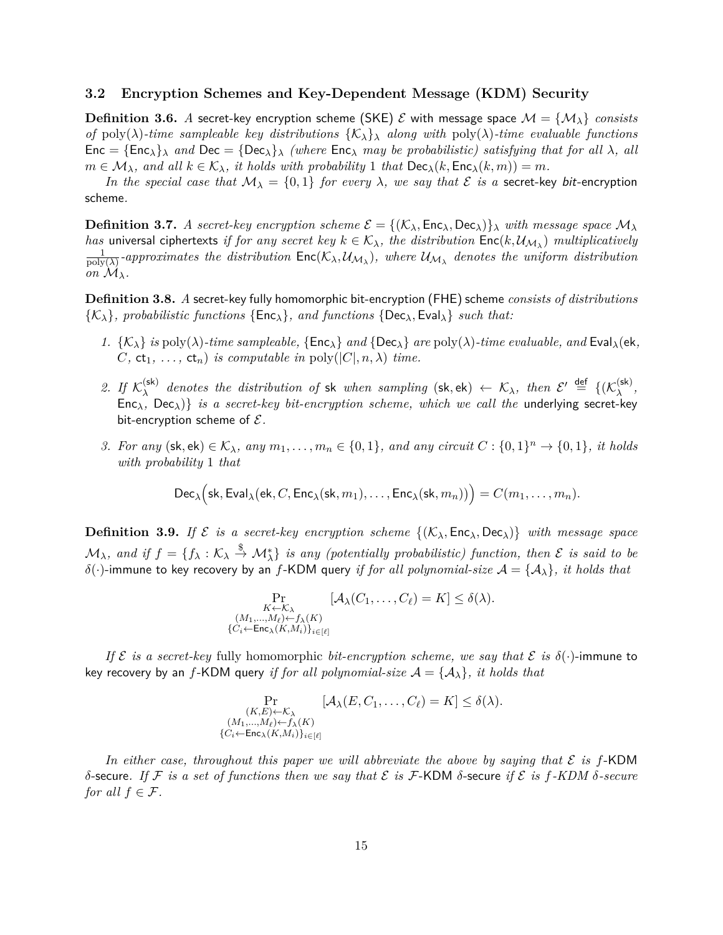#### <span id="page-16-0"></span>**3.2 Encryption Schemes and Key-Dependent Message (KDM) Security**

**Definition 3.6.** *A* secret-key encryption scheme (SKE)  $\mathcal{E}$  with message space  $\mathcal{M} = {\mathcal{M}}_{\lambda}$  *consists of* poly( $\lambda$ )-time sampleable key distributions  $\{\mathcal{K}_{\lambda}\}_{\lambda}$  along with poly( $\lambda$ )-time evaluable functions  $Enc = {Enc_{\lambda}}$ *λ and*  $Dec = {Dec_{\lambda}}$ *λ (where*  $Enc_{\lambda}$  *may be probabilistic) satisfying that for all*  $\lambda$ *, all*  $m \in \mathcal{M}_{\lambda}$ *, and all*  $k \in \mathcal{K}_{\lambda}$ *, it holds with probability* 1 *that*  $\textsf{Dec}_{\lambda}(k, \textsf{Enc}_{\lambda}(k, m)) = m$ *.* 

*In the special case that*  $M_{\lambda} = \{0, 1\}$  *for every*  $\lambda$ *, we say that*  $\mathcal{E}$  *is a* secret-key bit-encryption scheme*.*

<span id="page-16-1"></span>**Definition 3.7.** *A secret-key encryption scheme*  $\mathcal{E} = \{(\mathcal{K}_{\lambda}, \mathsf{Enc}_{\lambda}, \mathsf{Dec}_{\lambda})\}\$ *with message space*  $\mathcal{M}_{\lambda}$ *has* universal ciphertexts *if for any secret key*  $k \in \mathcal{K}_{\lambda}$ , the distribution  $\sf{Enc}(k, \mathcal{U}_{\mathcal{M}_{\lambda}})$  multiplicatively 1  $\frac{1}{\text{poly}(\lambda)}$ -approximates the distribution  $\textsf{Enc}(\mathcal{K}_\lambda, \mathcal{U}_{\mathcal{M}_\lambda})$ , where  $\mathcal{U}_{\mathcal{M}_\lambda}$  denotes the uniform distribution *on*  $M_\lambda$ *.* 

**Definition 3.8.** *A* secret-key fully homomorphic bit-encryption (FHE) scheme *consists of distributions*  $\{K_{\lambda}\}\$ *, probabilistic functions*  $\{Enc_{\lambda}\}\$ *, and functions*  $\{Dec_{\lambda}, Eval_{\lambda}\}\$  *such that:* 

- *1.*  $\{K_{\lambda}\}\$ is poly( $\lambda$ )*-time sampleable,*  $\{Enc_{\lambda}\}\$ and $\{Dec_{\lambda}\}\$ are poly( $\lambda$ )*-time evaluable, and* Eval<sub> $\lambda$ </sub>(ek,  $C$ *,*  $ct_1$ *, ...,*  $ct_n$ *) is computable in* poly( $|C|, n, \lambda$ *) time.*
- 2. If  $\mathcal{K}_{\lambda}^{(\mathsf{sk})}$  $\chi^{(sk)}$  *denotes the distribution of* sk *when sampling*  $(sk, ek) \leftarrow K_\lambda$ *, then*  $\mathcal{E}' \stackrel{\text{def}}{=} \{(\mathcal{K}_\lambda^{(sk)}),$ *λ ,* Enc<sub> $\lambda$ </sub>, Dec<sub> $\lambda$ </sub>)} *is a secret-key bit-encryption scheme, which we call the* underlying secret-key bit-encryption scheme of E*.*
- *3. For any*  $(\mathsf{sk}, \mathsf{ek}) \in \mathcal{K}_{\lambda}$ *, any*  $m_1, \ldots, m_n \in \{0, 1\}$ *, and any circuit*  $C : \{0, 1\}^n \to \{0, 1\}$ *, it holds with probability* 1 *that*

$$
\mathsf{Dec}_{\lambda}\big( \mathsf{sk}, \mathsf{Eval}_{\lambda}(\mathsf{ek}, C, \mathsf{Enc}_{\lambda}(\mathsf{sk}, m_1), \ldots, \mathsf{Enc}_{\lambda}(\mathsf{sk}, m_n)) \big) = C(m_1, \ldots, m_n).
$$

<span id="page-16-2"></span>**Definition 3.9.** If  $\mathcal{E}$  is a secret-key encryption scheme  $\{(\mathcal{K}_{\lambda}, \mathsf{Enc}_{\lambda}, \mathsf{Dec}_{\lambda})\}$  with message space  $\mathcal{M}_{\lambda}$ *, and if*  $f = \{f_{\lambda} : \mathcal{K}_{\lambda} \stackrel{\$}{\rightarrow} \mathcal{M}_{\lambda}^{*}\}$  *is any (potentially probabilistic) function, then*  $\mathcal E$  *is said to be*  $\delta(\cdot)$ -immune to key recovery by an *f*-KDM query *if for all polynomial-size*  $\mathcal{A} = {\mathcal{A}_{\lambda}}$ *, it holds that* 

$$
\Pr_{\substack{K \leftarrow \mathcal{K}_{\lambda} \\ (M_1, \ldots, M_{\ell}) \leftarrow f_{\lambda}(K) \\ \{C_i \leftarrow \mathsf{Enc}_{\lambda}(K, M_i)\}_{i \in [\ell]}} } [\mathcal{A}_{\lambda}(C_1, \ldots, C_{\ell}) = K] \le \delta(\lambda).
$$

*If*  $\mathcal{E}$  *is a secret-key* fully homomorphic *bit-encryption scheme, we say that*  $\mathcal{E}$  *is*  $\delta(\cdot)$ -immune to key recovery by an *f*-KDM query *if for all polynomial-size*  $A = \{A_\lambda\}$ *, it holds that* 

$$
\Pr_{\substack{(K,E)\leftarrow \mathcal{K}_{\lambda} \\ (M_1,\ldots,M_\ell)\leftarrow f_{\lambda}(K) \\ \{C_i\leftarrow \mathsf{Enc}_{\lambda}(K,M_i)\}_{i\in[\ell]}}}\n[\mathcal{A}_{\lambda}(E,C_1,\ldots,C_\ell) = K] \leq \delta(\lambda).
$$

In either case, throughout this paper we will abbreviate the above by saying that  $\mathcal E$  is  $f$ -KDM *δ*-secure*. If* F *is a set of functions then we say that* E *is* F-KDM *δ*-secure *if* E *is f-KDM δ-secure for all*  $f \in \mathcal{F}$ *.*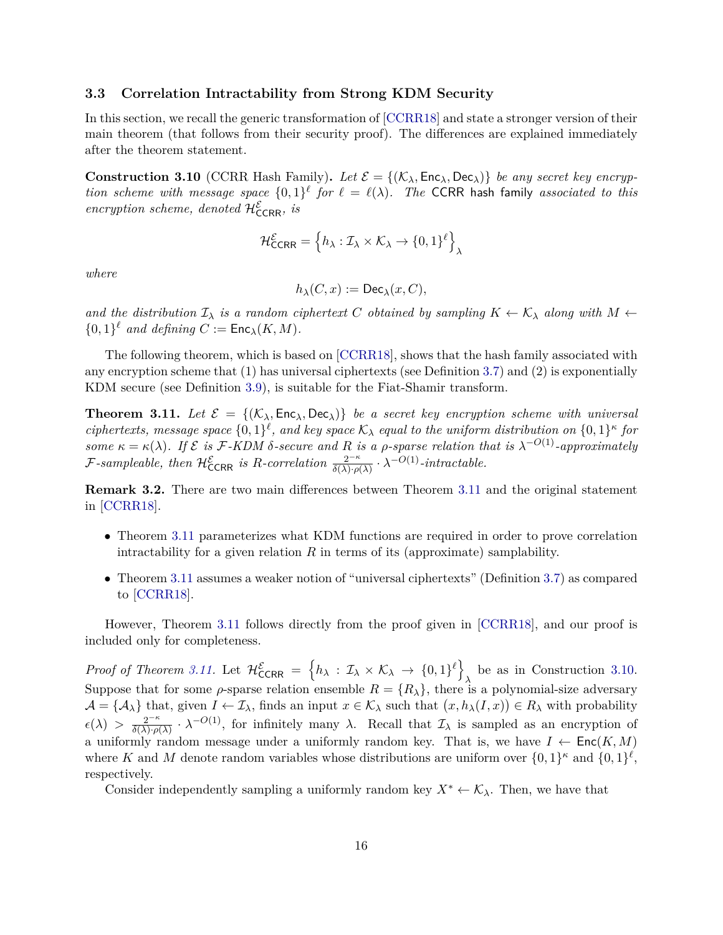### <span id="page-17-0"></span>**3.3 Correlation Intractability from Strong KDM Security**

In this section, we recall the generic transformation of [\[CCRR18\]](#page-52-2) and state a stronger version of their main theorem (that follows from their security proof). The differences are explained immediately after the theorem statement.

<span id="page-17-2"></span>**Construction 3.10** (CCRR Hash Family). Let  $\mathcal{E} = \{(\mathcal{K}_{\lambda}, \mathsf{Enc}_{\lambda}, \mathsf{Dec}_{\lambda})\}\$ be any secret key encryp*tion scheme with message space*  $\{0,1\}^{\ell}$  *for*  $\ell = \ell(\lambda)$ *. The* CCRR hash family *associated to this*  $\ell$ *encryption scheme, denoted*  $\mathcal{H}_{\text{CCRR}}^{\mathcal{E}}$ *, is* 

$$
\mathcal{H}^{\mathcal{E}}_{\text{CCRR}} = \left\{ h_{\lambda} : \mathcal{I}_{\lambda} \times \mathcal{K}_{\lambda} \to \{0,1\}^{\ell} \right\}_{\lambda}
$$

*where*

$$
h_\lambda(C,x):=\mathsf{Dec}_\lambda(x,C),
$$

*and the distribution*  $\mathcal{I}_{\lambda}$  *is a random ciphertext C obtained by sampling*  $K \leftarrow \mathcal{K}_{\lambda}$  *along with*  $M \leftarrow$  $\{0,1\}^{\ell}$  *and defining*  $C := \mathsf{Enc}_{\lambda}(K, M)$ *.* 

The following theorem, which is based on [\[CCRR18\]](#page-52-2), shows that the hash family associated with any encryption scheme that (1) has universal ciphertexts (see Definition [3.7\)](#page-16-1) and (2) is exponentially KDM secure (see Definition [3.9\)](#page-16-2), is suitable for the Fiat-Shamir transform.

<span id="page-17-1"></span>**Theorem 3.11.** Let  $\mathcal{E} = \{(\mathcal{K}_{\lambda}, \mathsf{Enc}_{\lambda}, \mathsf{Dec}_{\lambda})\}$  be a secret key encryption scheme with universal *ciphertexts, message space*  $\{0,1\}^{\ell}$ *, and key space*  $K_{\lambda}$  *equal to the uniform distribution on*  $\{0,1\}^{\kappa}$  *for some*  $\kappa = \kappa(\lambda)$ . If  $\mathcal{E}$  *is* F-KDM  $\delta$ -secure and R *is* a  $\rho$ -sparse relation that is  $\lambda^{-O(1)}$ -approximately  $\mathcal{F}$ -sampleable, then  $\mathcal{H}_{\text{CCRR}}^{\mathcal{E}}$  is R-correlation  $\frac{2^{-\kappa}}{\delta(\lambda) \cdot \rho(\lambda)} \cdot \lambda^{-O(1)}$ -intractable.

**Remark 3.2.** There are two main differences between Theorem [3.11](#page-17-1) and the original statement in [\[CCRR18\]](#page-52-2).

- Theorem [3.11](#page-17-1) parameterizes what KDM functions are required in order to prove correlation intractability for a given relation  $R$  in terms of its (approximate) samplability.
- Theorem [3.11](#page-17-1) assumes a weaker notion of "universal ciphertexts" (Definition [3.7\)](#page-16-1) as compared to [\[CCRR18\]](#page-52-2).

However, Theorem [3.11](#page-17-1) follows directly from the proof given in [\[CCRR18\]](#page-52-2), and our proof is included only for completeness.

*Proof of Theorem [3.11.](#page-17-1)* Let  $\mathcal{H}^{\mathcal{E}}_{\text{CCRR}} = \{h_\lambda : \mathcal{I}_\lambda \times \mathcal{K}_\lambda \to \{0,1\}^{\ell}\}\$ be as in Construction [3.10.](#page-17-2) Suppose that for some *ρ*-sparse relation ensemble  $R = \{R_\lambda\}$ , there is a polynomial-size adversary  $\mathcal{A} = \{A_{\lambda}\}\$ that, given  $I \leftarrow \mathcal{I}_{\lambda}$ , finds an input  $x \in \mathcal{K}_{\lambda}$  such that  $(x, h_{\lambda}(I, x)) \in R_{\lambda}$  with probability  $\epsilon(\lambda) > \frac{2^{-\kappa}}{\delta(\lambda) \cdot \rho}$  $\frac{2^{-\kappa}}{\delta(\lambda)\cdot\rho(\lambda)}$  ·  $\lambda^{-O(1)}$ , for infinitely many  $\lambda$ . Recall that  $\mathcal{I}_{\lambda}$  is sampled as an encryption of a uniformly random message under a uniformly random key. That is, we have  $I \leftarrow \mathsf{Enc}(K, M)$ where *K* and *M* denote random variables whose distributions are uniform over  $\{0,1\}^{\kappa}$  and  $\{0,1\}^{\ell}$ , respectively.

Consider independently sampling a uniformly random key  $X^* \leftarrow \mathcal{K}_{\lambda}$ . Then, we have that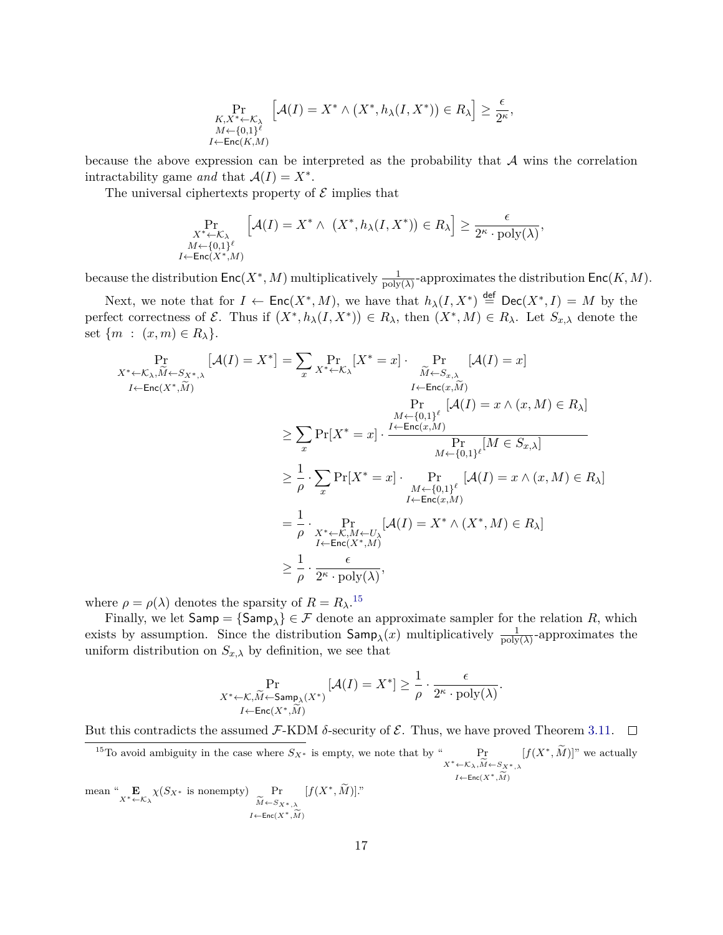$$
\Pr_{\substack{K,X^* \leftarrow \mathcal{K}_\lambda \\ M \leftarrow \{0,1\}^\ell \\ I \leftarrow \mathsf{Enc}(K,M)}} \left[\mathcal{A}(I) = X^* \land \left(X^*, h_\lambda(I, X^*)\right) \in R_\lambda\right] \ge \frac{\epsilon}{2^\kappa},
$$

because the above expression can be interpreted as the probability that  $\mathcal A$  wins the correlation intractability game *and* that  $\mathcal{A}(I) = X^*$ .

The universal ciphertexts property of  $\mathcal E$  implies that

$$
\Pr_{\substack{X^* \leftarrow \mathcal{K}_{\lambda} \\ M \leftarrow \{0,1\}^{\ell} \\ I \leftarrow \text{Enc}(X^*, M)}} \left[ \mathcal{A}(I) = X^* \land (X^*, h_\lambda(I, X^*)) \in R_\lambda \right] \ge \frac{\epsilon}{2^\kappa \cdot \text{poly}(\lambda)},
$$

because the distribution  $Enc(X^*, M)$  multiplicatively  $\frac{1}{poly(\lambda)}$ -approximates the distribution  $Enc(K, M)$ .

Next, we note that for  $I \leftarrow \mathsf{Enc}(X^*, M)$ , we have that  $h_\lambda(I, X^*) \stackrel{\text{def}}{=} \mathsf{Dec}(X^*, I) = M$  by the perfect correctness of  $\mathcal{E}$ . Thus if  $(X^*, h_\lambda(I, X^*)) \in R_\lambda$ , then  $(X^*, M) \in R_\lambda$ . Let  $S_{x,\lambda}$  denote the set  $\{m : (x,m) \in R_\lambda\}.$ 

$$
\Pr_{X^* \leftarrow \mathcal{K}_{\lambda}, \widetilde{M} \leftarrow S_{X^*, \lambda}} \left[ \mathcal{A}(I) = X^* \right] = \sum_{x} \Pr_{X^* \leftarrow \mathcal{K}_{\lambda}} [X^* = x] \cdot \Pr_{\widetilde{M} \leftarrow S_{x, \lambda}} \left[ \mathcal{A}(I) = x \right] \n\Pr_{I \leftarrow \mathsf{Enc}(x, \widetilde{M})} \Pr_{I \leftarrow \mathsf{Enc}(x, \widetilde{M})} \left[ \mathcal{A}(I) = x \land (x, M) \in R_{\lambda} \right] \n\ge \sum_{x} \Pr[X^* = x] \cdot \frac{I \leftarrow \mathsf{Enc}(x, M)}{N \leftarrow \{0, 1\}^{\ell}} \left[ \mathcal{M} \in S_{x, \lambda} \right] \n\ge \frac{1}{\rho} \cdot \sum_{x} \Pr[X^* = x] \cdot \Pr_{M \leftarrow \{0, 1\}^{\ell}} [ \mathcal{A}(I) = x \land (x, M) \in R_{\lambda} ] \nI \leftarrow \mathsf{Enc}(x, M) \nI \leftarrow \mathsf{Enc}(x, M) \nI \leftarrow \mathsf{Enc}(x, M) \n\ge \frac{1}{\rho} \cdot \Pr_{X^* \leftarrow \mathcal{K}, M \leftarrow U_{\lambda}} [\mathcal{A}(I) = X^* \land (X^*, M) \in R_{\lambda}] \n\ge \frac{1}{\rho} \cdot \frac{\epsilon}{2^{\kappa} \cdot \text{poly}(\lambda)},
$$

where  $\rho = \rho(\lambda)$  denotes the sparsity of  $R = R_{\lambda}$ .<sup>[15](#page-18-0)</sup>

Finally, we let  $\textsf{Samp} = \{\textsf{Samp}_\lambda\} \in \mathcal{F}$  denote an approximate sampler for the relation *R*, which exists by assumption. Since the distribution  $\textsf{Samp}_{\lambda}(x)$  multiplicatively  $\frac{1}{\text{poly}(\lambda)}$ -approximates the uniform distribution on  $S_{x,\lambda}$  by definition, we see that

$$
\Pr_{\substack{X^* \leftarrow \mathcal{K}, \widetilde{M} \leftarrow \mathsf{Samp}_{\lambda}(X^*) \\ I \leftarrow \mathsf{Enc}(X^*, \widetilde{M})}} [\mathcal{A}(I) = X^*] \ge \frac{1}{\rho} \cdot \frac{\epsilon}{2^{\kappa} \cdot \text{poly}(\lambda)}.
$$

But this contradicts the assumed  $\mathcal{F}\text{-KDM }\delta\text{-security of }\mathcal{E}\text{. Thus, we have proved Theorem 3.11. }\square$  $\mathcal{F}\text{-KDM }\delta\text{-security of }\mathcal{E}\text{. Thus, we have proved Theorem 3.11. }\square$  $\mathcal{F}\text{-KDM }\delta\text{-security of }\mathcal{E}\text{. Thus, we have proved Theorem 3.11. }\square$ 

<span id="page-18-0"></span><sup>15</sup>To avoid ambiguity in the case where  $S_{X^*}$  is empty, we note that by "  $X^*$  ←  $K_\lambda$ <sup>*,M*←*S*<sub>*X*</sub>∗<sub>*,λ*</sub><br>*I*<sub>*L*</sub> **F**<sub>nc</sub>(*Y*<sup>\*</sup><sub>*M*</sub>)</sub></sup> *I*←Enc $(X^*, \widetilde{M})$  $[f(X^*, \widetilde{M})]$ " we actually

mean " $\mathbf{E}_{X^* \leftarrow \mathcal{K}_{\lambda}} \chi(S_{X^*} \text{ is nonempty})$  Pr<br>  $\widetilde{M} \leftarrow S_{\lambda}$ *M*←*S*<sub>*X*</sub>∗,  $\lambda$ <sub>*i*</sub> *I*←Enc $(X^*, \widetilde{M})$  $[f(X^*, \tilde{M})]$ ."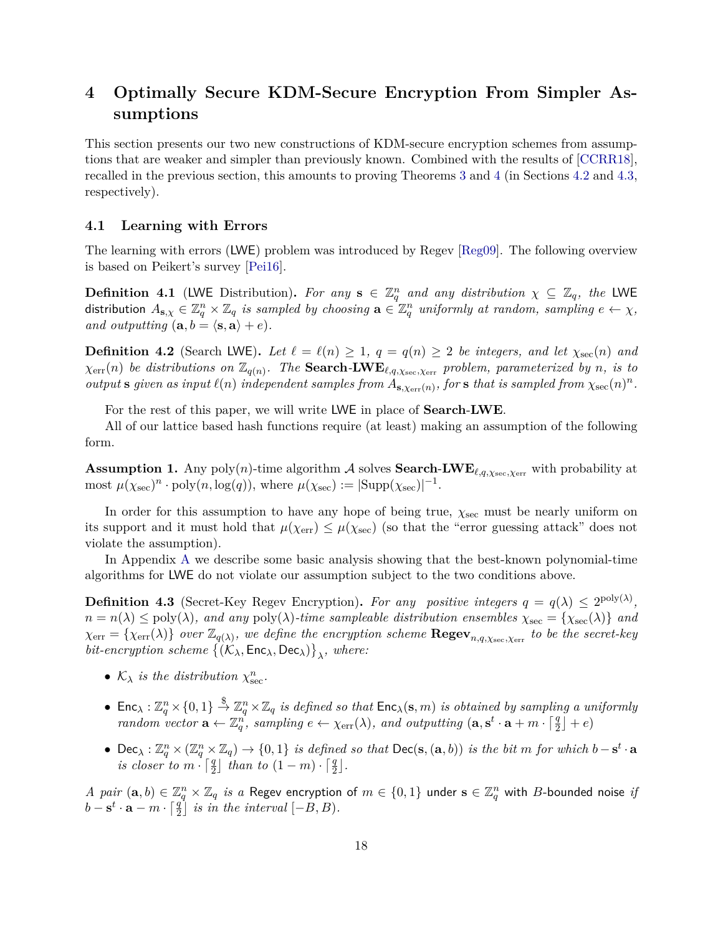# <span id="page-19-0"></span>**4 Optimally Secure KDM-Secure Encryption From Simpler Assumptions**

This section presents our two new constructions of KDM-secure encryption schemes from assumptions that are weaker and simpler than previously known. Combined with the results of [\[CCRR18\]](#page-52-2), recalled in the previous section, this amounts to proving Theorems [3](#page-4-0) and [4](#page-5-3) (in Sections [4.2](#page-20-0) and [4.3,](#page-23-0) respectively).

#### <span id="page-19-1"></span>**4.1 Learning with Errors**

The learning with errors (LWE) problem was introduced by Regev [\[Reg09\]](#page-54-6). The following overview is based on Peikert's survey [\[Pei16\]](#page-54-7).

**Definition 4.1** (LWE Distribution). For any  $s \in \mathbb{Z}_q^n$  and any distribution  $\chi \subseteq \mathbb{Z}_q$ , the LWE distribution  $A_{\mathbf{s},\chi} \in \mathbb{Z}_q^n \times \mathbb{Z}_q$  *is sampled by choosing*  $\mathbf{a} \in \mathbb{Z}_q^n$  *uniformly at random, sampling*  $e \leftarrow \chi$ *, and outputting*  $(a, b = \langle s, a \rangle + e)$ *.* 

**Definition 4.2** (Search LWE). Let  $\ell = \ell(n) \geq 1$ ,  $q = q(n) \geq 2$  be integers, and let  $\chi_{\rm sec}(n)$  and  $\chi_{\text{err}}(n)$  *be distributions on*  $\mathbb{Z}_{q(n)}$ *. The* **Search-LWE**<sub> $\ell,q,\chi_{\text{sec}},\chi_{\text{err}}}$  *problem, parameterized by n, is to*</sub> *output* **s** *given* as *input*  $\ell(n)$  *independent samples from*  $A_{s,\chi_{err}(n)}$ *, for* **s** *that is sampled from*  $\chi_{sec}(n)^n$ *.* 

For the rest of this paper, we will write LWE in place of **Search**-**LWE**.

All of our lattice based hash functions require (at least) making an assumption of the following form.

<span id="page-19-3"></span>**Assumption 1.** Any poly(*n*)-time algorithm A solves **Search-LWE**<sub>*l*,*q*,*x*<sub>sec</sub>,*x*<sub>err</sub> with probability at</sub> most  $\mu(\chi_{\text{sec}})^n \cdot \text{poly}(n, \log(q)),$  where  $\mu(\chi_{\text{sec}}) := |\text{Supp}(\chi_{\text{sec}})|^{-1}$ .

In order for this assumption to have any hope of being true,  $\chi_{\text{sec}}$  must be nearly uniform on its support and it must hold that  $\mu(\chi_{\text{err}}) \leq \mu(\chi_{\text{sec}})$  (so that the "error guessing attack" does not violate the assumption).

In Appendix [A](#page-55-0) we describe some basic analysis showing that the best-known polynomial-time algorithms for LWE do not violate our assumption subject to the two conditions above.

<span id="page-19-2"></span>**Definition 4.3** (Secret-Key Regev Encryption). For any positive integers  $q = q(\lambda) \leq 2^{\text{poly}(\lambda)}$ ,  $n = n(\lambda) \leq \text{poly}(\lambda)$ *, and any*  $\text{poly}(\lambda)$ *-time sampleable distribution ensembles*  $\chi_{\text{sec}} = {\chi_{\text{sec}}(\lambda)}$  *and*  $\chi_{err} = {\chi_{err}(\lambda)}$  *over*  $\mathbb{Z}_{q(\lambda)}$ *, we define the encryption scheme*  $\mathbf{Regev}_{n,q,\chi_{\text{sec}},\chi_{\text{err}}}$  *to be the secret-key*  $bit\text{-}encryption\; scheme\; \{(\mathcal{K}_\lambda, \mathsf{Enc}_\lambda, \mathsf{Dec}_\lambda)\}_\lambda$ , where:

- $K_{\lambda}$  *is the distribution*  $\chi_{\text{sec}}^{n}$ .
- $\bullet$  Enc<sub> $\lambda$ </sub>:  $\mathbb{Z}_q^n\times\{0,1\} \stackrel{\$}{\to} \mathbb{Z}_q^n\times\mathbb{Z}_q$  is defined so that  $\mathsf{Enc}_{\lambda}(\mathbf{s},m)$  is obtained by sampling a uniformly *random vector*  $\mathbf{a} \leftarrow \mathbb{Z}_q^n$ , sampling  $e \leftarrow \chi_{\text{err}}(\lambda)$ , and outputting  $(\mathbf{a}, \mathbf{s}^t \cdot \mathbf{a} + m \cdot \lceil \frac{q}{2} \rceil + e)$
- Dec<sub> $\lambda$ </sub>:  $\mathbb{Z}_q^n \times (\mathbb{Z}_q^n \times \mathbb{Z}_q) \to \{0,1\}$  is defined so that  $\mathsf{Dec}(\mathbf{s},(\mathbf{a},b))$  is the bit m for which  $b-\mathbf{s}^t \cdot \mathbf{a}$ *is closer to*  $m \cdot \lceil \frac{q}{2} \rceil$  *than to*  $(1 - m) \cdot \lceil \frac{q}{2} \rceil$ *.*

*A pair*  $(a, b) \in \mathbb{Z}_q^n \times \mathbb{Z}_q$  *is a* Regev encryption of  $m \in \{0, 1\}$  under  $s \in \mathbb{Z}_q^n$  with *B*-bounded noise *if*  $b - s^t \cdot a - m \cdot \left[\frac{q}{2}\right]$  *is in the interval*  $[-B, B)$ *.*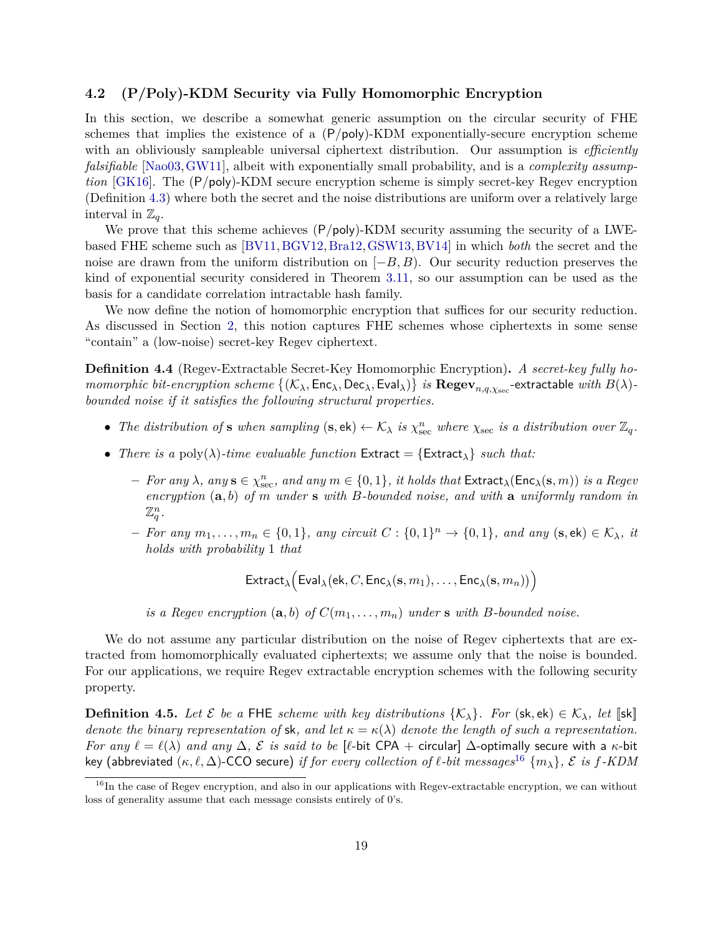### <span id="page-20-0"></span>**4.2 (P/Poly)-KDM Security via Fully Homomorphic Encryption**

In this section, we describe a somewhat generic assumption on the circular security of FHE schemes that implies the existence of a (P*/*poly)-KDM exponentially-secure encryption scheme with an obliviously sampleable universal ciphertext distribution. Our assumption is *efficiently falsifiable* [\[Nao03,](#page-54-2)[GW11\]](#page-53-2), albeit with exponentially small probability, and is a *complexity assumption* [\[GK16\]](#page-52-3). The (P*/*poly)-KDM secure encryption scheme is simply secret-key Regev encryption (Definition [4.3\)](#page-19-2) where both the secret and the noise distributions are uniform over a relatively large interval in  $\mathbb{Z}_q$ .

We prove that this scheme achieves (P*/*poly)-KDM security assuming the security of a LWEbased FHE scheme such as [\[BV11,](#page-51-0)[BGV12,](#page-51-1)[Bra12,](#page-51-2)[GSW13,](#page-53-3)[BV14\]](#page-52-5) in which *both* the secret and the noise are drawn from the uniform distribution on [−*B, B*). Our security reduction preserves the kind of exponential security considered in Theorem [3.11,](#page-17-1) so our assumption can be used as the basis for a candidate correlation intractable hash family.

We now define the notion of homomorphic encryption that suffices for our security reduction. As discussed in Section [2,](#page-7-0) this notion captures FHE schemes whose ciphertexts in some sense "contain" a (low-noise) secret-key Regev ciphertext.

**Definition 4.4** (Regev-Extractable Secret-Key Homomorphic Encryption)**.** *A secret-key fully ho* $momorphic\ bit\-encryption\ scheme\ \{(\mathcal{K}_\lambda,\mathsf{Enc}_\lambda,\mathsf{Dec}_\lambda,\mathsf{Eval}_\lambda)\}\ is\ \mathbf{Regev}_{n,q,\chi_\mathrm{sec}}\text{-extractable}\ with\ B(\lambda)\text{-}\lambda$ *bounded noise if it satisfies the following structural properties.*

- The distribution of **s** when sampling  $(s, ek) \leftarrow \mathcal{K}_{\lambda}$  is  $\chi_{\text{sec}}^n$  where  $\chi_{\text{sec}}$  is a distribution over  $\mathbb{Z}_q$ .
- *There is a* poly( $\lambda$ )-time evaluable function Extract = {Extract<sub> $\lambda$ </sub>} *such that:* 
	- $-$  *For any*  $\lambda$ *, any*  $s \in \chi_{\text{sec}}^n$ *, and any*  $m \in \{0,1\}$ *, it holds that*  $\textsf{Extract}_{\lambda}(\textsf{Enc}_{\lambda}(s,m))$  *is a Regev encryption* (**a***, b*) *of m under* **s** *with B-bounded noise, and with* **a** *uniformly random in*  $\mathbb{Z}_q^n$ .
	- $-$  *For any*  $m_1, \ldots, m_n \in \{0, 1\}$ *, any circuit*  $C : \{0, 1\}^n \to \{0, 1\}$ *, and any*  $(\mathbf{s}, \mathsf{ek}) \in \mathcal{K}_{\lambda}$ *, it holds with probability* 1 *that*

$$
\mathsf{Extract}_{\lambda}\Big(\mathsf{Eval}_{\lambda}(\mathsf{ek},C,\mathsf{Enc}_{\lambda}(\mathbf{s},m_1),\ldots,\mathsf{Enc}_{\lambda}(\mathbf{s},m_n))\Big)
$$

*is a Regev encryption*  $(a, b)$  *of*  $C(m_1, \ldots, m_n)$  *under* **s** *with B-bounded noise.* 

We do not assume any particular distribution on the noise of Regev ciphertexts that are extracted from homomorphically evaluated ciphertexts; we assume only that the noise is bounded. For our applications, we require Regev extractable encryption schemes with the following security property.

<span id="page-20-2"></span>**Definition 4.5.** *Let*  $\mathcal{E}$  *be a* FHE *scheme with key distributions*  $\{\mathcal{K}_{\lambda}\}\$ *. For* (sk, ek)  $\in \mathcal{K}_{\lambda}$ *, let* [[sk]] *denote the binary representation of* sk, and let  $\kappa = \kappa(\lambda)$  *denote the length of such a representation. For any*  $\ell = \ell(\lambda)$  *and any*  $\Delta$ , E *is said to be* [ $\ell$ -bit CPA + circular]  $\Delta$ -optimally secure with a  $\kappa$ -bit key (abbreviated  $(\kappa, \ell, \Delta)$ -CCO secure) *if for every collection of*  $\ell$ -bit messages<sup>[16](#page-20-1)</sup>  $\{m_{\lambda}\}, \mathcal{E}$  *is f-KDM* 

<span id="page-20-1"></span> $16$ In the case of Regev encryption, and also in our applications with Regev-extractable encryption, we can without loss of generality assume that each message consists entirely of 0's.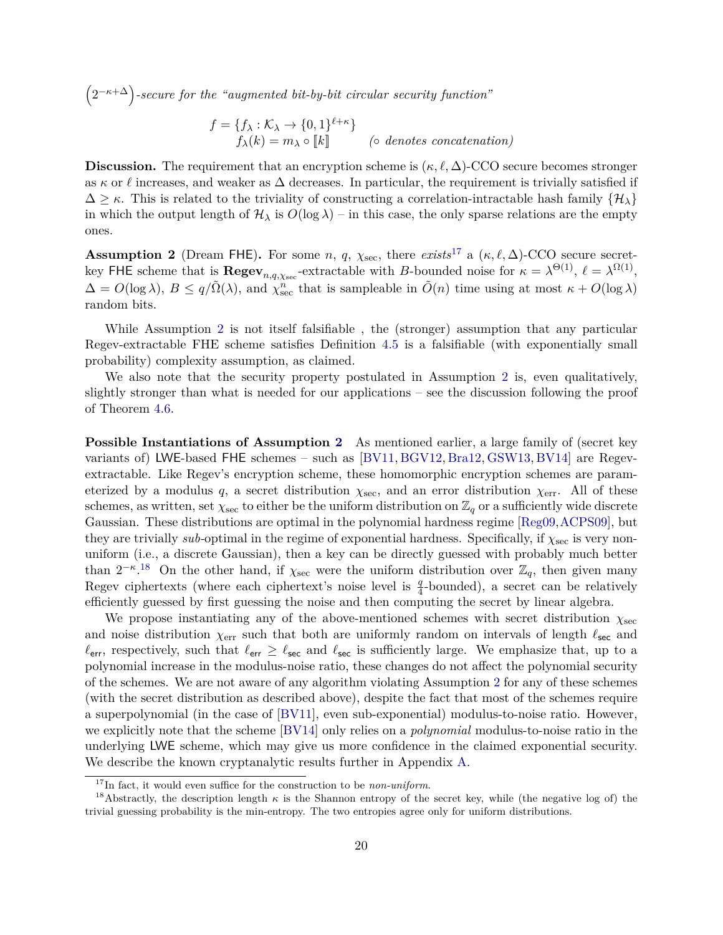2 −*κ*+∆ *-secure for the "augmented bit-by-bit circular security function"*

 $f = \{f_{\lambda} : \mathcal{K}_{\lambda} \to \{0,1\}^{\ell+\kappa}\}\$  $f_{\lambda}(k) = m_{\lambda} \circ [k]$  *(*◦ *denotes concatenation)* 

**Discussion.** The requirement that an encryption scheme is  $(\kappa, \ell, \Delta)$ -CCO secure becomes stronger as  $\kappa$  or  $\ell$  increases, and weaker as  $\Delta$  decreases. In particular, the requirement is trivially satisfied if  $\Delta \geq \kappa$ . This is related to the triviality of constructing a correlation-intractable hash family  $\{H_{\lambda}\}\$ in which the output length of  $H_\lambda$  is  $O(\log \lambda)$  – in this case, the only sparse relations are the empty ones.

<span id="page-21-1"></span>**Assumption 2** (Dream FHE). For some *n*, *q*,  $\chi_{\text{sec}}$ , there *exists*<sup>[17](#page-21-0)</sup> a ( $\kappa$ ,  $\ell$ ,  $\Delta$ )-CCO secure secretkey FHE scheme that is  $\text{Regev}_{n,q,\chi_{\text{sec}}}$ -extractable with *B*-bounded noise for  $\kappa = \lambda^{\Theta(1)}$ ,  $\ell = \lambda^{\Omega(1)}$ ,  $\Delta = O(\log \lambda)$ ,  $B \le q/\tilde{\Omega}(\lambda)$ , and  $\chi_{\text{sec}}^n$  that is sampleable in  $\tilde{O}(n)$  time using at most  $\kappa + O(\log \lambda)$ random bits.

While Assumption [2](#page-21-1) is not itself falsifiable , the (stronger) assumption that any particular Regev-extractable FHE scheme satisfies Definition [4.5](#page-20-2) is a falsifiable (with exponentially small probability) complexity assumption, as claimed.

We also note that the security property postulated in Assumption [2](#page-21-1) is, even qualitatively, slightly stronger than what is needed for our applications – see the discussion following the proof of Theorem [4.6.](#page-22-0)

**Possible Instantiations of Assumption [2](#page-21-1)** As mentioned earlier, a large family of (secret key variants of) LWE-based FHE schemes – such as [\[BV11,](#page-51-0) [BGV12,](#page-51-1) [Bra12,](#page-51-2) [GSW13,](#page-53-3) [BV14\]](#page-52-5) are Regevextractable. Like Regev's encryption scheme, these homomorphic encryption schemes are parameterized by a modulus q, a secret distribution  $\chi_{\text{sec}}$ , and an error distribution  $\chi_{\text{err}}$ . All of these schemes, as written, set  $\chi_{\rm sec}$  to either be the uniform distribution on  $\mathbb{Z}_q$  or a sufficiently wide discrete Gaussian. These distributions are optimal in the polynomial hardness regime [\[Reg09,](#page-54-6)[ACPS09\]](#page-50-7), but they are trivially *sub*-optimal in the regime of exponential hardness. Specifically, if  $\chi_{\rm sec}$  is very nonuniform (i.e., a discrete Gaussian), then a key can be directly guessed with probably much better than  $2^{-\kappa}$ .<sup>[18](#page-21-2)</sup> On the other hand, if  $\chi_{\text{sec}}$  were the uniform distribution over  $\mathbb{Z}_q$ , then given many Regev ciphertexts (where each ciphertext's noise level is  $\frac{q}{4}$ -bounded), a secret can be relatively efficiently guessed by first guessing the noise and then computing the secret by linear algebra.

We propose instantiating any of the above-mentioned schemes with secret distribution *χ*sec and noise distribution  $\chi_{\text{err}}$  such that both are uniformly random on intervals of length  $\ell_{\text{sec}}$  and  $\ell_{\text{err}}$ , respectively, such that  $\ell_{\text{err}} \geq \ell_{\text{sec}}$  and  $\ell_{\text{sec}}$  is sufficiently large. We emphasize that, up to a polynomial increase in the modulus-noise ratio, these changes do not affect the polynomial security of the schemes. We are not aware of any algorithm violating Assumption [2](#page-21-1) for any of these schemes (with the secret distribution as described above), despite the fact that most of the schemes require a superpolynomial (in the case of [\[BV11\]](#page-51-0), even sub-exponential) modulus-to-noise ratio. However, we explicitly note that the scheme [\[BV14\]](#page-52-5) only relies on a *polynomial* modulus-to-noise ratio in the underlying LWE scheme, which may give us more confidence in the claimed exponential security. We describe the known cryptanalytic results further in Appendix [A.](#page-55-0)

<span id="page-21-2"></span><span id="page-21-0"></span><sup>17</sup>In fact, it would even suffice for the construction to be *non-uniform*.

<sup>&</sup>lt;sup>18</sup>Abstractly, the description length  $\kappa$  is the Shannon entropy of the secret key, while (the negative log of) the trivial guessing probability is the min-entropy. The two entropies agree only for uniform distributions.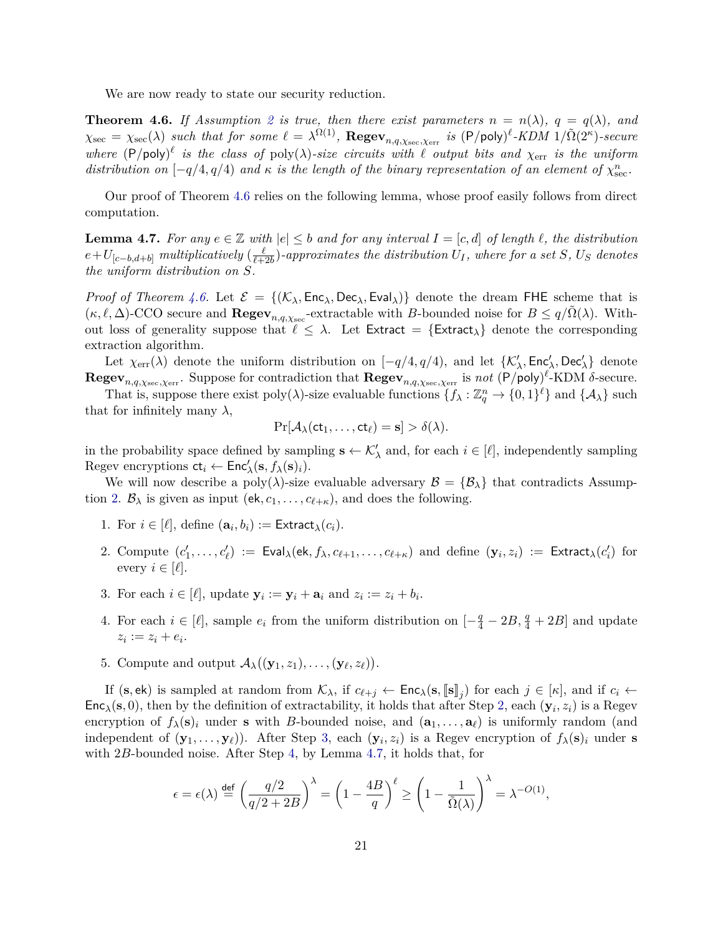We are now ready to state our security reduction.

<span id="page-22-0"></span>**Theorem 4.6.** If Assumption [2](#page-21-1) is true, then there exist parameters  $n = n(\lambda)$ ,  $q = q(\lambda)$ , and  $\chi_{\text{sec}} = \chi_{\text{sec}}(\lambda)$  *such that for some*  $\ell = \lambda^{\Omega(1)}$ ,  $\text{Regev}_{n,q,\chi_{\text{sec}},\chi_{\text{err}}}$  *is*  $(\textsf{P}/\textsf{poly})^{\ell}$ -*KDM*  $1/\tilde{\Omega}(2^{\kappa})$ -secure where  $(P/\text{poly})^{\ell}$  is the class of  $\text{poly}(\lambda)$ -size circuits with  $\ell$  output bits and  $\chi_{err}$  is the uniform *distribution on*  $[-q/4, q/4)$  *and*  $\kappa$  *is the length of the binary representation of an element of*  $\chi_{\text{sec}}^n$ .

Our proof of Theorem [4.6](#page-22-0) relies on the following lemma, whose proof easily follows from direct computation.

<span id="page-22-4"></span>**Lemma 4.7.** For any  $e \in \mathbb{Z}$  with  $|e| \leq b$  and for any interval  $I = [c, d]$  of length  $\ell$ , the distribution  $e+U_{[c-b,d+b]}$  *multiplicatively* ( $\frac{\ell}{\ell+1}$  $\frac{\ell}{\ell+2b}$ )-approximates the distribution  $U_I$ , where for a set  $S$ ,  $U_S$  denotes *the uniform distribution on S.*

*Proof of Theorem [4.6.](#page-22-0)* Let  $\mathcal{E} = \{(\mathcal{K}_{\lambda}, \text{Enc}_{\lambda}, \text{Dec}_{\lambda}, \text{Eval}_{\lambda})\}\)$  denote the dream FHE scheme that is  $(\kappa, \ell, \Delta)$ -CCO secure and **Regev**<sub>*n,q, <sub>Xsec</sub>*-extractable with *B*-bounded noise for  $B \le q/\tilde{\Omega}(\lambda)$ . With-</sub> out loss of generality suppose that  $\ell \leq \lambda$ . Let Extract = {Extract<sub> $\lambda$ </sub>} denote the corresponding extraction algorithm.

Let  $\chi_{err}(\lambda)$  denote the uniform distribution on  $[-q/4, q/4)$ , and let  $\{\mathcal{K}'_{\lambda}, \text{Enc}'_{\lambda}, \text{Dec}'_{\lambda}\}\$  denote  $\textbf{Regev}_{n,q,\chi_{\text{sec}},\chi_{\text{err}}}.$  Suppose for contradiction that  $\textbf{Regev}_{n,q,\chi_{\text{sec}},\chi_{\text{err}}}$  is *not*  $(\textsf{P/poly})^{\ell}$ -KDM  $\delta$ -secure.

That is, suppose there exist poly( $\lambda$ )-size evaluable functions  $\{f_\lambda : \mathbb{Z}_q^n \to \{0,1\}^\ell\}$  and  $\{\mathcal{A}_\lambda\}$  such that for infinitely many  $\lambda$ ,

$$
\Pr[\mathcal{A}_{\lambda}(\mathsf{ct}_1,\ldots,\mathsf{ct}_{\ell})=\mathbf{s}]>\delta(\lambda).
$$

in the probability space defined by sampling  $\mathbf{s} \leftarrow \mathcal{K}'_{\lambda}$  and, for each  $i \in [\ell]$ , independently sampling Regev encryptions  $ct_i \leftarrow Enc'_{\lambda}(s, f_{\lambda}(s)_i)$ .

We will now describe a poly( $\lambda$ )-size evaluable adversary  $\mathcal{B} = {\mathcal{B}}_{\lambda}$  that contradicts Assump-tion [2.](#page-21-1)  $\mathcal{B}_{\lambda}$  is given as input (ek,  $c_1, \ldots, c_{\ell+\kappa}$ ), and does the following.

- 1. For  $i \in [\ell]$ , define  $(\mathbf{a}_i, b_i) := \text{Extract}_{\lambda}(c_i)$ .
- <span id="page-22-1"></span>2. Compute  $(c'_1,\ldots,c'_\ell) := \text{Eval}_\lambda(\text{ek},f_\lambda,c_{\ell+1},\ldots,c_{\ell+\kappa})$  and define  $(\mathbf{y}_i,z_i) := \text{Extract}_\lambda(c'_i)$  for every  $i \in [\ell]$ .
- <span id="page-22-2"></span>3. For each  $i \in [\ell]$ , update  $\mathbf{y}_i := \mathbf{y}_i + \mathbf{a}_i$  and  $z_i := z_i + b_i$ .
- <span id="page-22-3"></span>4. For each  $i \in [\ell]$ , sample  $e_i$  from the uniform distribution on  $\left[-\frac{q}{4} - 2B, \frac{q}{4} + 2B\right]$  and update  $z_i := z_i + e_i.$
- 5. Compute and output  $\mathcal{A}_{\lambda}((y_1, z_1), \ldots, (y_{\ell}, z_{\ell}))$ .

If (**s**, ek) is sampled at random from  $\mathcal{K}_{\lambda}$ , if  $c_{\ell+j} \leftarrow \mathsf{Enc}_{\lambda}(\mathbf{s}, \llbracket \mathbf{s} \rrbracket_j)$  for each  $j \in [\kappa]$ , and if  $c_i \leftarrow$  $Enc_{\lambda}(s, 0)$ , then by the definition of extractability, it holds that after Step [2,](#page-22-1) each  $(\mathbf{y}_i, z_i)$  is a Regev encryption of  $f_{\lambda}(\mathbf{s})_i$  under **s** with *B*-bounded noise, and  $(\mathbf{a}_1, \ldots, \mathbf{a}_\ell)$  is uniformly random (and independent of  $(\mathbf{y}_1, \ldots, \mathbf{y}_\ell)$ ). After Step [3,](#page-22-2) each  $(\mathbf{y}_i, z_i)$  is a Regev encryption of  $f_\lambda(\mathbf{s})_i$  under **s** with 2*B*-bounded noise. After Step [4,](#page-22-3) by Lemma [4.7,](#page-22-4) it holds that, for

$$
\epsilon = \epsilon(\lambda) \stackrel{\text{def}}{=} \left(\frac{q/2}{q/2 + 2B}\right)^{\lambda} = \left(1 - \frac{4B}{q}\right)^{\ell} \ge \left(1 - \frac{1}{\tilde{\Omega}(\lambda)}\right)^{\lambda} = \lambda^{-O(1)},
$$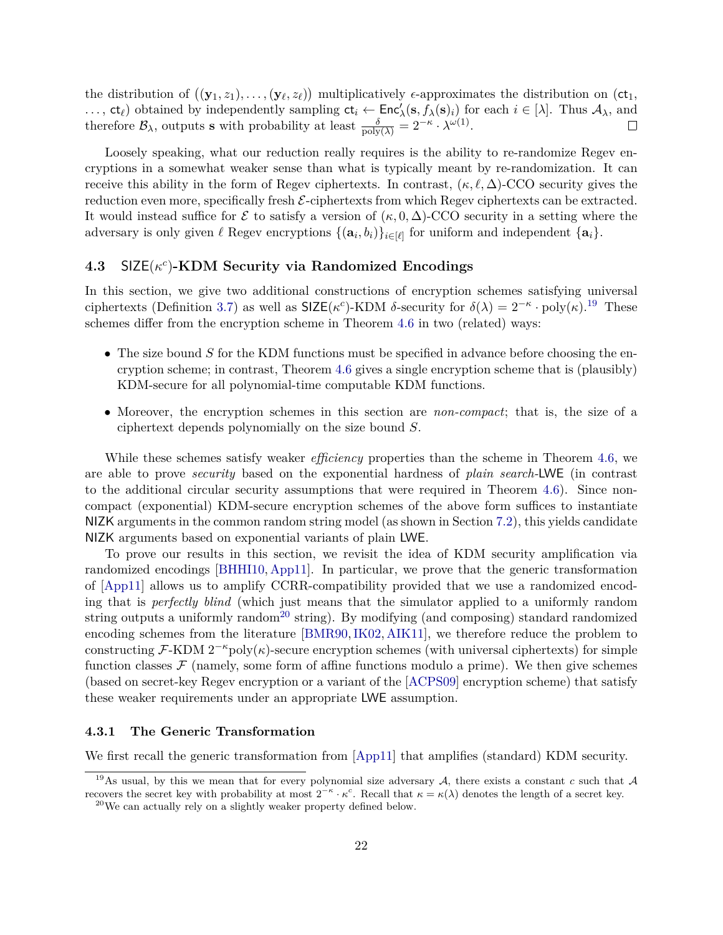the distribution of  $((y_1, z_1), \ldots, (y_\ell, z_\ell))$  multiplicatively  $\epsilon$ -approximates the distribution on  $(\mathsf{ct}_1,$ ...,  $ct_{\ell}$  obtained by independently sampling  $ct_i \leftarrow \text{Enc}'_{\lambda}(s, f_{\lambda}(s)_i)$  for each  $i \in [\lambda]$ . Thus  $\mathcal{A}_{\lambda}$ , and therefore  $\mathcal{B}_{\lambda}$ , outputs **s** with probability at least  $\frac{\delta}{\text{poly}(\lambda)} = 2^{-\kappa} \cdot \lambda^{\omega(1)}$ .

Loosely speaking, what our reduction really requires is the ability to re-randomize Regev encryptions in a somewhat weaker sense than what is typically meant by re-randomization. It can receive this ability in the form of Regev ciphertexts. In contrast,  $(\kappa, \ell, \Delta)$ -CCO security gives the reduction even more, specifically fresh  $\mathcal{E}\text{-ciphertexts}$  from which Regev ciphertexts can be extracted. It would instead suffice for  $\mathcal E$  to satisfy a version of  $(\kappa, 0, \Delta)$ -CCO security in a setting where the adversary is only given  $\ell$  Regev encryptions  $\{(\mathbf{a}_i, b_i)\}_{i \in [\ell]}$  for uniform and independent  $\{\mathbf{a}_i\}$ .

# <span id="page-23-0"></span>**4.3** SIZE(*κ c* )**-KDM Security via Randomized Encodings**

In this section, we give two additional constructions of encryption schemes satisfying universal ciphertexts (Definition [3.7\)](#page-16-1) as well as  $\text{SIZE}(\kappa^c)\text{-}\text{KDM } \delta\text{-security for } \delta(\lambda) = 2^{-\kappa} \cdot \text{poly}(\kappa)$ .<sup>[19](#page-23-1)</sup> These schemes differ from the encryption scheme in Theorem [4.6](#page-22-0) in two (related) ways:

- The size bound *S* for the KDM functions must be specified in advance before choosing the encryption scheme; in contrast, Theorem [4.6](#page-22-0) gives a single encryption scheme that is (plausibly) KDM-secure for all polynomial-time computable KDM functions.
- Moreover, the encryption schemes in this section are *non-compact*; that is, the size of a ciphertext depends polynomially on the size bound *S*.

While these schemes satisfy weaker *efficiency* properties than the scheme in Theorem [4.6,](#page-22-0) we are able to prove *security* based on the exponential hardness of *plain search-*LWE (in contrast to the additional circular security assumptions that were required in Theorem [4.6\)](#page-22-0). Since noncompact (exponential) KDM-secure encryption schemes of the above form suffices to instantiate NIZK arguments in the common random string model (as shown in Section [7.2\)](#page-43-0), this yields candidate NIZK arguments based on exponential variants of plain LWE.

To prove our results in this section, we revisit the idea of KDM security amplification via randomized encodings [\[BHHI10,](#page-51-7) [App11\]](#page-50-8). In particular, we prove that the generic transformation of [\[App11\]](#page-50-8) allows us to amplify CCRR-compatibility provided that we use a randomized encoding that is *perfectly blind* (which just means that the simulator applied to a uniformly random string outputs a uniformly random<sup>[20](#page-23-2)</sup> string). By modifying (and composing) standard randomized encoding schemes from the literature [\[BMR90,](#page-51-9)[IK02,](#page-53-8) [AIK11\]](#page-50-10), we therefore reduce the problem to constructing  $\mathcal{F}\text{-}\mathrm{KDM} 2^{-\kappa}$  poly( $\kappa$ )-secure encryption schemes (with universal ciphertexts) for simple function classes  $\mathcal F$  (namely, some form of affine functions modulo a prime). We then give schemes (based on secret-key Regev encryption or a variant of the [\[ACPS09\]](#page-50-7) encryption scheme) that satisfy these weaker requirements under an appropriate LWE assumption.

#### **4.3.1 The Generic Transformation**

We first recall the generic transformation from [\[App11\]](#page-50-8) that amplifies (standard) KDM security.

<span id="page-23-1"></span><sup>&</sup>lt;sup>19</sup>As usual, by this we mean that for every polynomial size adversary  $A$ , there exists a constant  $c$  such that  $A$ recovers the secret key with probability at most  $2^{-\kappa} \cdot \kappa^c$ . Recall that  $\kappa = \kappa(\lambda)$  denotes the length of a secret key.

<span id="page-23-2"></span> $^{20}$ We can actually rely on a slightly weaker property defined below.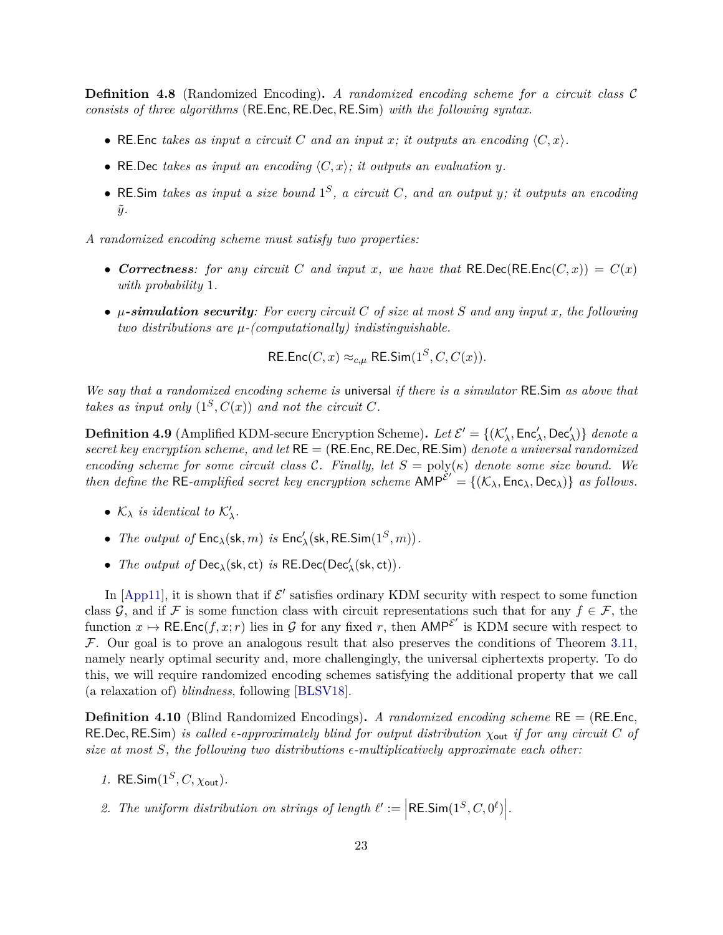**Definition 4.8** (Randomized Encoding)**.** *A randomized encoding scheme for a circuit class* C *consists of three algorithms* (RE*.*Enc*,* RE*.*Dec*,* RE*.*Sim) *with the following syntax.*

- RE. Enc *takes as input a circuit* C and an input x; it outputs an encoding  $\langle C, x \rangle$ .
- RE.Dec takes as input an encoding  $\langle C, x \rangle$ ; it outputs an evaluation y.
- RE*.*Sim *takes as input a size bound* 1 *S , a circuit C, and an output y; it outputs an encoding*  $\tilde{y}$ .

*A randomized encoding scheme must satisfy two properties:*

- *Correctness:* for any circuit *C* and input *x*, we have that RE.Dec(RE.Enc(*C*, *x*)) =  $C(x)$ *with probability* 1*.*
- *µ-simulation security: For every circuit C of size at most S and any input x, the following two distributions are µ-(computationally) indistinguishable.*

RE.Enc
$$
(C, x) \approx_{c,\mu}
$$
 RE.Sim $(1^S, C, C(x))$ .

*We say that a randomized encoding scheme is* universal *if there is a simulator* RE*.*Sim *as above that takes as input only*  $(1^S, C(x))$  *and not the circuit C.* 

<span id="page-24-0"></span>**Definition 4.9** (Amplified KDM-secure Encryption Scheme). Let  $\mathcal{E}' = \{(\mathcal{K}'_\lambda, \mathsf{Enc}'_\lambda, \mathsf{Dec}'_\lambda)\}\$  denote a *secret key encryption scheme, and let* RE = (RE*.*Enc*,* RE*.*Dec*,* RE*.*Sim) *denote a universal randomized encoding scheme for some circuit class*  $\mathcal{C}$ *. Finally, let*  $S = \text{poly}(\kappa)$  *denote some size bound.* We *then define the* RE-amplified secret key encryption scheme  $\widehat{AMP}^{\check{\mathcal{E}}'} = \{(\mathcal{K}_{\lambda}, \text{Enc}_{\lambda}, \text{Dec}_{\lambda})\}$  as follows.

- $\mathcal{K}_{\lambda}$  *is identical to*  $\mathcal{K}'_{\lambda}$ *.*
- *The output of*  $\mathsf{Enc}_\lambda(\mathsf{sk}, m)$  *is*  $\mathsf{Enc}'_\lambda(\mathsf{sk}, \mathsf{RE}.\mathsf{Sim}(1^S, m)).$
- *The output of*  $Dec_{\lambda}(\mathsf{sk}, \mathsf{ct})$  *is*  $REDec(Dec_{\lambda}^{\prime}(\mathsf{sk}, \mathsf{ct}))$ *.*

In [\[App11\]](#page-50-8), it is shown that if  $\mathcal{E}'$  satisfies ordinary KDM security with respect to some function class G, and if F is some function class with circuit representations such that for any  $f \in \mathcal{F}$ , the function  $x \mapsto \mathsf{RE}.\mathsf{Enc}(f, x; r)$  lies in G for any fixed r, then  $\mathsf{AMP}^{\mathcal{E}'}$  is KDM secure with respect to  $F$ . Our goal is to prove an analogous result that also preserves the conditions of Theorem [3.11,](#page-17-1) namely nearly optimal security and, more challengingly, the universal ciphertexts property. To do this, we will require randomized encoding schemes satisfying the additional property that we call (a relaxation of) *blindness*, following [\[BLSV18\]](#page-51-8).

**Definition 4.10** (Blind Randomized Encodings)**.** *A randomized encoding scheme* RE = (RE*.*Enc*,* RE*.*Dec*,* RE*.*Sim) *is called -approximately blind for output distribution χ*out *if for any circuit C of size at most S, the following two distributions -multiplicatively approximate each other:*

- *1.* RE*.*Sim(1*<sup>S</sup> , C, χ*out)*.*
- 2. The uniform distribution on strings of length  $\ell' := \Big|\text{RE.Sim}(1^S, C, 0^{\ell})\Big|$ .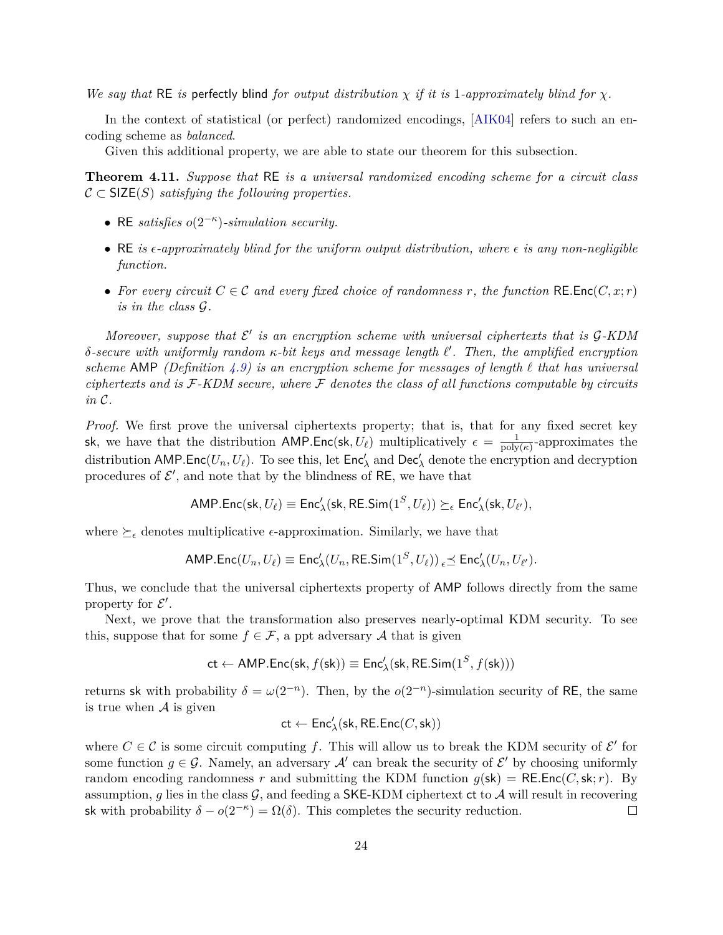*We say that* RE *is* perfectly blind *for output distribution χ if it is* 1*-approximately blind for χ.*

In the context of statistical (or perfect) randomized encodings, [\[AIK04\]](#page-50-9) refers to such an encoding scheme as *balanced*.

Given this additional property, we are able to state our theorem for this subsection.

<span id="page-25-0"></span>**Theorem 4.11.** *Suppose that* RE *is a universal randomized encoding scheme for a circuit class*  $C \subset \mathsf{SIZE}(S)$  *satisfying the following properties.* 

- RE *satisfies o*(2−*<sup>κ</sup>* )*-simulation security.*
- RE *is*  $\epsilon$ -approximately blind for the uniform output distribution, where  $\epsilon$  is any non-negligible *function.*
- For every circuit  $C \in \mathcal{C}$  and every fixed choice of randomness r, the function RE. Enc $(C, x; r)$ *is in the class* G*.*

Moreover, suppose that  $\mathcal{E}'$  is an encryption scheme with universal ciphertexts that is  $\mathcal{G}\text{-}\mathrm{KDM}$ *δ-secure with uniformly random κ-bit keys and message length `* 0 *. Then, the amplified encryption scheme* AMP *(Definition [4.9\)](#page-24-0) is an encryption scheme for messages of length*  $\ell$  *that has universal ciphertexts and is* F*-KDM secure, where* F *denotes the class of all functions computable by circuits in* C*.*

*Proof.* We first prove the universal ciphertexts property; that is, that for any fixed secret key sk, we have that the distribution AMP. Enc(sk,  $U_{\ell}$ ) multiplicatively  $\epsilon = \frac{1}{\text{poly}}$  $\frac{1}{\text{poly}(\kappa)}$ -approximates the distribution AMP. Enc $(U_n, U_\ell)$ . To see this, let  $\mathsf{Enc}'_\lambda$  and  $\mathsf{Dec}'_\lambda$  denote the encryption and decryption procedures of  $\mathcal{E}'$ , and note that by the blindness of RE, we have that

$$
\mathsf{AMP}.\mathsf{Enc}(\mathsf{sk}, U_\ell) \equiv \mathsf{Enc}'_\lambda(\mathsf{sk}, \mathsf{RE}.\mathsf{Sim}(1^S, U_\ell)) \succeq_\epsilon \mathsf{Enc}'_\lambda(\mathsf{sk}, U_{\ell'}),
$$

where  $\succeq_{\epsilon}$  denotes multiplicative  $\epsilon$ -approximation. Similarly, we have that

$$
\mathsf{AMP}.\mathsf{Enc}(U_n,U_\ell) \equiv \mathsf{Enc}'_\lambda(U_n,\mathsf{RE}.\mathsf{Sim}(1^S,U_\ell)) \mathbin{\hbox{\small$\varepsilon$}} \preceq \mathsf{Enc}'_\lambda(U_n,U_{\ell'}).
$$

Thus, we conclude that the universal ciphertexts property of AMP follows directly from the same property for  $\mathcal{E}'$ .

Next, we prove that the transformation also preserves nearly-optimal KDM security. To see this, suppose that for some  $f \in \mathcal{F}$ , a ppt adversary A that is given

$$
\mathsf{ct} \leftarrow \mathsf{AMP}.\mathsf{Enc}(\mathsf{sk}, f(\mathsf{sk})) \equiv \mathsf{Enc}'_\lambda(\mathsf{sk}, \mathsf{RE}.\mathsf{Sim}(1^S, f(\mathsf{sk})))
$$

returns sk with probability  $\delta = \omega(2^{-n})$ . Then, by the  $o(2^{-n})$ -simulation security of RE, the same is true when  $A$  is given

$$
\mathsf{ct} \leftarrow \mathsf{Enc}'_\lambda(\mathsf{sk}, \mathsf{RE}.\mathsf{Enc}(C,\mathsf{sk}))
$$

where  $C \in \mathcal{C}$  is some circuit computing f. This will allow us to break the KDM security of  $\mathcal{E}'$  for some function  $g \in \mathcal{G}$ . Namely, an adversary  $\mathcal{A}'$  can break the security of  $\mathcal{E}'$  by choosing uniformly random encoding randomness *r* and submitting the KDM function  $g(\mathsf{sk}) = \mathsf{RE}.\mathsf{Enc}(C, \mathsf{sk}; r)$ . By assumption,  $g$  lies in the class  $\mathcal{G}$ , and feeding a SKE-KDM ciphertext ct to  $\mathcal{A}$  will result in recovering sk with probability  $\delta - o(2^{-\kappa}) = \Omega(\delta)$ . This completes the security reduction.  $\Box$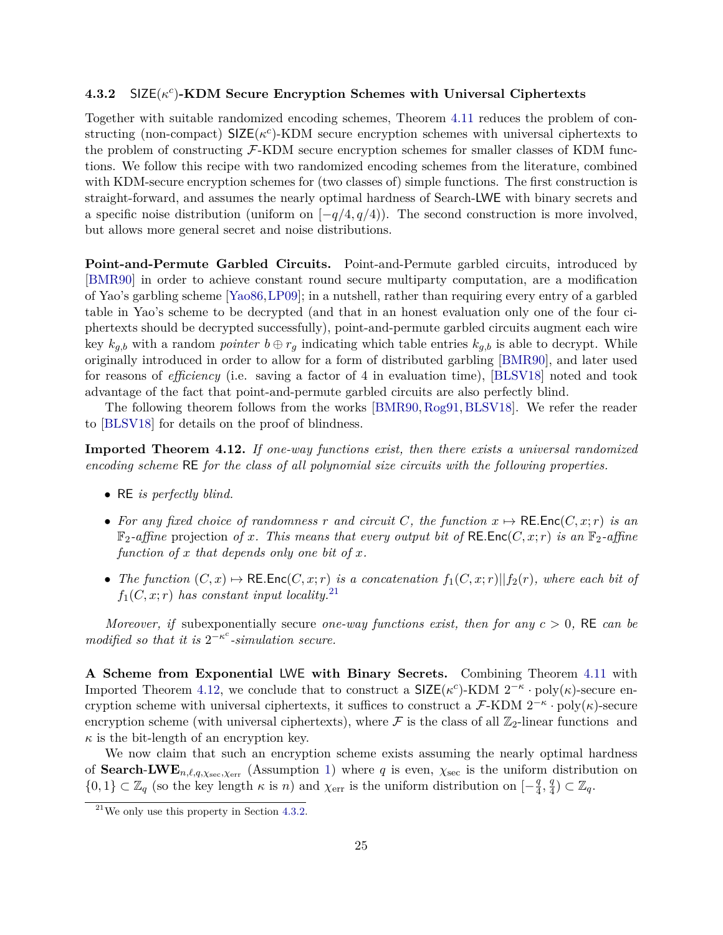## **4.3.2** SIZE(*κ c* )**-KDM Secure Encryption Schemes with Universal Ciphertexts**

Together with suitable randomized encoding schemes, Theorem [4.11](#page-25-0) reduces the problem of constructing (non-compact)  $\text{SIZE}(\kappa^c)$ -KDM secure encryption schemes with universal ciphertexts to the problem of constructing  $\mathcal{F}\text{-KDM}$  secure encryption schemes for smaller classes of KDM functions. We follow this recipe with two randomized encoding schemes from the literature, combined with KDM-secure encryption schemes for (two classes of) simple functions. The first construction is straight-forward, and assumes the nearly optimal hardness of Search-LWE with binary secrets and a specific noise distribution (uniform on  $[-q/4, q/4)$ ). The second construction is more involved, but allows more general secret and noise distributions.

**Point-and-Permute Garbled Circuits.** Point-and-Permute garbled circuits, introduced by [\[BMR90\]](#page-51-9) in order to achieve constant round secure multiparty computation, are a modification of Yao's garbling scheme [\[Yao86,](#page-55-3)[LP09\]](#page-54-8); in a nutshell, rather than requiring every entry of a garbled table in Yao's scheme to be decrypted (and that in an honest evaluation only one of the four ciphertexts should be decrypted successfully), point-and-permute garbled circuits augment each wire key  $k_{q,b}$  with a random *pointer*  $b \oplus r_q$  indicating which table entries  $k_{q,b}$  is able to decrypt. While originally introduced in order to allow for a form of distributed garbling [\[BMR90\]](#page-51-9), and later used for reasons of *efficiency* (i.e. saving a factor of 4 in evaluation time), [\[BLSV18\]](#page-51-8) noted and took advantage of the fact that point-and-permute garbled circuits are also perfectly blind.

The following theorem follows from the works [\[BMR90,](#page-51-9) [Rog91,](#page-54-9) [BLSV18\]](#page-51-8). We refer the reader to [\[BLSV18\]](#page-51-8) for details on the proof of blindness.

<span id="page-26-1"></span>**Imported Theorem 4.12.** *If one-way functions exist, then there exists a universal randomized encoding scheme* RE *for the class of all polynomial size circuits with the following properties.*

- RE *is perfectly blind.*
- For any fixed choice of randomness r and circuit C, the function  $x \mapsto \text{RE}.\text{Enc}(C, x; r)$  is an  $\mathbb{F}_2$ -affine projection of x. This means that every output bit of RE.Enc( $C, x; r$ ) is an  $\mathbb{F}_2$ -affine *function of x that depends only one bit of x.*
- *The function*  $(C, x) \mapsto \text{RE}.\text{Enc}(C, x; r)$  *is a concatenation*  $f_1(C, x; r) || f_2(r)$ *, where each bit of*  $f_1(C, x; r)$  *has constant input locality.*<sup>[21](#page-26-0)</sup>

*Moreover, if* subexponentially secure *one-way functions exist, then for any*  $c > 0$ , RE *can be modified so that it is*  $2^{-\kappa^c}$ -simulation secure.

<span id="page-26-2"></span>**A Scheme from Exponential** LWE **with Binary Secrets.** Combining Theorem [4.11](#page-25-0) with Imported Theorem [4.12,](#page-26-1) we conclude that to construct a  $\text{SIZE}(\kappa^c)\text{-}\text{KDM } 2^{-\kappa} \cdot \text{poly}(\kappa)\text{-}\text{secure en-}$ cryption scheme with universal ciphertexts, it suffices to construct a  $\mathcal{F}\text{-}\text{KDM } 2^{-\kappa} \cdot \text{poly}(\kappa)$ -secure encryption scheme (with universal ciphertexts), where  $\mathcal F$  is the class of all  $\mathbb Z_2$ -linear functions and  $\kappa$  is the bit-length of an encryption key.

We now claim that such an encryption scheme exists assuming the nearly optimal hardness of **Search-LWE**<sub>*n*, $\ell$ , $q$ , $\chi$ sec, $\chi$ err</sub> (Assumption [1\)](#page-19-3) where *q* is even,  $\chi$ <sub>sec</sub> is the uniform distribution on  $\{0,1\} \subset \mathbb{Z}_q$  (so the key length  $\kappa$  is *n*) and  $\chi_{err}$  is the uniform distribution on  $\left[-\frac{q}{4}\right]$  $\frac{q}{4}, \frac{q}{4}$  $\frac{q}{4}) \subset \mathbb{Z}_q.$ 

<span id="page-26-0"></span> $21$ We only use this property in Section [4.3.2.](#page-27-0)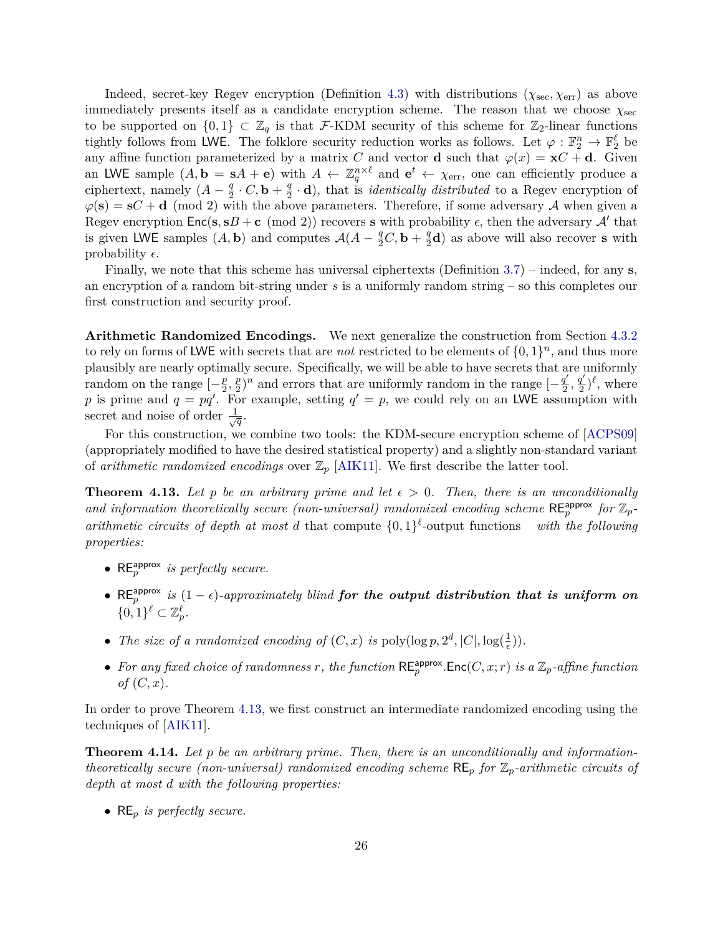Indeed, secret-key Regev encryption (Definition [4.3\)](#page-19-2) with distributions  $(\chi_{\text{sec}}, \chi_{\text{err}})$  as above immediately presents itself as a candidate encryption scheme. The reason that we choose  $\chi_{\rm sec}$ to be supported on  $\{0,1\} \subset \mathbb{Z}_q$  is that F-KDM security of this scheme for  $\mathbb{Z}_2$ -linear functions tightly follows from LWE. The folklore security reduction works as follows. Let  $\varphi : \mathbb{F}_2^n \to \mathbb{F}_2^{\ell}$  be any affine function parameterized by a matrix *C* and vector **d** such that  $\varphi(x) = \mathbf{x}C + \mathbf{d}$ . Given an LWE sample  $(A, \mathbf{b} = sA + \mathbf{e})$  with  $A \leftarrow \mathbb{Z}_q^{n \times \ell}$  and  $\mathbf{e}^t \leftarrow \chi_{err}$ , one can efficiently produce a ciphertext, namely  $(A - \frac{q}{2})$  $\frac{q}{2} \cdot C$ , **b** +  $\frac{q}{2}$  $\frac{q}{2} \cdot \mathbf{d}$ , that is *identically distributed* to a Regev encryption of  $\varphi(s) = sC + d \pmod{2}$  with the above parameters. Therefore, if some adversary A when given a Regev encryption  $Enc(s, sB + c \pmod{2})$  recovers **s** with probability  $\epsilon$ , then the adversary A' that is given LWE samples  $(A, \mathbf{b})$  and computes  $\mathcal{A}(A - \frac{q}{2}C, \mathbf{b} + \frac{q}{2})$  $\frac{q}{2}d$ ) as above will also recover **s** with probability  $\epsilon$ .

Finally, we note that this scheme has universal ciphertexts (Definition [3.7\)](#page-16-1) – indeed, for any **s**, an encryption of a random bit-string under *s* is a uniformly random string – so this completes our first construction and security proof.

<span id="page-27-0"></span>**Arithmetic Randomized Encodings.** We next generalize the construction from Section [4.3.2](#page-26-2) to rely on forms of LWE with secrets that are *not* restricted to be elements of  $\{0,1\}^n$ , and thus more plausibly are nearly optimally secure. Specifically, we will be able to have secrets that are uniformly random on the range  $\left[-\frac{p}{2}\right]$  $\frac{p}{2}, \frac{p}{2}$  $\frac{p}{2}$ <sup>*n*</sup> and errors that are uniformly random in the range  $\left[-\frac{q'}{2}\right]$  $\frac{q'}{2}, \frac{q'}{2}$  $(\frac{q'}{2})^{\ell}$ , where p is prime and  $q = pq'$ . For example, setting  $q' = p$ , we could rely on an LWE assumption with secret and noise of order  $\frac{1}{4}$  $\overline{\overline{q}}$  .

For this construction, we combine two tools: the KDM-secure encryption scheme of [\[ACPS09\]](#page-50-7) (appropriately modified to have the desired statistical property) and a slightly non-standard variant of *arithmetic randomized encodings* over  $\mathbb{Z}_p$  [\[AIK11\]](#page-50-10). We first describe the latter tool.

<span id="page-27-1"></span>**Theorem 4.13.** Let p be an arbitrary prime and let  $\epsilon > 0$ . Then, there is an unconditionally and information theoretically secure (non-universal) randomized encoding scheme  $RE_p^{approx}$  for  $\mathbb{Z}_p$ *arithmetic circuits of depth at most d* that compute  $\{0,1\}^{\ell}$ -output functions *with the following properties:*

- $RE_p^{approx}$  *is perfectly secure.*
- RE<sup>approx</sup> is  $(1 \epsilon)$ -approximately blind **for the output distribution that is uniform on**  $\{0,1\}^{\ell} \subset \mathbb{Z}_p^{\ell}.$
- *The size of a randomized encoding of*  $(C, x)$  *is*  $\text{poly}(\log p, 2^d, |C|, \log(\frac{1}{\epsilon}))$ *.*
- For any fixed choice of randomness r, the function  $\mathsf{RE}_p^{\text{approx}}$ .  $\mathsf{Enc}(C, x; r)$  is a  $\mathbb{Z}_p$ -affine function *of* (*C, x*)*.*

In order to prove Theorem [4.13,](#page-27-1) we first construct an intermediate randomized encoding using the techniques of [\[AIK11\]](#page-50-10).

<span id="page-27-2"></span>**Theorem 4.14.** *Let p be an arbitrary prime. Then, there is an unconditionally and informationtheoretically secure (non-universal) randomized encoding scheme*  $RE_p$  *for*  $\mathbb{Z}_p$ *-arithmetic circuits of depth at most d with the following properties:*

• RE*<sup>p</sup> is perfectly secure.*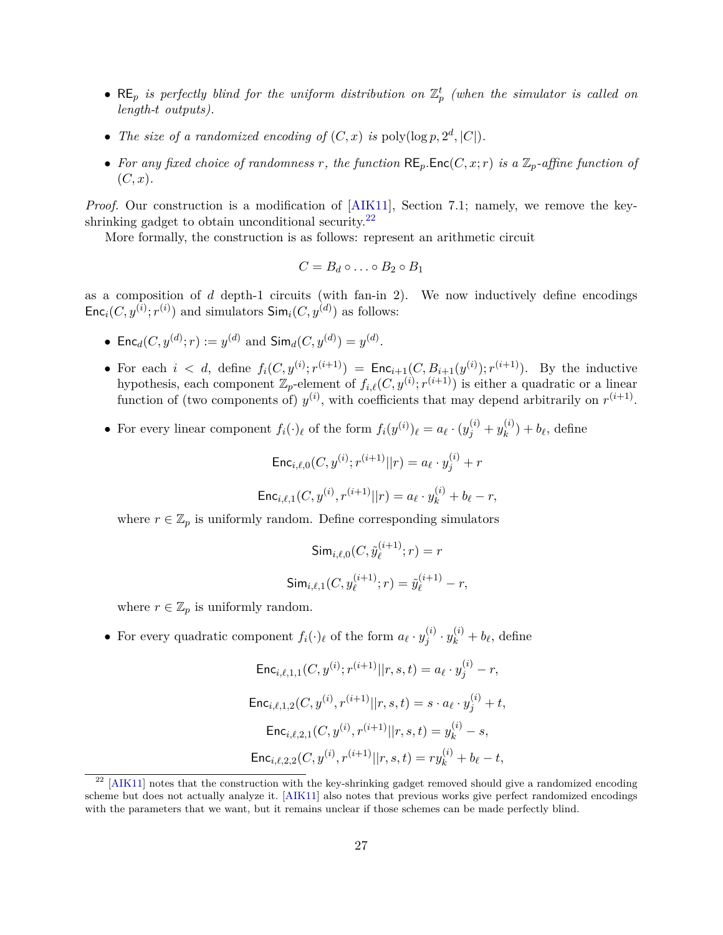- $RE_p$  *is perfectly blind for the uniform distribution on*  $\mathbb{Z}_p^t$  (when the simulator is called on *length-t outputs).*
- *The size of a randomized encoding of*  $(C, x)$  *is* poly $(\log p, 2^d, |C|)$ *.*
- For any fixed choice of randomness r, the function  $RE_p$ **.** $Enc(C, x; r)$  is a  $\mathbb{Z}_p$ -affine function of (*C, x*)*.*

*Proof.* Our construction is a modification of [\[AIK11\]](#page-50-10), Section 7.1; namely, we remove the keyshrinking gadget to obtain unconditional security. $^{22}$  $^{22}$  $^{22}$ 

More formally, the construction is as follows: represent an arithmetic circuit

$$
C=B_d\circ\ldots\circ B_2\circ B_1
$$

as a composition of *d* depth-1 circuits (with fan-in 2). We now inductively define encodings  $Enc_i(C, y^{(i)}; r^{(i)})$  and simulators  $Sim_i(C, y^{(d)})$  as follows:

- Enc<sub>*d*</sub>(*C*,  $y^{(d)}$ ; *r*) :=  $y^{(d)}$  and  $\textsf{Sim}_d(C, y^{(d)}) = y^{(d)}$ .
- For each  $i < d$ , define  $f_i(C, y^{(i)}; r^{(i+1)}) = \text{Enc}_{i+1}(C, B_{i+1}(y^{(i)}); r^{(i+1)})$ . By the inductive hypothesis, each component  $\mathbb{Z}_p$ -element of  $f_{i,\ell}(C, y^{(i)}; r^{(i+1)})$  is either a quadratic or a linear function of (two components of)  $y^{(i)}$ , with coefficients that may depend arbitrarily on  $r^{(i+1)}$ .
- For every linear component  $f_i(\cdot)_{\ell}$  of the form  $f_i(y^{(i)})_{\ell} = a_{\ell} \cdot (y_j^{(i)} + y_k^{(i)})$  $b_k^{(i)}$  +  $b_\ell$ , define

$$
\mathsf{Enc}_{i,\ell,0}(C, y^{(i)}; r^{(i+1)} || r) = a_{\ell} \cdot y_j^{(i)} + r
$$
  

$$
\mathsf{Enc}_{i,\ell,1}(C, y^{(i)}, r^{(i+1)} || r) = a_{\ell} \cdot y_k^{(i)} + b_{\ell} - r,
$$

where  $r \in \mathbb{Z}_p$  is uniformly random. Define corresponding simulators

$$
\begin{aligned} \textsf{Sim}_{i,\ell,0}(C,\tilde{y}_{\ell}^{(i+1)};r) &= r \\ \textsf{Sim}_{i,\ell,1}(C,y_{\ell}^{(i+1)};r) &= \tilde{y}_{\ell}^{(i+1)} - r, \end{aligned}
$$

where  $r \in \mathbb{Z}_p$  is uniformly random.

• For every quadratic component  $f_i(\cdot)_{\ell}$  of the form  $a_{\ell} \cdot y_i^{(i)}$  $y_k^{(i)} \cdot y_k^{(i)} + b_\ell$ , define

$$
\begin{aligned} \mathsf{Enc}_{i,\ell,1,1}(C,y^{(i)};r^{(i+1)}||r,s,t) & = a_{\ell} \cdot y_j^{(i)} - r, \\ \mathsf{Enc}_{i,\ell,1,2}(C,y^{(i)},r^{(i+1)}||r,s,t) & = s \cdot a_{\ell} \cdot y_j^{(i)} + t, \\ \mathsf{Enc}_{i,\ell,2,1}(C,y^{(i)},r^{(i+1)}||r,s,t) & = y_k^{(i)} - s, \\ \mathsf{Enc}_{i,\ell,2,2}(C,y^{(i)},r^{(i+1)}||r,s,t) & = r y_k^{(i)} + b_{\ell} - t, \end{aligned}
$$

<span id="page-28-0"></span> $22$  [\[AIK11\]](#page-50-10) notes that the construction with the key-shrinking gadget removed should give a randomized encoding scheme but does not actually analyze it. [\[AIK11\]](#page-50-10) also notes that previous works give perfect randomized encodings with the parameters that we want, but it remains unclear if those schemes can be made perfectly blind.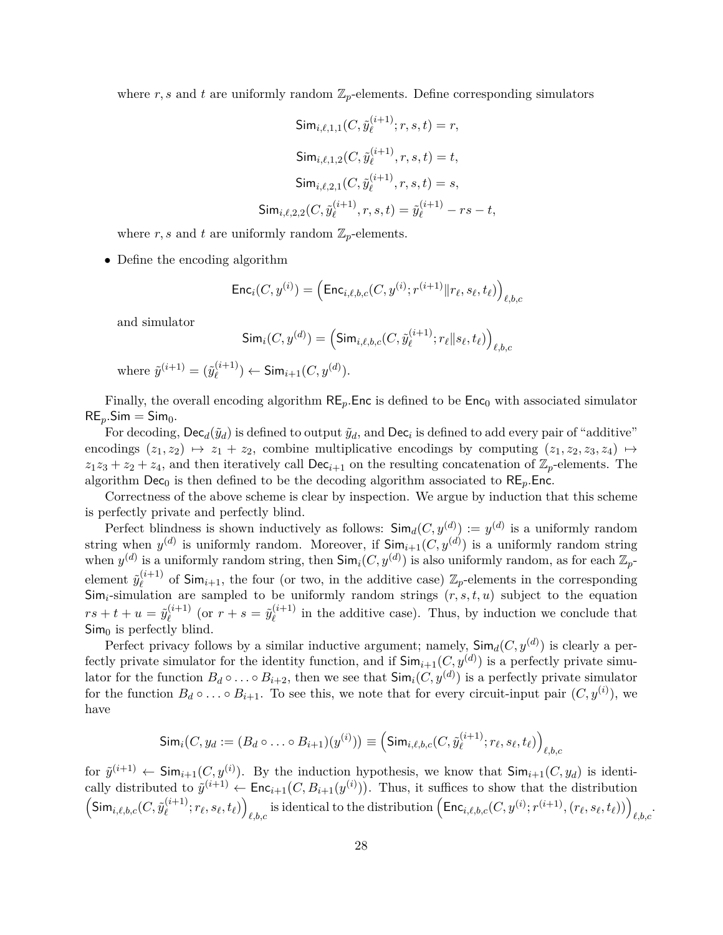where  $r, s$  and  $t$  are uniformly random  $\mathbb{Z}_p$ -elements. Define corresponding simulators

$$
\begin{aligned}\n\textsf{Sim}_{i,\ell,1,1}(C,\tilde{y}_{\ell}^{(i+1)};r,s,t)=r, \\
\textsf{Sim}_{i,\ell,1,2}(C,\tilde{y}_{\ell}^{(i+1)},r,s,t)=t, \\
\textsf{Sim}_{i,\ell,2,1}(C,\tilde{y}_{\ell}^{(i+1)},r,s,t)=s, \\
\textsf{Sim}_{i,\ell,2,2}(C,\tilde{y}_{\ell}^{(i+1)},r,s,t)=\tilde{y}_{\ell}^{(i+1)}-rs-t,\n\end{aligned}
$$

where  $r, s$  and  $t$  are uniformly random  $\mathbb{Z}_p$ -elements.

• Define the encoding algorithm

$$
\mathsf{Enc}_i(C, y^{(i)}) = \left( \mathsf{Enc}_{i, \ell, b, c}(C, y^{(i)}; r^{(i+1)} \| r_\ell, s_\ell, t_\ell) \right)_{\ell, b, c}
$$

and simulator

$$
\mathsf{Sim}_i(C, y^{(d)}) = \left(\mathsf{Sim}_{i, \ell, b, c}(C, \tilde{y}_{\ell}^{(i+1)}; r_{\ell} || s_{\ell}, t_{\ell})\right)_{\ell, b, c}
$$

where 
$$
\tilde{y}^{(i+1)} = (\tilde{y}_{\ell}^{(i+1)}) \leftarrow \text{Sim}_{i+1}(C, y^{(d)}).
$$

Finally, the overall encoding algorithm  $RE_p$ *.*Enc is defined to be  $Enc_0$  with associated simulator  $RE_n$ *Sim* = Sim<sub>0</sub>.

For decoding,  $\textsf{Dec}_d(\tilde{y}_d)$  is defined to output  $\tilde{y}_d$ , and  $\textsf{Dec}_i$  is defined to add every pair of "additive" encodings  $(z_1, z_2) \mapsto z_1 + z_2$ , combine multiplicative encodings by computing  $(z_1, z_2, z_3, z_4) \mapsto$  $z_1z_3 + z_2 + z_4$ , and then iteratively call Dec<sub>*i*+1</sub> on the resulting concatenation of  $\mathbb{Z}_p$ -elements. The algorithm  $Dec_0$  is then defined to be the decoding algorithm associated to  $RE_p$ *.Enc.* 

Correctness of the above scheme is clear by inspection. We argue by induction that this scheme is perfectly private and perfectly blind.

Perfect blindness is shown inductively as follows:  $\mathsf{Sim}_d(C, y^{(d)}) := y^{(d)}$  is a uniformly random string when  $y^{(d)}$  is uniformly random. Moreover, if  $\mathsf{Sim}_{i+1}(C, y^{(d)})$  is a uniformly random string when  $y^{(d)}$  is a uniformly random string, then  $\mathsf{Sim}_i(C, y^{(d)})$  is also uniformly random, as for each  $\mathbb{Z}_p$ element  $\tilde{y}^{(i+1)}_{\ell}$  $\ell^{(i+1)}$  of Sim<sub>i+1</sub>, the four (or two, in the additive case)  $\mathbb{Z}_p$ -elements in the corresponding  $\textsf{Sim}_i\text{-}\text{simulation}$  are sampled to be uniformly random strings  $(r, s, t, u)$  subject to the equation  $rs+t+u=\tilde{y}^{(i+1)}_\ell$  $\varrho$ <sup>(*i*+1)</sup> (or *r* + *s* =  $\tilde{y}$ <sub>(</sub>*i*+1)  $\ell^{(i+1)}$  in the additive case). Thus, by induction we conclude that  $\mathsf{Sim}_0$  is perfectly blind.

Perfect privacy follows by a similar inductive argument; namely,  $\mathsf{Sim}_d(C, y^{(d)})$  is clearly a perfectly private simulator for the identity function, and if  $\mathsf{Sim}_{i+1}(C, y^{(d)})$  is a perfectly private simulator for the function  $B_d \circ \ldots \circ B_{i+2}$ , then we see that  $\mathsf{Sim}_i(C, y^{(d)})$  is a perfectly private simulator for the function  $B_d \circ \ldots \circ B_{i+1}$ . To see this, we note that for every circuit-input pair  $(C, y^{(i)})$ , we have

$$
\mathsf{Sim}_i(C, y_d := (B_d \circ \ldots \circ B_{i+1})(y^{(i)})) \equiv \left(\mathsf{Sim}_{i,\ell,b,c}(C, \tilde{y}^{(i+1)}_{\ell}; r_{\ell}, s_{\ell}, t_{\ell})\right)_{\ell,b,c}
$$

for  $\tilde{y}^{(i+1)} \leftarrow \mathsf{Sim}_{i+1}(C, y^{(i)})$ . By the induction hypothesis, we know that  $\mathsf{Sim}_{i+1}(C, y_d)$  is identically distributed to  $\tilde{y}^{(i+1)} \leftarrow \text{Enc}_{i+1}(C, B_{i+1}(y^{(i)}))$ . Thus, it suffices to show that the distribution  $\left(\mathsf{Sim}_{i,\ell,b,c}(C, \tilde{y}^{(i+1)}_\ell)\right)$  $\binom{(i+1)}{\ell}; r_\ell, s_\ell, t_\ell)$  $\left(\mathsf{Enc}_{i,\ell,b,c}(C, y^{(i)}; r^{(i+1)}, (r_\ell, s_\ell, t_\ell))\right)_{\ell,b,c}.$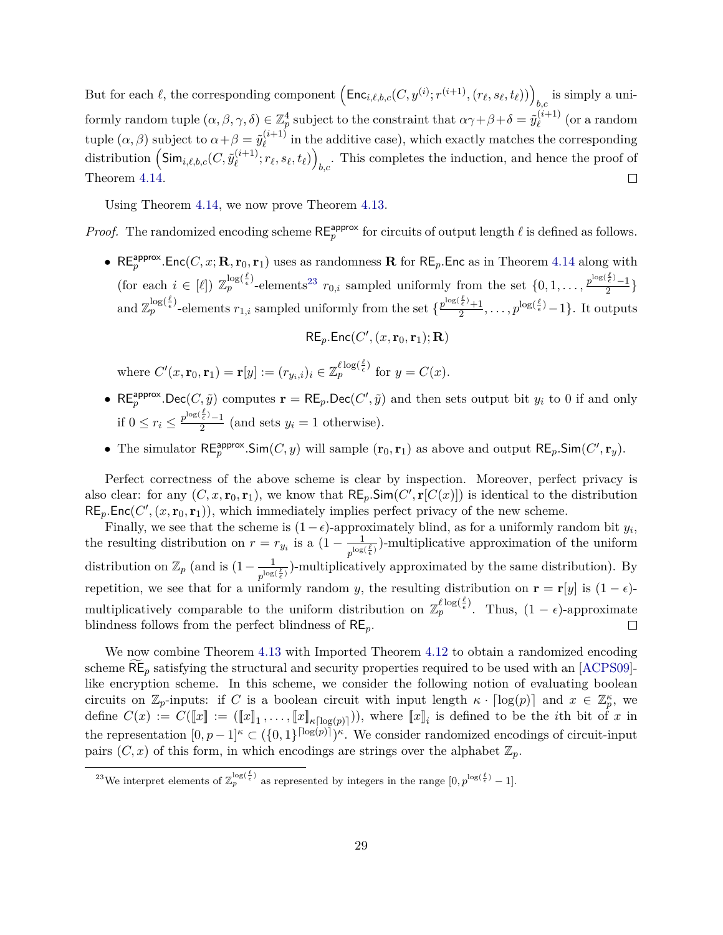But for each  $\ell$ , the corresponding component  $\left(\mathsf{Enc}_{i,\ell,b,c}(C, y^{(i)}; r^{(i+1)}, (r_\ell, s_\ell, t_\ell))\right)_{b,c}$  is simply a uni- $\text{formly random tuple } (\alpha, \beta, \gamma, \delta) \in \mathbb{Z}_p^4 \text{ subject to the constraint that } \alpha \gamma + \beta + \delta = \tilde{y}_{\ell}^{(i+1)}$  $\ell^{(i+1)}$  (or a random tuple  $(\alpha, \beta)$  subject to  $\alpha + \beta = \tilde{y}_{\ell}^{(i+1)}$  $\ell^{(i+1)}$  in the additive case), which exactly matches the corresponding distribution  $\left(\mathsf{Sim}_{i,\ell,b,c}(C,\tilde{y}^{(i+1)}_\ell)\right.$  $\binom{(i+1)}{\ell}; r_\ell, s_\ell, t_\ell)$  $_{b,c}$ . This completes the induction, and hence the proof of Theorem [4.14.](#page-27-2)  $\Box$ 

Using Theorem [4.14,](#page-27-2) we now prove Theorem [4.13.](#page-27-1)

*Proof.* The randomized encoding scheme  $RE_p^{\text{approx}}$  for circuits of output length  $\ell$  is defined as follows.

• RE<sup>approx</sup>.Enc(*C*, *x*; **R**, **r**<sub>0</sub>, **r**<sub>1</sub>) uses as randomness **R** for RE<sub>*p*</sub>.Enc as in Theorem [4.14](#page-27-2) along with (for each  $i \in [\ell])$   $\mathbb{Z}_p^{\log(\frac{\ell}{\epsilon})}$ -elements<sup>[23](#page-30-0)</sup>  $r_{0,i}$  sampled uniformly from the set  $\{0, 1, \ldots, \frac{p^{\log(\frac{\ell}{\epsilon})}-1}{2}$  $\frac{\epsilon'-1}{2}\}$ and  $\mathbb{Z}_p^{\log(\frac{\ell}{\epsilon})}$ -elements  $r_{1,i}$  sampled uniformly from the set  $\{ \frac{p^{\log(\frac{\ell}{\epsilon})}+1}{2} \}$  $\frac{\frac{2}{\epsilon}+1}{2}, \ldots, p^{\log(\frac{\ell}{\epsilon})}-1\}.$  It outputs

 $RE_p$ **.Enc**(*C'*,  $(x, \mathbf{r}_0, \mathbf{r}_1)$ ; **R**)

where  $C'(x, \mathbf{r}_0, \mathbf{r}_1) = \mathbf{r}[y] := (r_{y_i, i})_i \in \mathbb{Z}_p^{\ell \log(\frac{\ell}{\epsilon})}$  for  $y = C(x)$ .

- RE<sup>approx</sup>.Dec(*C*,  $\tilde{y}$ ) computes  $\mathbf{r} = \mathsf{RE}_p$ .Dec(*C'*,  $\tilde{y}$ ) and then sets output bit  $y_i$  to 0 if and only if  $0 \leq r_i \leq \frac{p^{\log(\frac{\ell}{\epsilon})}-1}{2}$  $\frac{e^{i} - 1}{2}$  (and sets  $y_i = 1$  otherwise).
- The simulator  $\mathsf{RE}_p^{\text{approx}}$ .Sim(*C*, *y*) will sample  $(\mathbf{r}_0, \mathbf{r}_1)$  as above and output  $\mathsf{RE}_p$ .Sim(*C'*,  $\mathbf{r}_y$ ).

Perfect correctness of the above scheme is clear by inspection. Moreover, perfect privacy is also clear: for any  $(C, x, r_0, r_1)$ , we know that  $RE_p$ . Sim $(C', r[C(x)])$  is identical to the distribution  $RE_p$ **.Enc**( $C'$ ,  $(x, r_0, r_1)$ ), which immediately implies perfect privacy of the new scheme.

Finally, we see that the scheme is  $(1 - \epsilon)$ -approximately blind, as for a uniformly random bit  $y_i$ , the resulting distribution on  $r = r_{y_i}$  is a  $(1 - \frac{1}{\log n})$  $\frac{1}{p^{\log(\frac{\ell}{\epsilon})}}$ -multiplicative approximation of the uniform distribution on  $\mathbb{Z}_p$  (and is  $(1 - \frac{1}{\log n})$  $\frac{1}{p^{\log(\frac{\ell}{\epsilon})}}$ -multiplicatively approximated by the same distribution). By repetition, we see that for a uniformly random *y*, the resulting distribution on **r** = **r**[*y*] is  $(1 - \epsilon)$ multiplicatively comparable to the uniform distribution on  $\mathbb{Z}_p^{\ell \log(\frac{\ell}{\epsilon})}$ . Thus,  $(1 - \epsilon)$ -approximate blindness follows from the perfect blindness of RE*p*.  $\Box$ 

We now combine Theorem [4.13](#page-27-1) with Imported Theorem [4.12](#page-26-1) to obtain a randomized encoding scheme  $RE_p$  satisfying the structural and security properties required to be used with an  $[ACPS09]$ like encryption scheme. In this scheme, we consider the following notion of evaluating boolean circuits on  $\mathbb{Z}_p$ -inputs: if *C* is a boolean circuit with input length  $\kappa \cdot \lceil \log(p) \rceil$  and  $x \in \mathbb{Z}_p^{\kappa}$ , we define  $C(x) := C(\llbracket x \rrbracket : = (\llbracket x \rrbracket_1, \ldots, \llbracket x \rrbracket_{\kappa[\log(p)]}))$ , where  $\llbracket x \rrbracket_i$  is defined to be the *i*th bit of *x* in the representation  $[0, p-1]^{k} \subset (\{0, 1\}^{\lceil \log(p) \rceil})^{k}$ . We consider randomized encodings of circuit-input pairs  $(C, x)$  of this form, in which encodings are strings over the alphabet  $\mathbb{Z}_p$ .

<span id="page-30-1"></span><span id="page-30-0"></span><sup>&</sup>lt;sup>23</sup>We interpret elements of  $\mathbb{Z}_p^{\log(\frac{\ell}{\epsilon})}$  as represented by integers in the range  $[0, p^{\log(\frac{\ell}{\epsilon})} - 1]$ .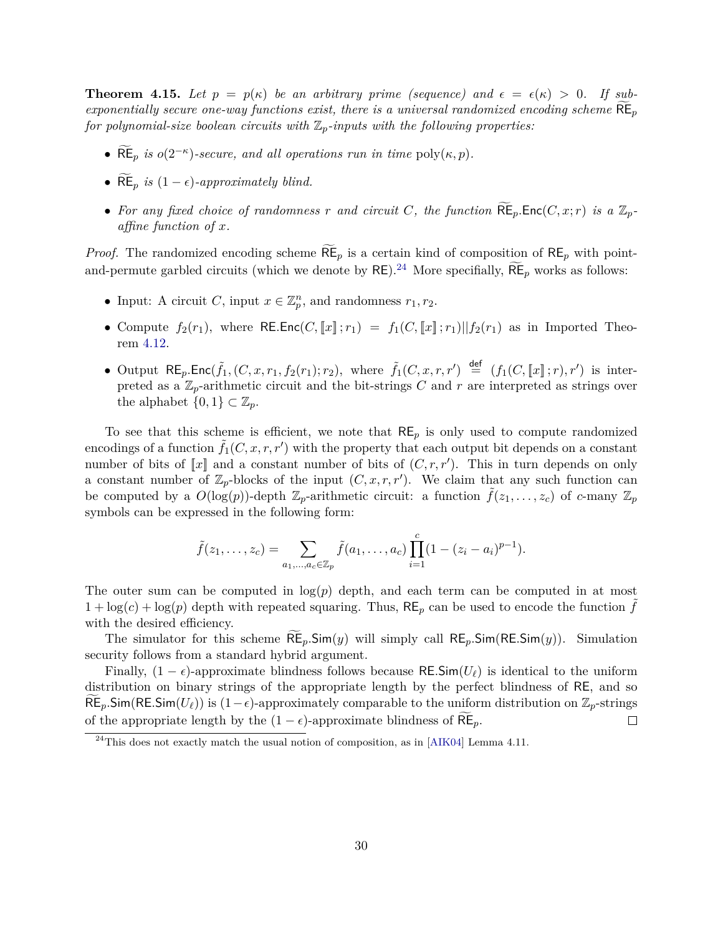**Theorem 4.15.** Let  $p = p(\kappa)$  be an arbitrary prime (sequence) and  $\epsilon = \epsilon(\kappa) > 0$ . If sub*exponentially secure one-way functions exist, there is a universal randomized encoding scheme*  $RE_p$ *for polynomial-size boolean circuits with*  $\mathbb{Z}_p$ *-inputs with the following properties:* 

- $\widetilde{\text{RE}}_p$  *is*  $o(2^{-\kappa})$ -secure, and all operations run in time  $\text{poly}(\kappa, p)$ .
- $\widetilde{\text{RE}}_p$  *is*  $(1 \epsilon)$ *-approximately blind.*
- For any fixed choice of randomness r and circuit C, the function  $\mathsf{RE}_p$ *.*Enc $(C, x; r)$  is a  $\mathbb{Z}_p$ *affine function of x.*

*Proof.* The randomized encoding scheme  $\widetilde{\text{RE}}_p$  is a certain kind of composition of  $\text{RE}_p$  with pointand-permute garbled circuits (which we denote by  $RE$ ).<sup>[24](#page-31-0)</sup> More specifially,  $\widetilde{RE}_p$  works as follows:

- Input: A circuit *C*, input  $x \in \mathbb{Z}_p^n$ , and randomness  $r_1, r_2$ .
- Compute  $f_2(r_1)$ , where RE.Enc(*C*,  $\llbracket x \rrbracket$ ;  $r_1$ ) =  $f_1(C, \llbracket x \rrbracket; r_1) || f_2(r_1)$  as in Imported Theorem [4.12.](#page-26-1)
- Output  $RE_p$ . $Enc(\tilde{f}_1, (C, x, r_1, f_2(r_1); r_2)$ , where  $\tilde{f}_1(C, x, r, r') \stackrel{\text{def}}{=} (f_1(C, [x], r), r')$  is interpreted as a  $\mathbb{Z}_p$ -arithmetic circuit and the bit-strings *C* and *r* are interpreted as strings over the alphabet  $\{0,1\} \subset \mathbb{Z}_p$ .

To see that this scheme is efficient, we note that  $RE_p$  is only used to compute randomized encodings of a function  $\tilde{f}_1(C, x, r, r')$  with the property that each output bit depends on a constant number of bits of  $\llbracket x \rrbracket$  and a constant number of bits of  $(C, r, r')$ . This in turn depends on only a constant number of  $\mathbb{Z}_p$ -blocks of the input  $(C, x, r, r')$ . We claim that any such function can be computed by a  $O(\log(p))$ -depth  $\mathbb{Z}_p$ -arithmetic circuit: a function  $f(z_1, \ldots, z_c)$  of *c*-many  $\mathbb{Z}_p$ symbols can be expressed in the following form:

$$
\tilde{f}(z_1,\ldots,z_c) = \sum_{a_1,\ldots,a_c \in \mathbb{Z}_p} \tilde{f}(a_1,\ldots,a_c) \prod_{i=1}^c (1-(z_i-a_i)^{p-1}).
$$

The outer sum can be computed in  $log(p)$  depth, and each term can be computed in at most  $1 + \log(c) + \log(p)$  depth with repeated squaring. Thus,  $RE_p$  can be used to encode the function f with the desired efficiency.

The simulator for this scheme  $RE_p$ *.*Sim(*y*) will simply call  $RE_p$ *.Sim*( $RE$ *.Sim(y))*. Simulation security follows from a standard hybrid argument.

Finally,  $(1 - \epsilon)$ -approximate blindness follows because RE.Sim( $U_\ell$ ) is identical to the uniform distribution on binary strings of the appropriate length by the perfect blindness of RE, and so RE<sub>p</sub>.Sim(RE.Sim( $U_{\ell}$ )) is (1− $\epsilon$ )-approximately comparable to the uniform distribution on  $\mathbb{Z}_p$ -strings of the appropriate length by the  $(1 - \epsilon)$ -approximate blindness of RE<sub>p</sub>.  $\Box$ 

<span id="page-31-0"></span> $^{24}$ This does not exactly match the usual notion of composition, as in [\[AIK04\]](#page-50-9) Lemma 4.11.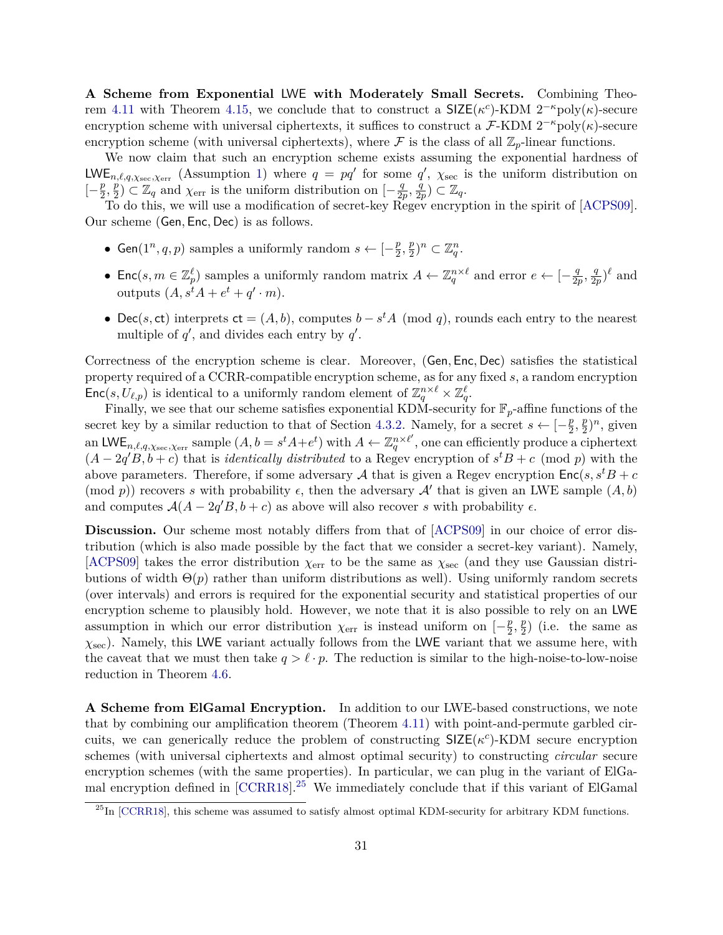**A Scheme from Exponential** LWE **with Moderately Small Secrets.** Combining Theo-rem [4.11](#page-25-0) with Theorem [4.15,](#page-30-1) we conclude that to construct a  $\text{SIZE}(\kappa^c)\text{-}\text{KDM } 2^{-\kappa} \text{poly}(\kappa)\text{-}\text{secure}$ encryption scheme with universal ciphertexts, it suffices to construct a  $\mathcal{F}\text{-}\text{KDM } 2^{-\kappa} \text{poly}(\kappa)$ -secure encryption scheme (with universal ciphertexts), where  $\mathcal F$  is the class of all  $\mathbb{Z}_p$ -linear functions.

We now claim that such an encryption scheme exists assuming the exponential hardness of LWE<sub>n, $\ell, q, \chi_{\text{sec}}, \chi_{\text{err}}$  (Assumption [1\)](#page-19-3) where  $q = pq'$  for some  $q'$ ,  $\chi_{\text{sec}}$  is the uniform distribution on</sub> [− *p*  $\frac{p}{2},\frac{\dot{p}}{2}$  $\frac{p}{2}$ )  $\subset \mathbb{Z}_q$  and  $\chi_{\text{err}}$  is the uniform distribution on  $\left[-\frac{q}{2q}\right]$  $\frac{q}{2p}$ ,  $\frac{q}{2p}$  $\frac{q}{2p}) \subset \mathbb{Z}_q$ .

To do this, we will use a modification of secret-key Regev encryption in the spirit of [\[ACPS09\]](#page-50-7). Our scheme (Gen*,* Enc*,* Dec) is as follows.

- Gen( $1^n, q, p$ ) samples a uniformly random  $s \leftarrow [-\frac{p}{2}]$  $\frac{p}{2}, \frac{p}{2}$  $(\frac{p}{2})^n \subset \mathbb{Z}_q^n$ .
- Enc $(s, m \in \mathbb{Z}_p^{\ell})$  samples a uniformly random matrix  $A \leftarrow \mathbb{Z}_q^{n \times \ell}$  and error  $e \leftarrow [-\frac{q}{2q}]$  $\frac{q}{2p}$ ,  $\frac{q}{2p}$  $\frac{q}{2p})^{\ell}$  and outputs  $(A, s^t A + e^t + q' \cdot m)$ .
- Dec(*s*, ct) interprets  $ct = (A, b)$ , computes  $b s<sup>t</sup>A \pmod{q}$ , rounds each entry to the nearest multiple of  $q'$ , and divides each entry by  $q'$ .

Correctness of the encryption scheme is clear. Moreover, (Gen*,* Enc*,* Dec) satisfies the statistical property required of a CCRR-compatible encryption scheme, as for any fixed *s*, a random encryption  $Enc(s, U_{\ell,p})$  is identical to a uniformly random element of  $\mathbb{Z}_q^{n \times \ell} \times \mathbb{Z}_q^{\ell}$ .

Finally, we see that our scheme satisfies exponential KDM-security for  $\mathbb{F}_p$ -affine functions of the secret key by a similar reduction to that of Section [4.3.2.](#page-26-2) Namely, for a secret  $s \leftarrow \begin{bmatrix} -\frac{p}{2} \end{bmatrix}$  $\frac{p}{2}, \frac{p}{2}$  $(\frac{p}{2})^n$ , given an LWE<sub>n, $\ell, q, \chi_{\text{sec}}, \chi_{\text{err}}$  sample  $(A, b = s^t A + e^t)$  with  $A \leftarrow \mathbb{Z}_q^{n \times \ell'}$ , one can efficiently produce a ciphertext</sub>  $(A - 2q'B, b + c)$  that is *identically distributed* to a Regev encryption of  $s^tB + c \pmod{p}$  with the above parameters. Therefore, if some adversary A that is given a Regev encryption  $Enc(s, s^tB + c)$ (mod *p*)) recovers *s* with probability  $\epsilon$ , then the adversary  $\mathcal{A}'$  that is given an LWE sample  $(A, b)$ and computes  $A(A - 2q'B, b + c)$  as above will also recover *s* with probability  $\epsilon$ .

**Discussion.** Our scheme most notably differs from that of  $[ACPS09]$  in our choice of error distribution (which is also made possible by the fact that we consider a secret-key variant). Namely, [\[ACPS09\]](#page-50-7) takes the error distribution  $\chi_{\text{err}}$  to be the same as  $\chi_{\text{sec}}$  (and they use Gaussian distributions of width  $\Theta(p)$  rather than uniform distributions as well). Using uniformly random secrets (over intervals) and errors is required for the exponential security and statistical properties of our encryption scheme to plausibly hold. However, we note that it is also possible to rely on an LWE assumption in which our error distribution  $\chi_{\text{err}}$  is instead uniform on  $\left[-\frac{p}{2}\right]$  $\frac{p}{2}, \frac{p}{2}$  $\frac{p}{2}$ ) (i.e. the same as *χ*sec). Namely, this LWE variant actually follows from the LWE variant that we assume here, with the caveat that we must then take  $q > \ell \cdot p$ . The reduction is similar to the high-noise-to-low-noise reduction in Theorem [4.6.](#page-22-0)

**A Scheme from ElGamal Encryption.** In addition to our LWE-based constructions, we note that by combining our amplification theorem (Theorem [4.11\)](#page-25-0) with point-and-permute garbled circuits, we can generically reduce the problem of constructing  $\text{SIZE}(\kappa^c)\text{-}\text{KDM}$  secure encryption schemes (with universal ciphertexts and almost optimal security) to constructing *circular* secure encryption schemes (with the same properties). In particular, we can plug in the variant of ElGamal encryption defined in  $[CCRR18]$ <sup>[25](#page-32-0)</sup> We immediately conclude that if this variant of ElGamal

<span id="page-32-0"></span> $^{25}$ In [\[CCRR18\]](#page-52-2), this scheme was assumed to satisfy almost optimal KDM-security for arbitrary KDM functions.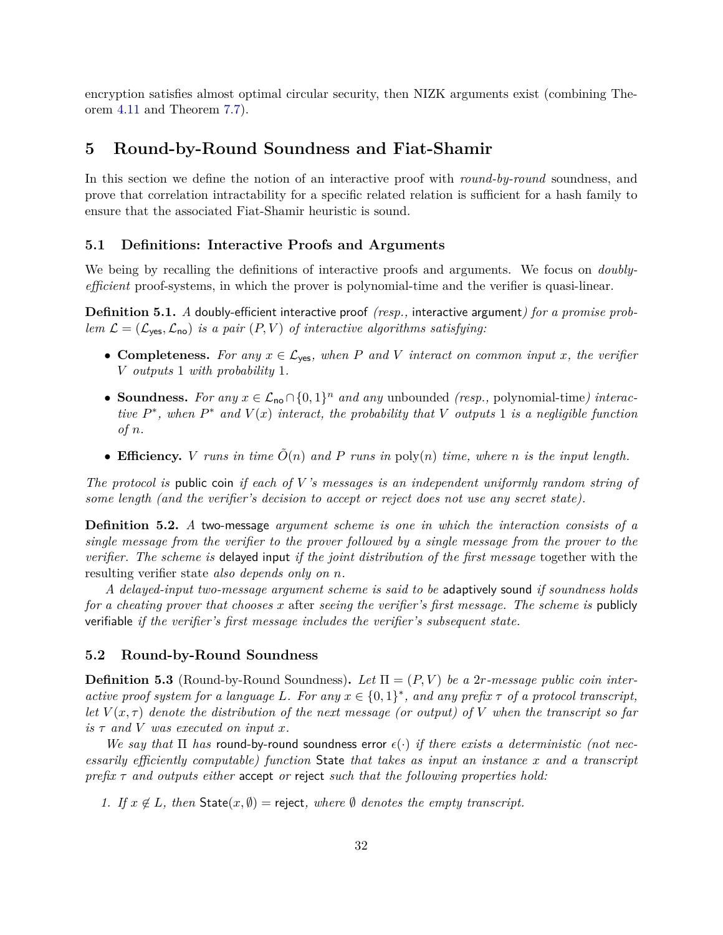encryption satisfies almost optimal circular security, then NIZK arguments exist (combining Theorem [4.11](#page-25-0) and Theorem [7.7\)](#page-46-0).

## <span id="page-33-0"></span>**5 Round-by-Round Soundness and Fiat-Shamir**

In this section we define the notion of an interactive proof with *round-by-round* soundness, and prove that correlation intractability for a specific related relation is sufficient for a hash family to ensure that the associated Fiat-Shamir heuristic is sound.

#### <span id="page-33-1"></span>**5.1 Definitions: Interactive Proofs and Arguments**

We being by recalling the definitions of interactive proofs and arguments. We focus on *doublyefficient* proof-systems, in which the prover is polynomial-time and the verifier is quasi-linear.

**Definition 5.1.** *A* doubly-efficient interactive proof *(resp.,* interactive argument*) for a promise problem*  $\mathcal{L} = (\mathcal{L}_{\text{yes}}, \mathcal{L}_{\text{no}})$  *is a pair*  $(P, V)$  *of interactive algorithms satisfying:* 

- **Completeness.** For any  $x \in \mathcal{L}_{\text{yes}}$ , when P and V interact on common input  $x$ , the verifier *V outputs* 1 *with probability* 1*.*
- **Soundness.** For any  $x \in \mathcal{L}_{\text{no}} \cap \{0, 1\}^n$  and any unbounded *(resp.,* polynomial-time*)* interac*tive*  $P^*$ , when  $P^*$  and  $V(x)$  *interact, the probability that*  $V$  *outputs* 1 *is a negligible function of n.*
- **Efficiency.** *V* runs in time  $\tilde{O}(n)$  and P runs in  $\text{poly}(n)$  time, where *n* is the input length.

*The protocol is* public coin *if each of V 's messages is an independent uniformly random string of some length (and the verifier's decision to accept or reject does not use any secret state).*

**Definition 5.2.** *A* two-message *argument scheme is one in which the interaction consists of a single message from the verifier to the prover followed by a single message from the prover to the verifier. The scheme is* delayed input *if the joint distribution of the first message* together with the resulting verifier state *also depends only on n.*

*A delayed-input two-message argument scheme is said to be* adaptively sound *if soundness holds for a cheating prover that chooses x* after *seeing the verifier's first message. The scheme is* publicly verifiable *if the verifier's first message includes the verifier's subsequent state.*

#### <span id="page-33-2"></span>**5.2 Round-by-Round Soundness**

<span id="page-33-3"></span>**Definition 5.3** (Round-by-Round Soundness). Let  $\Pi = (P, V)$  be a 2*r*-message public coin inter*active proof system for a language* L. For any  $x \in \{0,1\}^*$ , and any prefix  $\tau$  of a protocol transcript, *let*  $V(x, \tau)$  *denote the distribution of the next message (or output) of V when the transcript so far*  $i$ *s*  $\tau$  *and*  $V$  *was executed on input*  $x$ *.* 

*We say that*  $\Pi$  *has* round-by-round soundness error  $\epsilon(\cdot)$  *if there exists a deterministic (not necessarily efficiently computable) function* State *that takes as input an instance x and a transcript prefix τ and outputs either* accept *or* reject *such that the following properties hold:*

*1. If*  $x \notin L$ , *then* State $(x, \emptyset)$  = reject, where  $\emptyset$  *denotes the empty transcript.*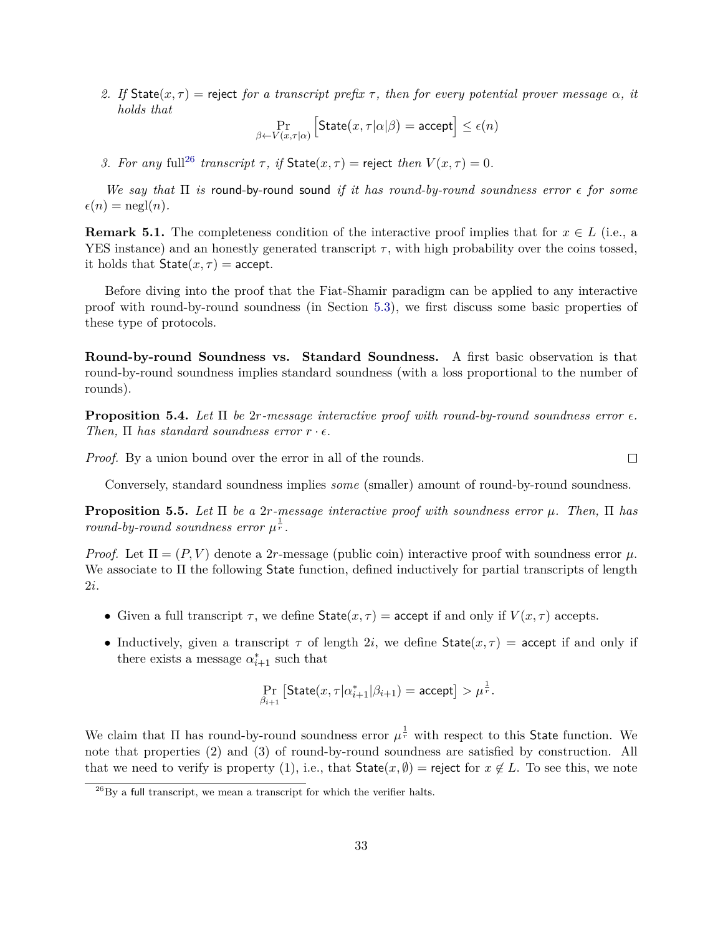*2. If* State(*x, τ* ) = reject *for a transcript prefix τ , then for every potential prover message α, it holds that*

$$
\Pr_{\beta \leftarrow V(x,\tau|\alpha)} \left[ \text{State}(x,\tau|\alpha|\beta) = \text{accept} \right] \le \epsilon(n)
$$

*3. For any* full<sup>[26](#page-34-0)</sup> *transcript*  $\tau$ , *if*  $\text{State}(x, \tau) = \text{reject } then \ V(x, \tau) = 0$ .

*We say that* Π *is* round-by-round sound *if it has round-by-round soundness error for some*  $\epsilon(n) = \text{negl}(n)$ .

**Remark 5.1.** The completeness condition of the interactive proof implies that for  $x \in L$  (i.e., a YES instance) and an honestly generated transcript  $\tau$ , with high probability over the coins tossed, it holds that  $State(x, \tau) = accept.$ 

Before diving into the proof that the Fiat-Shamir paradigm can be applied to any interactive proof with round-by-round soundness (in Section [5.3\)](#page-36-0), we first discuss some basic properties of these type of protocols.

**Round-by-round Soundness vs. Standard Soundness.** A first basic observation is that round-by-round soundness implies standard soundness (with a loss proportional to the number of rounds).

**Proposition 5.4.** *Let* Π *be* 2*r-message interactive proof with round-by-round soundness error . Then,*  $\Pi$  *has standard soundness error*  $r \cdot \epsilon$ *.* 

*Proof.* By a union bound over the error in all of the rounds.

 $\Box$ 

Conversely, standard soundness implies *some* (smaller) amount of round-by-round soundness.

<span id="page-34-1"></span>**Proposition 5.5.** *Let* Π *be a* 2*r-message interactive proof with soundness error µ. Then,* Π *has round-by-round soundness error*  $\mu^{\frac{1}{r}}$ .

*Proof.* Let  $\Pi = (P, V)$  denote a 2*r*-message (public coin) interactive proof with soundness error  $\mu$ . We associate to Π the following State function, defined inductively for partial transcripts of length 2*i*.

- Given a full transcript  $\tau$ , we define  $\text{State}(x, \tau) = \text{accept}$  if and only if  $V(x, \tau)$  accepts.
- Inductively, given a transcript  $\tau$  of length 2*i*, we define  $\text{State}(x, \tau) = \text{accept}$  if and only if there exists a message  $\alpha_{i+1}^*$  such that

$$
\Pr_{\beta_{i+1}}\left[\mathsf{State}(x,\tau|\alpha^*_{i+1}|\beta_{i+1})=\mathsf{accept}\right] > \mu^{\frac{1}{r}}.
$$

We claim that  $\Pi$  has round-by-round soundness error  $\mu^{\frac{1}{r}}$  with respect to this State function. We note that properties (2) and (3) of round-by-round soundness are satisfied by construction. All that we need to verify is property (1), i.e., that  $\text{State}(x, \emptyset) = \text{reject}$  for  $x \notin L$ . To see this, we note

<span id="page-34-0"></span> $^{26}$ By a full transcript, we mean a transcript for which the verifier halts.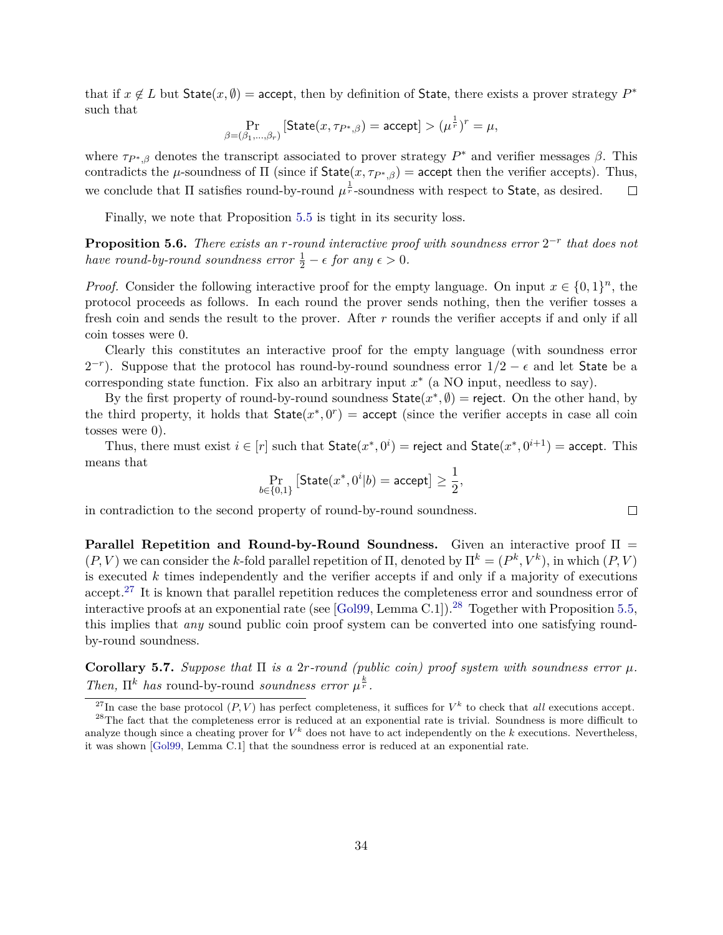that if  $x \notin L$  but  $State(x, \emptyset) = accept$ , then by definition of State, there exists a prover strategy  $P^*$ such that

$$
\Pr_{\beta=(\beta_1,\ldots,\beta_r)}\left[\mathsf{State}(x,\tau_{P^*,\beta})=\mathsf{accept}\right]>(\mu^{\frac{1}{r}})^r=\mu,
$$

where  $\tau_{P^*,\beta}$  denotes the transcript associated to prover strategy  $P^*$  and verifier messages  $\beta$ . This contradicts the *µ*-soundness of  $\Pi$  (since if State(*x*,  $\tau_{P^*,\beta}$ ) = accept then the verifier accepts). Thus, we conclude that  $\Pi$  satisfies round-by-round  $\mu^{\frac{1}{r}}$ -soundness with respect to State, as desired.  $\Box$ 

Finally, we note that Proposition [5.5](#page-34-1) is tight in its security loss.

**Proposition 5.6.** *There exists an r-round interactive proof with soundness error* 2 −*r that does not have round-by-round soundness error*  $\frac{1}{2} - \epsilon$  *for any*  $\epsilon > 0$ *.* 

*Proof.* Consider the following interactive proof for the empty language. On input  $x \in \{0,1\}^n$ , the protocol proceeds as follows. In each round the prover sends nothing, then the verifier tosses a fresh coin and sends the result to the prover. After *r* rounds the verifier accepts if and only if all coin tosses were 0.

Clearly this constitutes an interactive proof for the empty language (with soundness error  $2^{-r}$ ). Suppose that the protocol has round-by-round soundness error  $1/2 - \epsilon$  and let State be a corresponding state function. Fix also an arbitrary input  $x^*$  (a NO input, needless to say).

By the first property of round-by-round soundness  $State(x^*, \emptyset) = reject$ . On the other hand, by the third property, it holds that  $State(x^*, 0^r) = accept$  (since the verifier accepts in case all coin tosses were 0).

Thus, there must exist  $i \in [r]$  such that  $\mathsf{State}(x^*, 0^i) = \mathsf{reject}$  and  $\mathsf{State}(x^*, 0^{i+1}) = \mathsf{accept}.$  This means that

$$
\Pr_{b\in\{0,1\}}\left[\mathsf{State}(x^*,0^i|b)=\mathsf{accept}\right]\geq\frac{1}{2},
$$

in contradiction to the second property of round-by-round soundness.

**Parallel Repetition and Round-by-Round Soundness.** Given an interactive proof Π =  $(P, V)$  we can consider the *k*-fold parallel repetition of  $\Pi$ , denoted by  $\Pi^k = (P^k, V^k)$ , in which  $(P, V)$ is executed *k* times independently and the verifier accepts if and only if a majority of executions accept.<sup>[27](#page-35-0)</sup> It is known that parallel repetition reduces the completeness error and soundness error of interactive proofs at an exponential rate (see  $[Gol99, Lemma C.1]$  $[Gol99, Lemma C.1]$ ).<sup>[28](#page-35-1)</sup> Together with Proposition [5.5,](#page-34-1) this implies that *any* sound public coin proof system can be converted into one satisfying roundby-round soundness.

**Corollary 5.7.** *Suppose that*  $\Pi$  *is a* 2*r-round (public coin) proof system with soundness error*  $\mu$ *. Then,*  $\Pi^k$  *has* round-by-round *soundness error*  $\mu^{\frac{k}{r}}$ .

 $\Box$ 

<span id="page-35-1"></span><span id="page-35-0"></span><sup>&</sup>lt;sup>27</sup>In case the base protocol  $(P, V)$  has perfect completeness, it suffices for  $V^k$  to check that *all* executions accept.

<sup>&</sup>lt;sup>28</sup>The fact that the completeness error is reduced at an exponential rate is trivial. Soundness is more difficult to analyze though since a cheating prover for  $V^k$  does not have to act independently on the  $k$  executions. Nevertheless, it was shown [\[Gol99,](#page-53-9) Lemma C.1] that the soundness error is reduced at an exponential rate.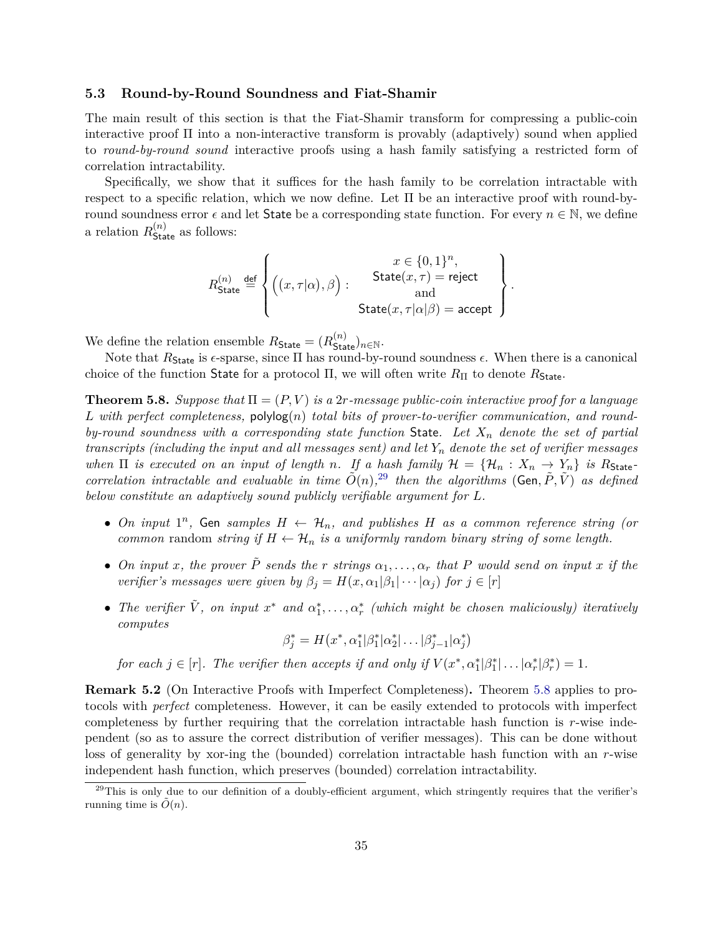#### <span id="page-36-0"></span>**5.3 Round-by-Round Soundness and Fiat-Shamir**

The main result of this section is that the Fiat-Shamir transform for compressing a public-coin interactive proof Π into a non-interactive transform is provably (adaptively) sound when applied to *round-by-round sound* interactive proofs using a hash family satisfying a restricted form of correlation intractability.

Specifically, we show that it suffices for the hash family to be correlation intractable with respect to a specific relation, which we now define. Let  $\Pi$  be an interactive proof with round-byround soundness error  $\epsilon$  and let State be a corresponding state function. For every  $n \in \mathbb{N}$ , we define a relation  $R_{\text{State}}^{(n)}$  as follows:

$$
R_{\text{State}}^{(n)} \stackrel{\text{def}}{=} \left\{ \begin{pmatrix} x \in \{0,1\}^n, \\ \left( (x,\tau|\alpha),\beta \right): & \text{State}(x,\tau) = \text{reject} \\ \text{and} \\ \text{State}(x,\tau|\alpha|\beta) = \text{accept} \end{pmatrix} \right\}.
$$

We define the relation ensemble  $R_{\text{State}} = (R_{\text{State}}^{(n)})_{n \in \mathbb{N}}$ .

Note that  $R_{\text{State}}$  is  $\epsilon$ -sparse, since  $\Pi$  has round-by-round soundness  $\epsilon$ . When there is a canonical choice of the function State for a protocol  $\Pi$ , we will often write  $R_{\Pi}$  to denote  $R_{\text{State}}$ .

<span id="page-36-2"></span>**Theorem 5.8.** *Suppose that*  $\Pi = (P, V)$  *is a* 2*r-message public-coin interactive proof for a language L with perfect completeness,* polylog(*n*) *total bits of prover-to-verifier communication, and roundby-round soundness with a corresponding state function* State*. Let X<sup>n</sup> denote the set of partial transcripts (including the input and all messages sent) and let Y<sup>n</sup> denote the set of verifier messages when*  $\Pi$  *is executed on an input of length n.* If a hash family  $\mathcal{H} = {\mathcal{H}_n : X_n \to Y_n}$  is  $R_{\text{State}}$ *correlation intractable and evaluable in time*  $\tilde{O}(n)$ , <sup>[29](#page-36-1)</sup> *then the algorithms* (Gen,  $\tilde{P}$ ,  $\tilde{V}$ ) *as defined below constitute an adaptively sound publicly verifiable argument for L.*

- *On input*  $1^n$ , Gen *samples*  $H \leftarrow \mathcal{H}_n$ , and publishes  $H$  as a common reference string (or *common* random *string if*  $H \leftarrow H_n$  *is a uniformly random binary string of some length.*
- *On input x*, the prover  $\tilde{P}$  sends the r strings  $\alpha_1, \ldots, \alpha_r$  that P would send on input *x* if the *verifier's messages were given by*  $\beta_i = H(x, \alpha_1 | \beta_1 | \cdots | \alpha_i)$  *for*  $j \in [r]$
- The verifier  $\tilde{V}$ , on input  $x^*$  and  $\alpha_1^*, \ldots, \alpha_r^*$  (which might be chosen maliciously) iteratively *computes*

$$
\beta_j^* = H(x^*, \alpha_1^* | \beta_1^* | \alpha_2^* | \dots | \beta_{j-1}^* | \alpha_j^*)
$$

*for each*  $j \in [r]$ *. The verifier then accepts if and only if*  $V(x^*, \alpha_1^* | \beta_1^* | \dots | \alpha_r^* | \beta_r^*) = 1$ *.* 

**Remark 5.2** (On Interactive Proofs with Imperfect Completeness)**.** Theorem [5.8](#page-36-2) applies to protocols with *perfect* completeness. However, it can be easily extended to protocols with imperfect completeness by further requiring that the correlation intractable hash function is *r*-wise independent (so as to assure the correct distribution of verifier messages). This can be done without loss of generality by xor-ing the (bounded) correlation intractable hash function with an *r*-wise independent hash function, which preserves (bounded) correlation intractability.

<span id="page-36-1"></span> $^{29}$ This is only due to our definition of a doubly-efficient argument, which stringently requires that the verifier's running time is  $\tilde{O}(n)$ .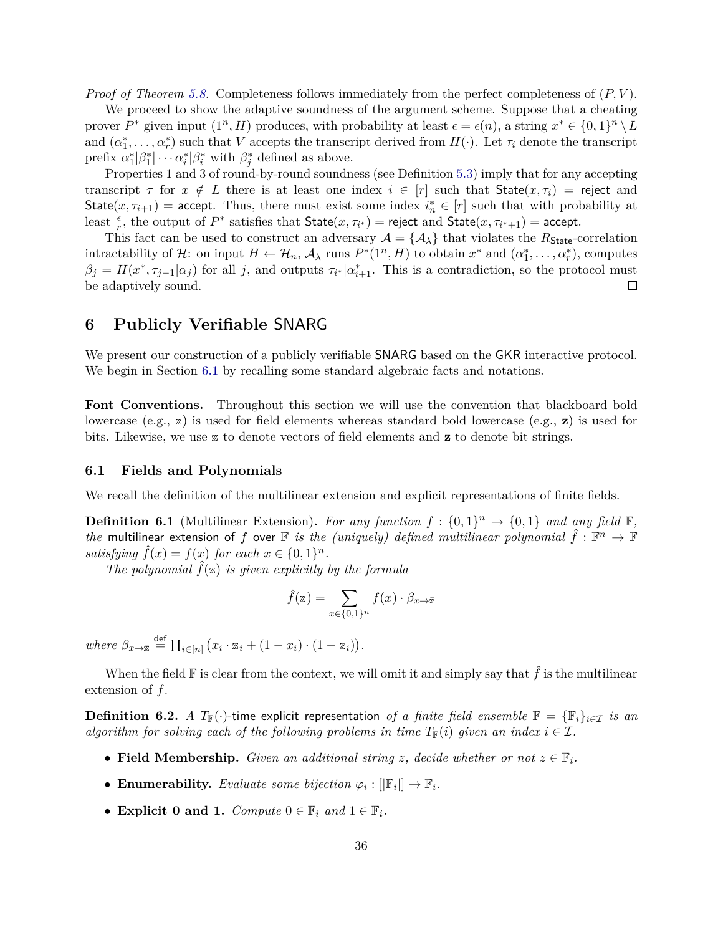*Proof of Theorem [5.8.](#page-36-2)* Completeness follows immediately from the perfect completeness of (*P, V* ).

We proceed to show the adaptive soundness of the argument scheme. Suppose that a cheating prover  $P^*$  given input  $(1^n, H)$  produces, with probability at least  $\epsilon = \epsilon(n)$ , a string  $x^* \in \{0, 1\}^n \setminus L$ and  $(\alpha_1^*, \ldots, \alpha_r^*)$  such that *V* accepts the transcript derived from  $H(\cdot)$ . Let  $\tau_i$  denote the transcript prefix  $\alpha_1^* \vert \beta_1^* \vert \cdots \alpha_i^* \vert \beta_i^*$  with  $\beta_j^*$  defined as above.

Properties 1 and 3 of round-by-round soundness (see Definition [5.3\)](#page-33-3) imply that for any accepting transcript  $\tau$  for  $x \notin L$  there is at least one index  $i \in [r]$  such that State $(x, \tau_i)$  = reject and State $(x, \tau_{i+1})$  = accept. Thus, there must exist some index  $i_n^* \in [r]$  such that with probability at least  $\frac{\epsilon}{r}$ , the output of  $P^*$  satisfies that  $\text{State}(x, \tau_{i^*}) = \text{reject}$  and  $\text{State}(x, \tau_{i^*+1}) = \text{accept}.$ 

This fact can be used to construct an adversary  $A = \{A_{\lambda}\}\$ that violates the  $R_{\text{State}}$ -correlation intractability of H: on input  $H \leftarrow H_n$ ,  $\mathcal{A}_{\lambda}$  runs  $P^*(1^n, H)$  to obtain  $x^*$  and  $(\alpha_1^*, \ldots, \alpha_r^*)$ , computes  $\beta_j = H(x^*, \tau_{j-1} | \alpha_j)$  for all *j*, and outputs  $\tau_{i^*} | \alpha_{i+1}^*$ . This is a contradiction, so the protocol must be adaptively sound.  $\Box$ 

## <span id="page-37-0"></span>**6 Publicly Verifiable** SNARG

We present our construction of a publicly verifiable SNARG based on the GKR interactive protocol. We begin in Section [6.1](#page-37-1) by recalling some standard algebraic facts and notations.

Font Conventions. Throughout this section we will use the convention that blackboard bold lowercase (e.g., z) is used for field elements whereas standard bold lowercase (e.g., **z**) is used for bits. Likewise, we use  $\bar{z}$  to denote vectors of field elements and  $\bar{z}$  to denote bit strings.

#### <span id="page-37-1"></span>**6.1 Fields and Polynomials**

<span id="page-37-2"></span>We recall the definition of the multilinear extension and explicit representations of finite fields.

**Definition 6.1** (Multilinear Extension). For any function  $f: \{0,1\}^n \to \{0,1\}$  and any field F, *the* multilinear extension of *f* over  $\mathbb F$  *is the (uniquely) defined multilinear polynomial*  $\hat{f}: \mathbb F^n \to \mathbb F$ *satisfying*  $\hat{f}(x) = f(x)$  *for each*  $x \in \{0, 1\}^n$ .

*The polynomial*  $\hat{f}(\mathbf{z})$  *is given explicitly by the formula* 

$$
\hat{f}(\mathbf{z}) = \sum_{x \in \{0,1\}^n} f(x) \cdot \beta_{x \to \bar{x}}
$$

 $where \ \beta_{x \to \bar{x}} \stackrel{\text{def}}{=} \prod_{i \in [n]} (x_i \cdot \mathbb{z}_i + (1 - x_i) \cdot (1 - \mathbb{z}_i)).$ 

When the field  $\mathbb F$  is clear from the context, we will omit it and simply say that  $\hat f$  is the multilinear extension of *f*.

**Definition 6.2.** *A*  $T_{\mathbb{F}}(\cdot)$ -time explicit representation of a finite field ensemble  $\mathbb{F} = {\mathbb{F}_i}_{i \in \mathcal{I}}$  *is an algorithm for solving each of the following problems in time*  $T_F(i)$  *given an index*  $i \in \mathcal{I}$ .

- **Field Membership.** *Given an additional string z*, *decide whether or not*  $z \in \mathbb{F}_i$ .
- **Enumerability.** *Evaluate some bijection*  $\varphi_i : [\mathbb{F}_i] \to \mathbb{F}_i$ .
- **Explicit 0 and 1.** *Compute*  $0 \in \mathbb{F}_i$  *and*  $1 \in \mathbb{F}_i$ *.*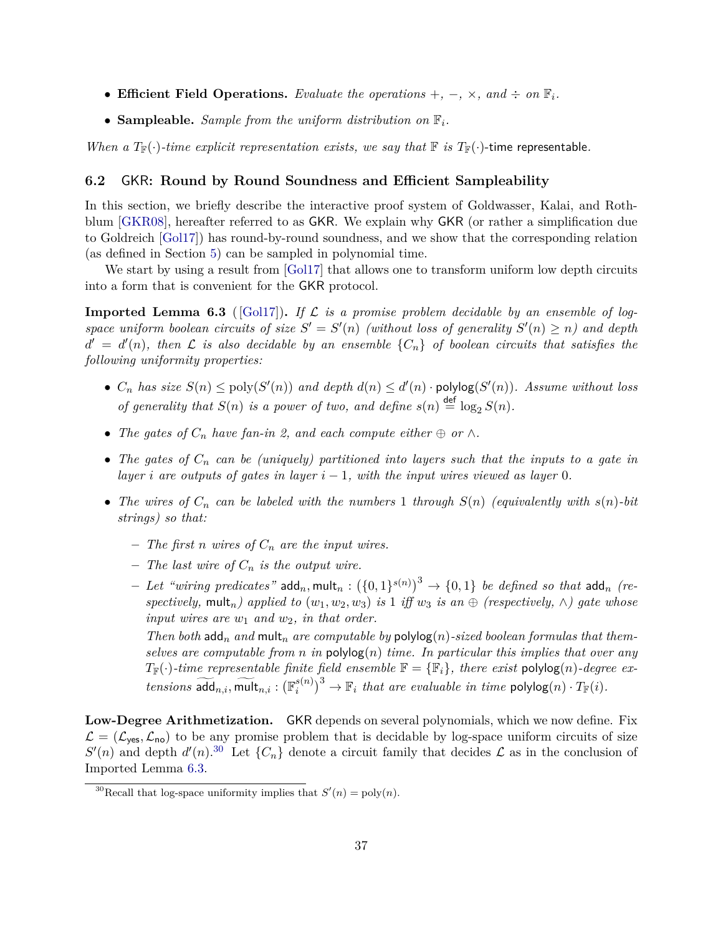- **Efficient Field Operations.** *Evaluate the operations* +*,* −*,* ×*, and* ÷ *on* F*i.*
- **Sampleable.** *Sample from the uniform distribution on*  $\mathbb{F}_i$ *.*

*When a*  $T_F(\cdot)$ -time explicit representation exists, we say that  $\mathbb F$  is  $T_F(\cdot)$ -time representable.

#### <span id="page-38-0"></span>**6.2** GKR**: Round by Round Soundness and Efficient Sampleability**

In this section, we briefly describe the interactive proof system of Goldwasser, Kalai, and Rothblum [\[GKR08\]](#page-52-4), hereafter referred to as GKR. We explain why GKR (or rather a simplification due to Goldreich [\[Gol17\]](#page-53-10)) has round-by-round soundness, and we show that the corresponding relation (as defined in Section [5\)](#page-33-0) can be sampled in polynomial time.

We start by using a result from [\[Gol17\]](#page-53-10) that allows one to transform uniform low depth circuits into a form that is convenient for the GKR protocol.

<span id="page-38-2"></span>**Imported Lemma 6.3** ([\[Gol17\]](#page-53-10)). If  $\mathcal{L}$  is a promise problem decidable by an ensemble of logspace uniform boolean circuits of size  $S' = S'(n)$  (without loss of generality  $S'(n) \geq n$ ) and depth  $d' = d'(n)$ , then  $\mathcal L$  is also decidable by an ensemble  $\{C_n\}$  of boolean circuits that satisfies the *following uniformity properties:*

- $C_n$  *has size*  $S(n) \leq \text{poly}(S'(n))$  *and depth*  $d(n) \leq d'(n) \cdot \text{polylog}(S'(n))$ *. Assume without loss of generality that*  $S(n)$  *is a power of two, and define*  $s(n) \stackrel{\text{def}}{=} \log_2 S(n)$ *.*
- The gates of  $C_n$  have fan-in 2, and each compute either  $\oplus$  or  $\wedge$ .
- *The gates of C<sup>n</sup> can be (uniquely) partitioned into layers such that the inputs to a gate in layer i* are outputs of gates in layer  $i - 1$ *, with the input wires viewed as layer* 0*.*
- *The wires of*  $C_n$  *can be labeled with the numbers* 1 *through*  $S(n)$  *(equivalently with*  $s(n)$ *-bit strings) so that:*
	- **–** *The first n wires of C<sup>n</sup> are the input wires.*
	- **–** *The last wire of C<sup>n</sup> is the output wire.*
	- $-$  *Let "wiring predicates"* add $_n,$  mult $_n: (\{0,1\}^{s(n)})^3 \rightarrow \{0,1\}$  *be defined so that* add $_n$  *(respectively,* mult<sub>n</sub>) applied to  $(w_1, w_2, w_3)$  *is* 1 *iff*  $w_3$  *is an*  $\oplus$  *(respectively,*  $\wedge$ ) gate whose *input wires are w*<sup>1</sup> *and w*2*, in that order.*

*Then both* add<sub>n</sub> and mult<sub>n</sub> are computable by  $\text{polylog}(n)$ -sized boolean formulas that them*selves are computable from n in*  $\text{polylog}(n)$  *time. In particular this implies that over any*  $T_{\mathbb{F}}(\cdot)$ -time representable finite field ensemble  $\mathbb{F} = {\mathbb{F}_i}$ , there exist polylog(*n*)-degree ex $tensors \ \widetilde{\text{add}}_{n,i}, \widetilde{\text{mult}}_{n,i} : (\mathbb{F}^{s(n)}_i)$  $\binom{s(n)}{i}^3 \to \mathbb{F}_i$  *that are evaluable in time*  $\text{polylog}(n) \cdot T_{\mathbb{F}}(i)$ *.* 

**Low-Degree Arithmetization.** GKR depends on several polynomials, which we now define. Fix  $\mathcal{L} = (\mathcal{L}_{\text{ves}}, \mathcal{L}_{\text{no}})$  to be any promise problem that is decidable by log-space uniform circuits of size  $S'(n)$  and depth  $d'(n)$ <sup>[30](#page-38-1)</sup> Let  $\{C_n\}$  denote a circuit family that decides  $\mathcal L$  as in the conclusion of Imported Lemma [6.3.](#page-38-2)

<span id="page-38-1"></span><sup>&</sup>lt;sup>30</sup>Recall that log-space uniformity implies that  $S'(n) = \text{poly}(n)$ .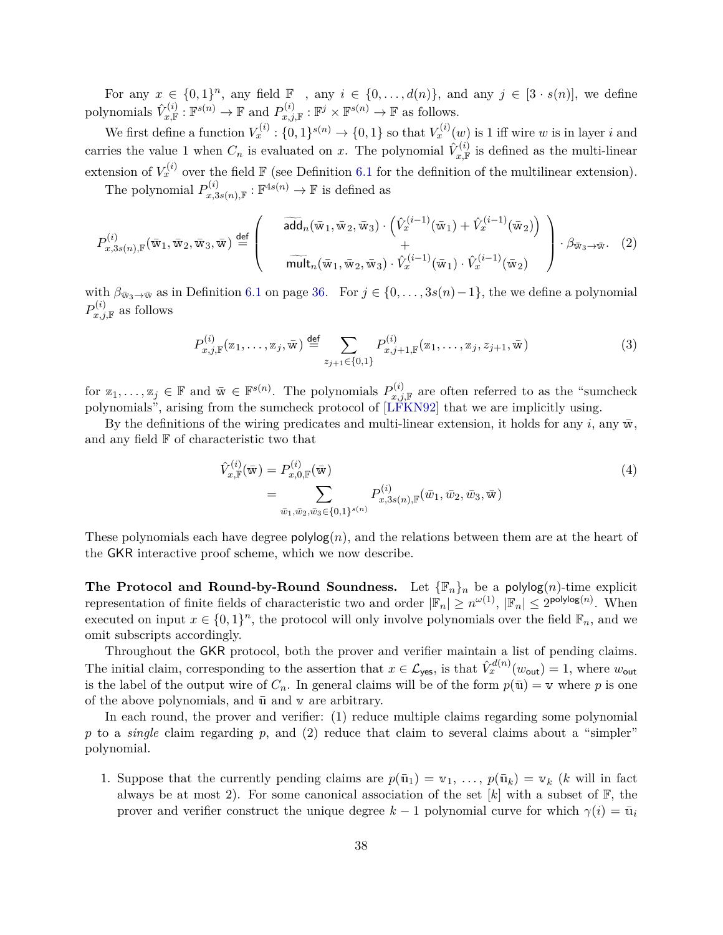For any  $x \in \{0,1\}^n$ , any field  $\mathbb{F}$ , any  $i \in \{0,\ldots,d(n)\}$ , and any  $j \in [3 \cdot s(n)]$ , we define polynomials  $\hat{V}_{x,\mathbb{F}}^{(i)} : \mathbb{F}^{s(n)} \to \mathbb{F}$  and  $P_{x,j,\mathbb{F}}^{(i)} : \mathbb{F}^{j} \times \mathbb{F}^{s(n)} \to \mathbb{F}$  as follows.

We first define a function  $V_x^{(i)}$ :  $\{0,1\}^{s(n)} \to \{0,1\}$  so that  $V_x^{(i)}(w)$  is 1 iff wire *w* is in layer *i* and carries the value 1 when  $C_n$  is evaluated on *x*. The polynomial  $\hat{V}^{(i)}_{x,\mathbb{F}}$  is defined as the multi-linear extension of  $V_x^{(i)}$  over the field  $\mathbb F$  (see Definition [6.1](#page-37-2) for the definition of the multilinear extension).

The polynomial  $P_{x,3s(n),\mathbb{F}}^{(i)}$ :  $\mathbb{F}^{4s(n)} \to \mathbb{F}$  is defined as

<span id="page-39-0"></span>
$$
P_{x,3s(n),\mathbb{F}}^{(i)}(\overline{\mathbf{w}}_1,\overline{\mathbf{w}}_2,\overline{\mathbf{w}}_3,\overline{\mathbf{w}})\stackrel{\text{def}}{=} \left(\begin{array}{c} \overline{\mathbf{add}}_n(\overline{\mathbf{w}}_1,\overline{\mathbf{w}}_2,\overline{\mathbf{w}}_3)\cdot(\hat{V}_x^{(i-1)}(\overline{\mathbf{w}}_1)+\hat{V}_x^{(i-1)}(\overline{\mathbf{w}}_2))\\ + \\ \overline{\mathbf{mult}}_n(\overline{\mathbf{w}}_1,\overline{\mathbf{w}}_2,\overline{\mathbf{w}}_3)\cdot\hat{V}_x^{(i-1)}(\overline{\mathbf{w}}_1)\cdot\hat{V}_x^{(i-1)}(\overline{\mathbf{w}}_2) \end{array}\right)\cdot\beta_{\overline{\mathbf{w}}_3\to\overline{\mathbf{w}}}. \tag{2}
$$

with  $\beta_{\bar{w}_3 \to \bar{w}}$  as in Definition [6.1](#page-37-2) on page [36.](#page-37-2) For  $j \in \{0, \ldots, 3s(n)-1\}$ , the we define a polynomial  $P_{x,j,\mathbb{F}}^{(i)}$  as follows

<span id="page-39-1"></span>
$$
P_{x,j,\mathbb{F}}^{(i)}(\mathbb{Z}_1,\ldots,\mathbb{Z}_j,\bar{\mathbf{w}}) \stackrel{\text{def}}{=} \sum_{z_{j+1}\in\{0,1\}} P_{x,j+1,\mathbb{F}}^{(i)}(\mathbb{Z}_1,\ldots,\mathbb{Z}_j,z_{j+1},\bar{\mathbf{w}}) \tag{3}
$$

for  $z_1, \ldots, z_j \in \mathbb{F}$  and  $\bar{w} \in \mathbb{F}^{s(n)}$ . The polynomials  $P_{x,j,\mathbb{F}}^{(i)}$  are often referred to as the "sumcheck" polynomials", arising from the sumcheck protocol of [\[LFKN92\]](#page-54-5) that we are implicitly using.

By the definitions of the wiring predicates and multi-linear extension, it holds for any  $i$ , any  $\bar{w}$ , and any field  ${\mathbb F}$  of characteristic two that

<span id="page-39-2"></span>
$$
\hat{V}_{x,\mathbb{F}}^{(i)}(\bar{\mathbf{w}}) = P_{x,0,\mathbb{F}}^{(i)}(\bar{\mathbf{w}})
$$
\n
$$
= \sum_{\bar{w}_1,\bar{w}_2,\bar{w}_3 \in \{0,1\}^{s(n)}} P_{x,3s(n),\mathbb{F}}^{(i)}(\bar{w}_1,\bar{w}_2,\bar{w}_3,\bar{\mathbf{w}})
$$
\n(4)

These polynomials each have degree  $\mathsf{polylog}(n)$ , and the relations between them are at the heart of the GKR interactive proof scheme, which we now describe.

**The Protocol and Round-by-Round Soundness.** Let  $\{\mathbb{F}_n\}_n$  be a polylog $(n)$ -time explicit representation of finite fields of characteristic two and order  $|\mathbb{F}_n| \ge n^{\omega(1)}$ ,  $|\mathbb{F}_n| \le 2^{\text{polylog}(n)}$ . When executed on input  $x \in \{0,1\}^n$ , the protocol will only involve polynomials over the field  $\mathbb{F}_n$ , and we omit subscripts accordingly.

Throughout the GKR protocol, both the prover and verifier maintain a list of pending claims. The initial claim, corresponding to the assertion that  $x \in \mathcal{L}_{\text{yes}}$ , is that  $\hat{V}_x^{d(n)}(w_{\text{out}}) = 1$ , where  $w_{\text{out}}$ is the label of the output wire of  $C_n$ . In general claims will be of the form  $p(\bar{u}) = v$  where p is one of the above polynomials, and  $\bar{u}$  and  $v$  are arbitrary.

In each round, the prover and verifier: (1) reduce multiple claims regarding some polynomial *p* to a *single* claim regarding *p*, and (2) reduce that claim to several claims about a "simpler" polynomial.

1. Suppose that the currently pending claims are  $p(\bar{u}_1) = v_1, \ldots, p(\bar{u}_k) = v_k$  (*k* will in fact always be at most 2). For some canonical association of the set  $[k]$  with a subset of  $\mathbb{F}$ , the prover and verifier construct the unique degree  $k-1$  polynomial curve for which  $\gamma(i) = \bar{u}_i$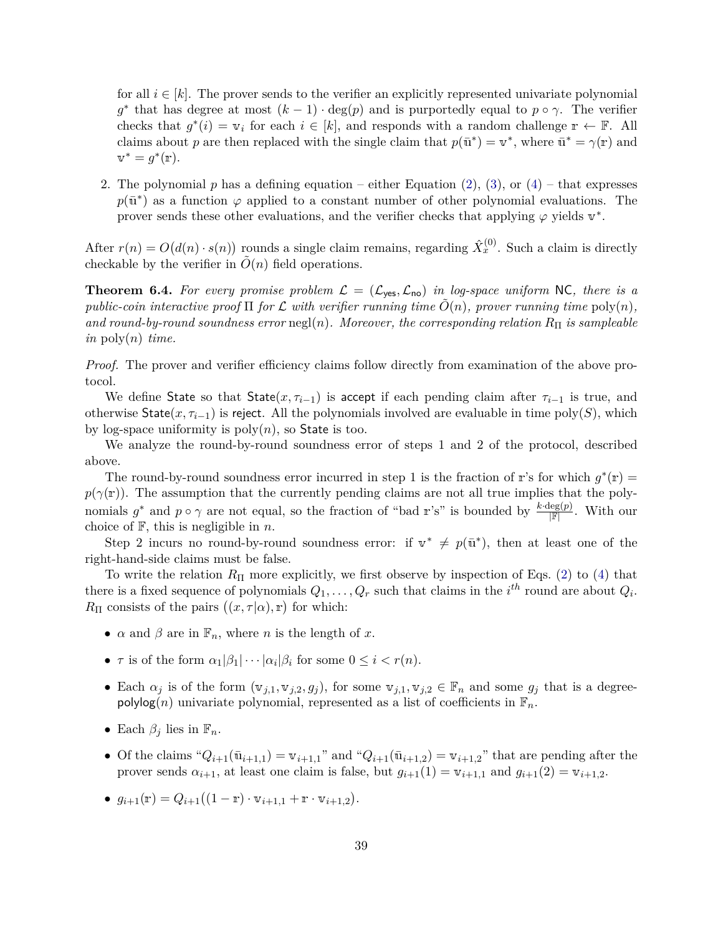for all  $i \in [k]$ . The prover sends to the verifier an explicitly represented univariate polynomial  $g^*$  that has degree at most  $(k-1) \cdot \deg(p)$  and is purportedly equal to  $p \circ \gamma$ . The verifier checks that  $g^*(i) = v_i$  for each  $i \in [k]$ , and responds with a random challenge  $r \leftarrow \mathbb{F}$ . All claims about *p* are then replaced with the single claim that  $p(\bar{u}^*) = v^*$ , where  $\bar{u}^* = \gamma(r)$  and  $v^* = g^*(\mathbf{r}).$ 

2. The polynomial  $p$  has a defining equation – either Equation [\(2\)](#page-39-0), [\(3\)](#page-39-1), or [\(4\)](#page-39-2) – that expresses  $p(\bar{u}^*)$  as a function  $\varphi$  applied to a constant number of other polynomial evaluations. The prover sends these other evaluations, and the verifier checks that applying  $\varphi$  yields  $v^*$ .

After  $r(n) = O(d(n) \cdot s(n))$  rounds a single claim remains, regarding  $\hat{X}_x^{(0)}$ . Such a claim is directly checkable by the verifier in  $\tilde{O}(n)$  field operations.

<span id="page-40-0"></span>**Theorem 6.4.** For every promise problem  $\mathcal{L} = (\mathcal{L}_{\text{yes}}, \mathcal{L}_{\text{no}})$  in log-space uniform NC, there is a *public-coin interactive proof*  $\Pi$  *for*  $\mathcal L$  *with verifier running time*  $O(n)$ *, prover running time*  $poly(n)$ *, and round-by-round soundness error* negl(*n*)*. Moreover, the corresponding relation*  $R_{\Pi}$  *is sampleable in* poly(*n*) *time.*

*Proof.* The prover and verifier efficiency claims follow directly from examination of the above protocol.

We define State so that  $\text{State}(x, \tau_{i-1})$  is accept if each pending claim after  $\tau_{i-1}$  is true, and otherwise  $\text{State}(x, \tau_{i-1})$  is reject. All the polynomials involved are evaluable in time poly(*S*), which by log-space uniformity is  $poly(n)$ , so State is too.

We analyze the round-by-round soundness error of steps 1 and 2 of the protocol, described above.

The round-by-round soundness error incurred in step 1 is the fraction of r's for which  $g^*(r)$  =  $p(\gamma(\mathbf{r}))$ . The assumption that the currently pending claims are not all true implies that the polynomials  $g^*$  and  $p \circ \gamma$  are not equal, so the fraction of "bad r's" is bounded by  $\frac{k \cdot \deg(p)}{|\mathbb{F}|}$ . With our choice of F, this is negligible in *n*.

Step 2 incurs no round-by-round soundness error: if  $v^* \neq p(\bar{u}^*)$ , then at least one of the right-hand-side claims must be false.

To write the relation *R*<sup>Π</sup> more explicitly, we first observe by inspection of Eqs. [\(2\)](#page-39-0) to [\(4\)](#page-39-2) that there is a fixed sequence of polynomials  $Q_1, \ldots, Q_r$  such that claims in the  $i^{th}$  round are about  $Q_i$ .  $R_{\Pi}$  consists of the pairs  $((x, \tau | \alpha), \mathbf{r})$  for which:

- $\alpha$  and  $\beta$  are in  $\mathbb{F}_n$ , where *n* is the length of *x*.
- *τ* is of the form  $\alpha_1|\beta_1|\cdots|\alpha_i|\beta_i$  for some  $0 \le i < r(n)$ .
- Each  $\alpha_j$  is of the form  $(\mathbf{v}_{j,1}, \mathbf{v}_{j,2}, g_j)$ , for some  $\mathbf{v}_{j,1}, \mathbf{v}_{j,2} \in \mathbb{F}_n$  and some  $g_j$  that is a degreepolylog(*n*) univariate polynomial, represented as a list of coefficients in  $\mathbb{F}_n$ .
- Each  $\beta_i$  lies in  $\mathbb{F}_n$ .
- Of the claims  $^{\alpha}Q_{i+1}(\bar{u}_{i+1,1}) = v_{i+1,1}$ " and  $^{\alpha}Q_{i+1}(\bar{u}_{i+1,2}) = v_{i+1,2}$ " that are pending after the prover sends  $\alpha_{i+1}$ , at least one claim is false, but  $g_{i+1}(1) = v_{i+1,1}$  and  $g_{i+1}(2) = v_{i+1,2}$ .
- $g_{i+1}(\mathbf{r}) = Q_{i+1}((1-\mathbf{r}) \cdot \mathbf{v}_{i+1,1} + \mathbf{r} \cdot \mathbf{v}_{i+1,2}).$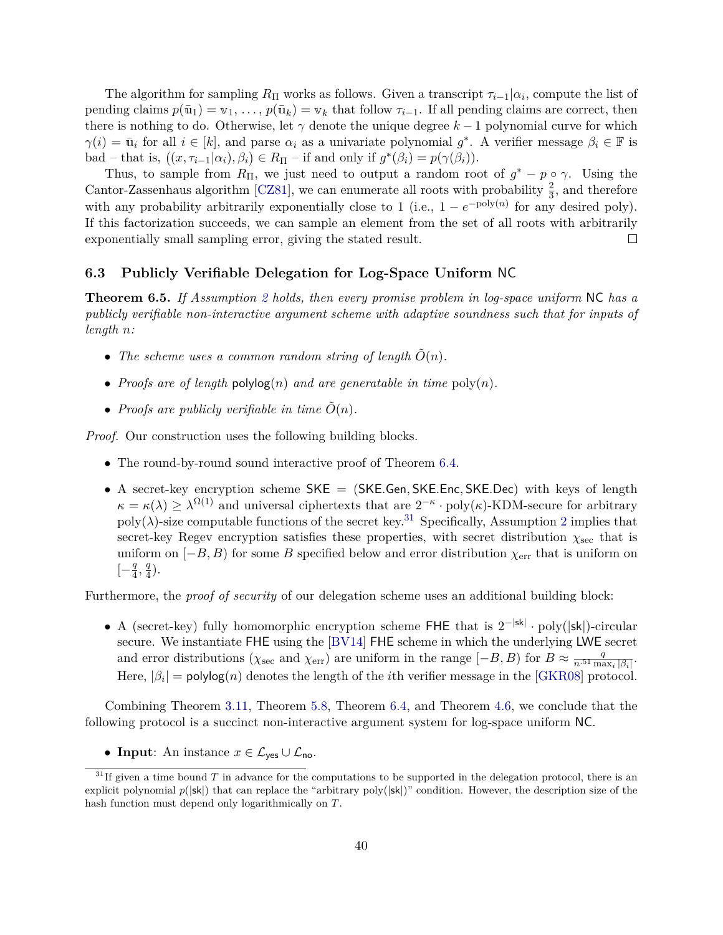The algorithm for sampling  $R_{\Pi}$  works as follows. Given a transcript  $\tau_{i-1}|\alpha_i$ , compute the list of pending claims  $p(\bar{u}_1) = v_1, \ldots, p(\bar{u}_k) = v_k$  that follow  $\tau_{i-1}$ . If all pending claims are correct, then there is nothing to do. Otherwise, let  $\gamma$  denote the unique degree  $k-1$  polynomial curve for which  $\gamma(i) = \bar{\mathbf{u}}_i$  for all  $i \in [k]$ , and parse  $\alpha_i$  as a univariate polynomial  $g^*$ . A verifier message  $\beta_i \in \mathbb{F}$  is bad – that is,  $((x, \tau_{i-1} | \alpha_i), \beta_i) \in R_{\Pi}$  – if and only if  $g^*(\beta_i) = p(\gamma(\beta_i)).$ 

Thus, to sample from  $R_{\Pi}$ , we just need to output a random root of  $g^* - p \circ \gamma$ . Using the Cantor-Zassenhaus algorithm [\[CZ81\]](#page-52-12), we can enumerate all roots with probability  $\frac{2}{3}$ , and therefore with any probability arbitrarily exponentially close to 1 (i.e.,  $1 - e^{-poly(n)}$  for any desired poly). If this factorization succeeds, we can sample an element from the set of all roots with arbitrarily exponentially small sampling error, giving the stated result.  $\Box$ 

#### <span id="page-41-0"></span>**6.3 Publicly Verifiable Delegation for Log-Space Uniform** NC

**Theorem 6.5.** *If Assumption [2](#page-21-1) holds, then every promise problem in log-space uniform* NC *has a publicly verifiable non-interactive argument scheme with adaptive soundness such that for inputs of length n:*

- The scheme uses a common random string of length  $\tilde{O}(n)$ .
- *Proofs are of length*  $polylog(n)$  *and are generatable in time*  $poly(n)$ *.*
- *Proofs are publicly verifiable in time*  $\tilde{O}(n)$ *.*

*Proof.* Our construction uses the following building blocks.

- The round-by-round sound interactive proof of Theorem [6.4.](#page-40-0)
- A secret-key encryption scheme SKE = (SKE*.*Gen*,* SKE*.*Enc*,* SKE*.*Dec) with keys of length  $\kappa = \kappa(\lambda) \geq \lambda^{\Omega(1)}$  and universal ciphertexts that are  $2^{-\kappa} \cdot \text{poly}(\kappa)$ -KDM-secure for arbitrary  $poly(\lambda)$ -size computable functions of the secret key.<sup>[31](#page-41-1)</sup> Specifically, Assumption [2](#page-21-1) implies that secret-key Regev encryption satisfies these properties, with secret distribution  $\chi_{\rm sec}$  that is uniform on  $[-B, B)$  for some *B* specified below and error distribution  $\chi_{\text{err}}$  that is uniform on [− *q*  $\frac{q}{4}, \frac{q}{4}$  $\frac{q}{4}$ .

Furthermore, the *proof of security* of our delegation scheme uses an additional building block:

• A (secret-key) fully homomorphic encryption scheme FHE that is  $2^{-|sk|} \cdot \text{poly}(|sk|)$ -circular secure. We instantiate FHE using the [\[BV14\]](#page-52-5) FHE scheme in which the underlying LWE secret and error distributions ( $\chi_{\text{sec}}$  and  $\chi_{\text{err}}$ ) are uniform in the range [−*B, B*) for  $B \approx \frac{q}{n.51 \text{ m/s}}$  $\frac{q}{n^{.51}\max_i|\beta_i|}$ . Here,  $|\beta_i|$  = polylog(*n*) denotes the length of the *i*th verifier message in the [\[GKR08\]](#page-52-4) protocol.

Combining Theorem [3.11,](#page-17-1) Theorem [5.8,](#page-36-2) Theorem [6.4,](#page-40-0) and Theorem [4.6,](#page-22-0) we conclude that the following protocol is a succinct non-interactive argument system for log-space uniform NC.

<span id="page-41-1"></span>• **Input**: An instance  $x \in \mathcal{L}_{\text{ves}} \cup \mathcal{L}_{\text{no}}$ .

 $31$ If given a time bound *T* in advance for the computations to be supported in the delegation protocol, there is an explicit polynomial  $p(|\mathbf{sk}|)$  that can replace the "arbitrary poly $(|\mathbf{sk}|)$ " condition. However, the description size of the hash function must depend only logarithmically on *T*.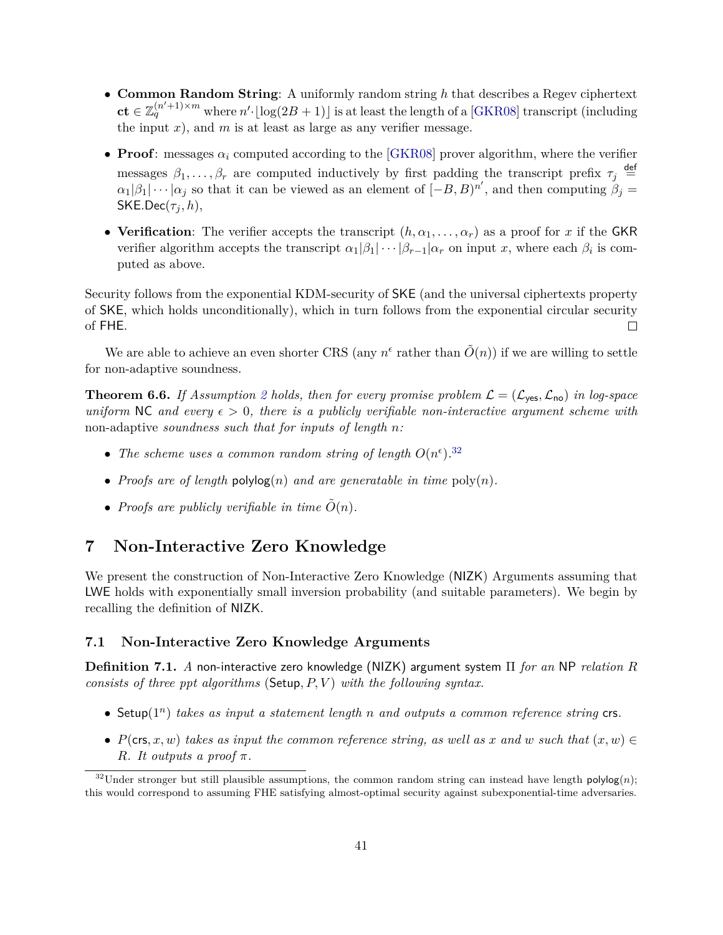- **Common Random String**: A uniformly random string *h* that describes a Regev ciphertext  $ct \in \mathbb{Z}_q^{(n'+1)\times m}$  where  $n' \cdot \lfloor \log(2B+1) \rfloor$  is at least the length of a [\[GKR08\]](#page-52-4) transcript (including the input  $x$ ), and  $m$  is at least as large as any verifier message.
- **Proof**: messages  $\alpha_i$  computed according to the [\[GKR08\]](#page-52-4) prover algorithm, where the verifier messages  $\beta_1, \ldots, \beta_r$  are computed inductively by first padding the transcript prefix  $\tau_j \stackrel{\text{def}}{=}$  $\alpha_1|\beta_1|\cdots|\alpha_j$  so that it can be viewed as an element of  $[-B, B]^n$ , and then computing  $\beta_j =$  $SKE.Dec(\tau_j, h),$
- **Verification**: The verifier accepts the transcript  $(h, \alpha_1, \ldots, \alpha_r)$  as a proof for *x* if the GKR verifier algorithm accepts the transcript  $\alpha_1|\beta_1|\cdots|\beta_{r-1}|\alpha_r$  on input *x*, where each  $\beta_i$  is computed as above.

Security follows from the exponential KDM-security of SKE (and the universal ciphertexts property of SKE, which holds unconditionally), which in turn follows from the exponential circular security of FHE.  $\Box$ 

We are able to achieve an even shorter CRS (any  $n^{\epsilon}$  rather than  $\tilde{O}(n)$ ) if we are willing to settle for non-adaptive soundness.

<span id="page-42-2"></span>**Theorem 6.6.** If Assumption [2](#page-21-1) holds, then for every promise problem  $\mathcal{L} = (\mathcal{L}_{\text{ves}}, \mathcal{L}_{\text{no}})$  in log-space *uniform* NC *and every*  $\epsilon > 0$ , *there is a publicly verifiable non-interactive argument scheme with* non-adaptive *soundness such that for inputs of length n:*

- The scheme uses a common random string of length  $O(n^{\epsilon})$ .<sup>[32](#page-42-3)</sup>
- *Proofs are of length*  $polylog(n)$  *and are generatable in time*  $poly(n)$ *.*
- *Proofs are publicly verifiable in time*  $\tilde{O}(n)$ *.*

# <span id="page-42-0"></span>**7 Non-Interactive Zero Knowledge**

We present the construction of Non-Interactive Zero Knowledge (NIZK) Arguments assuming that LWE holds with exponentially small inversion probability (and suitable parameters). We begin by recalling the definition of NIZK.

#### <span id="page-42-1"></span>**7.1 Non-Interactive Zero Knowledge Arguments**

**Definition 7.1.** *A* non-interactive zero knowledge (NIZK) argument system Π *for an* NP *relation R consists of three ppt algorithms* (Setup*, P, V* ) *with the following syntax.*

- Setup(1*<sup>n</sup>* ) *takes as input a statement length n and outputs a common reference string* crs*.*
- *P*(crs, x, w) takes as input the common reference string, as well as x and w such that  $(x, w) \in$ *R. It outputs a proof*  $\pi$ *.*

<span id="page-42-3"></span> $32$ Under stronger but still plausible assumptions, the common random string can instead have length polylog $(n)$ ; this would correspond to assuming FHE satisfying almost-optimal security against subexponential-time adversaries.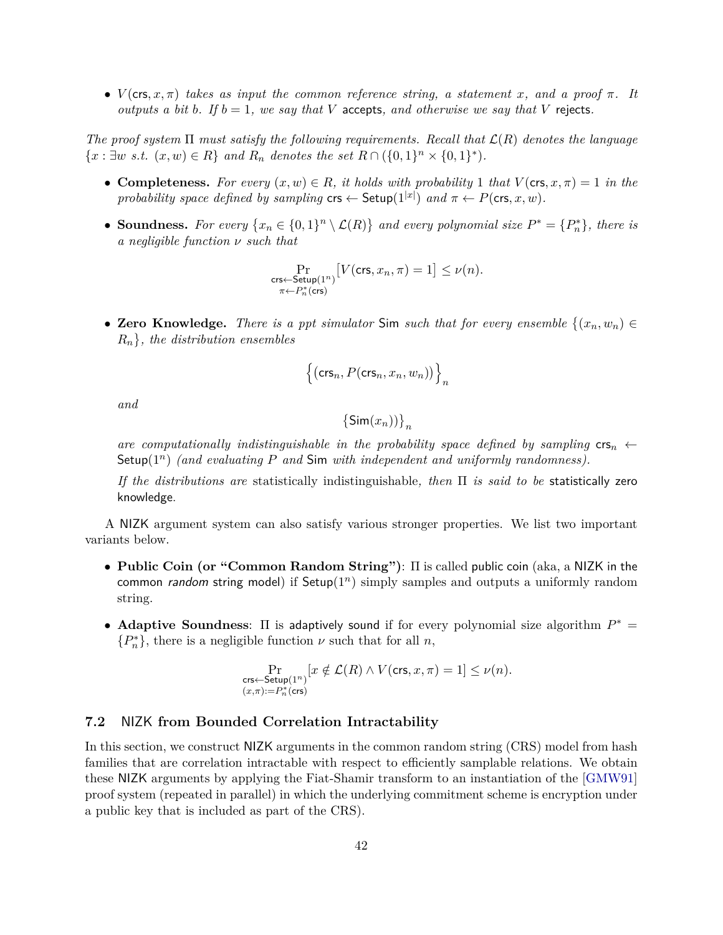•  $V(\text{crs}, x, \pi)$  *takes as input the common reference string, a statement x, and a proof*  $\pi$ *. It outputs a bit b*. If  $b = 1$ *, we say that V* accepts, and otherwise we say that *V* rejects.

*The proof system* Π *must satisfy the following requirements. Recall that* L(*R*) *denotes the language*  ${x : \exists w \ s.t. \ (x, w) \in R}$  *and*  $R_n$  *denotes the set*  $R \cap (\{0, 1\}^n \times \{0, 1\}^*)$ *.* 

- **Completeness.** For every  $(x, w) \in R$ , it holds with probability 1 that  $V(\text{crs}, x, \pi) = 1$  in the *probability space defined by sampling*  $\mathsf{crs} \leftarrow \mathsf{Setup}(1^{|\mathcal{x}|})$  *and*  $\pi \leftarrow P(\mathsf{crs}, x, w)$ *.*
- **Soundness.** For every  $\{x_n \in \{0,1\}^n \setminus \mathcal{L}(R)\}\$  and every polynomial size  $P^* = \{P_n^*\}\$ , there is *a negligible function ν such that*

$$
\Pr_{\substack{\mathsf{crs} \gets \mathsf{Setup}(1^n)\\ \pi \gets P_n^*(\mathsf{crs})}} \big[V(\mathsf{crs},x_n,\pi) = 1\big] \leq \nu(n).
$$

• Zero Knowledge. There is a ppt simulator Sim such that for every ensemble  $\{(x_n, w_n) \in$  $R_n$ , the distribution ensembles

$$
\left\{ \left(\text{crs}_n, P(\text{crs}_n, x_n, w_n)\right) \right\}_n
$$

*and*

$$
\left\{ \mathsf{Sim}(x_n) \right\}_n
$$

*are computationally indistinguishable in the probability space defined by sampling*  $\mathsf{cr}_n \leftarrow$ Setup(1*<sup>n</sup>* ) *(and evaluating P and* Sim *with independent and uniformly randomness).*

*If the distributions are* statistically indistinguishable*, then* Π *is said to be* statistically zero knowledge.

A NIZK argument system can also satisfy various stronger properties. We list two important variants below.

- **Public Coin (or "Common Random String")**: Π is called public coin (aka, a NIZK in the common *random* string model) if  $Setup(1^n)$  simply samples and outputs a uniformly random string.
- **Adaptive Soundness:**  $\Pi$  is adaptively sound if for every polynomial size algorithm  $P^* = \Pi$  ${P_n^*}$ , there is a negligible function  $\nu$  such that for all  $n$ ,

$$
\Pr_{\substack{\mathsf{crs} \leftarrow \mathsf{Setup}(1^n) \\ (x,\pi) := P_n^*(\mathsf{crs})}}[x \notin \mathcal{L}(R) \land V(\mathsf{crs},x,\pi) = 1] \leq \nu(n).
$$

### <span id="page-43-0"></span>**7.2** NIZK **from Bounded Correlation Intractability**

In this section, we construct NIZK arguments in the common random string (CRS) model from hash families that are correlation intractable with respect to efficiently samplable relations. We obtain these NIZK arguments by applying the Fiat-Shamir transform to an instantiation of the [\[GMW91\]](#page-52-6) proof system (repeated in parallel) in which the underlying commitment scheme is encryption under a public key that is included as part of the CRS).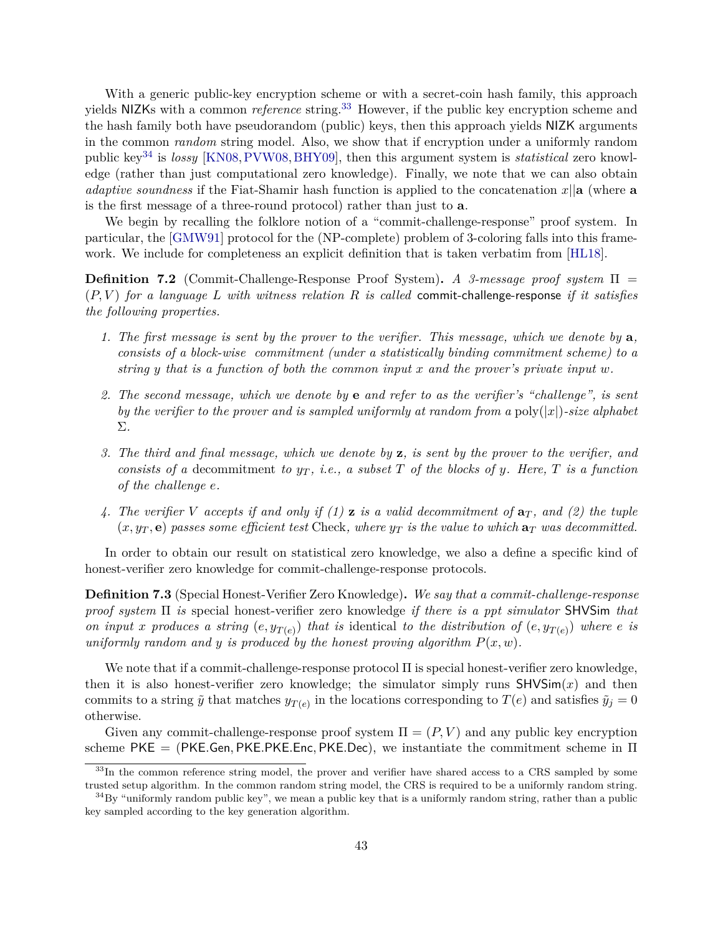With a generic public-key encryption scheme or with a secret-coin hash family, this approach yields NIZKs with a common *reference* string.<sup>[33](#page-44-0)</sup> However, if the public key encryption scheme and the hash family both have pseudorandom (public) keys, then this approach yields NIZK arguments in the common *random* string model. Also, we show that if encryption under a uniformly random public key[34](#page-44-1) is *lossy* [\[KN08,](#page-53-11)[PVW08,](#page-54-10)[BHY09\]](#page-51-11), then this argument system is *statistical* zero knowledge (rather than just computational zero knowledge). Finally, we note that we can also obtain *adaptive soundness* if the Fiat-Shamir hash function is applied to the concatenation *x*||**a** (where **a** is the first message of a three-round protocol) rather than just to **a**.

We begin by recalling the folklore notion of a "commit-challenge-response" proof system. In particular, the [\[GMW91\]](#page-52-6) protocol for the (NP-complete) problem of 3-coloring falls into this framework. We include for completeness an explicit definition that is taken verbatim from [\[HL18\]](#page-53-1).

**Definition 7.2** (Commit-Challenge-Response Proof System)**.** *A 3-message proof system* Π = (*P, V* ) *for a language L with witness relation R is called* commit-challenge-response *if it satisfies the following properties.*

- *1. The first message is sent by the prover to the verifier. This message, which we denote by* **a***, consists of a block-wise commitment (under a statistically binding commitment scheme) to a string y that is a function of both the common input x and the prover's private input w.*
- *2. The second message, which we denote by* **e** *and refer to as the verifier's "challenge", is sent by the verifier to the prover and is sampled uniformly at random from a* poly(|*x*|)*-size alphabet* Σ*.*
- *3. The third and final message, which we denote by* **z***, is sent by the prover to the verifier, and consists of a* decommitment *to*  $y_T$ , *i.e.*, *a subset T of the blocks of y. Here, T is a function of the challenge e.*
- *4. The verifier V accepts if and only if (1)* **z** *is a valid decommitment of* **a***<sup>T</sup> , and (2) the tuple*  $(x, y_T, e)$  passes some efficient test Check, where  $y_T$  is the value to which  $a_T$  was decommitted.

In order to obtain our result on statistical zero knowledge, we also a define a specific kind of honest-verifier zero knowledge for commit-challenge-response protocols.

**Definition 7.3** (Special Honest-Verifier Zero Knowledge)**.** *We say that a commit-challenge-response proof system* Π *is* special honest-verifier zero knowledge *if there is a ppt simulator* SHVSim *that on input x* produces a string  $(e, y_{T(e)})$  that is identical to the distribution of  $(e, y_{T(e)})$  where *e is uniformly random and y is produced by the honest proving algorithm*  $P(x, w)$ *.* 

We note that if a commit-challenge-response protocol Π is special honest-verifier zero knowledge, then it is also honest-verifier zero knowledge; the simulator simply runs  $SHVSim(x)$  and then commits to a string  $\tilde{y}$  that matches  $y_{T(e)}$  in the locations corresponding to  $T(e)$  and satisfies  $\tilde{y}_j = 0$ otherwise.

Given any commit-challenge-response proof system  $\Pi = (P, V)$  and any public key encryption scheme PKE = (PKE*.*Gen*,* PKE*.*PKE*.*Enc*,* PKE*.*Dec), we instantiate the commitment scheme in Π

<span id="page-44-0"></span><sup>&</sup>lt;sup>33</sup>In the common reference string model, the prover and verifier have shared access to a CRS sampled by some trusted setup algorithm. In the common random string model, the CRS is required to be a uniformly random string.

<span id="page-44-1"></span> $34\text{By}$  "uniformly random public key", we mean a public key that is a uniformly random string, rather than a public key sampled according to the key generation algorithm.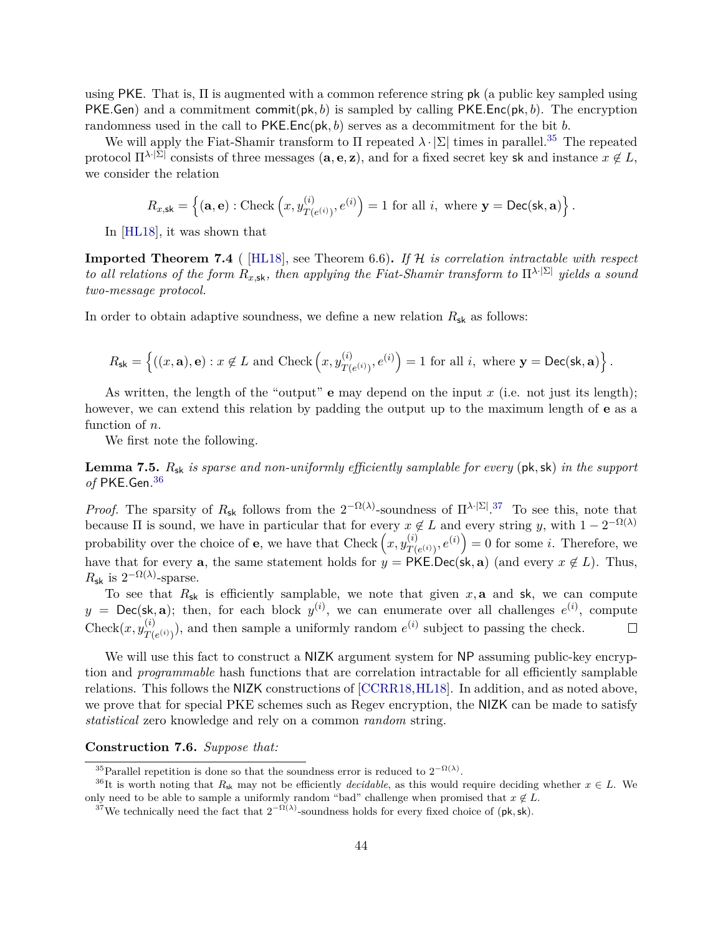using PKE. That is, Π is augmented with a common reference string pk (a public key sampled using PKE*.*Gen) and a commitment commit(pk*, b*) is sampled by calling PKE*.*Enc(pk*, b*). The encryption randomness used in the call to PKE*.*Enc(pk*, b*) serves as a decommitment for the bit *b*.

We will apply the Fiat-Shamir transform to  $\Pi$  repeated  $\lambda \cdot |\Sigma|$  times in parallel.<sup>[35](#page-45-0)</sup> The repeated protocol  $\Pi^{\lambda \cdot |\Sigma|}$  consists of three messages  $(a, e, z)$ , and for a fixed secret key sk and instance  $x \notin L$ , we consider the relation

$$
R_{x,\mathsf{sk}} = \left\{ (\mathbf{a},\mathbf{e}) : \text{Check}\left(x, y_{T(e^{(i)})}^{(i)}, e^{(i)}\right) = 1 \text{ for all } i, \text{ where } \mathbf{y} = \text{Dec}(\mathsf{sk}, \mathbf{a}) \right\}.
$$

In [\[HL18\]](#page-53-1), it was shown that

**Imported Theorem 7.4** ( [\[HL18\]](#page-53-1), see Theorem 6.6)**.** *If* H *is correlation intractable with respect to all relations of the form*  $R_{x,sk}$ *, then applying the Fiat-Shamir transform to*  $\Pi^{\lambda \cdot |\Sigma|}$  *yields a sound two-message protocol.*

In order to obtain adaptive soundness, we define a new relation  $R_{sk}$  as follows:

$$
R_{\mathsf{sk}} = \left\{ ((x, \mathbf{a}), \mathbf{e}) : x \notin L \text{ and Check}\left(x, y_{T(e^{(i)})}^{(i)}, e^{(i)}\right) = 1 \text{ for all } i, \text{ where } \mathbf{y} = \textsf{Dec}(\mathsf{sk}, \mathbf{a}) \right\}.
$$

As written, the length of the "output" **e** may depend on the input *x* (i.e. not just its length); however, we can extend this relation by padding the output up to the maximum length of **e** as a function of *n*.

We first note the following.

<span id="page-45-4"></span>**Lemma 7.5.** *R*sk *is sparse and non-uniformly efficiently samplable for every* (pk*,*sk) *in the support of* PKE*.*Gen*.* [36](#page-45-1)

*Proof.* The sparsity of  $R_{sk}$  follows from the  $2^{-\Omega(\lambda)}$ -soundness of  $\Pi^{\lambda \cdot |\Sigma|}$ .<sup>[37](#page-45-2)</sup> To see this, note that because  $\Pi$  is sound, we have in particular that for every  $x \notin L$  and every string *y*, with  $1 - 2^{-\Omega(\lambda)}$ probability over the choice of **e**, we have that Check  $(x, y_{\tau}^{(i)})$  $T(e^{(i)})$ ,  $e^{(i)}$  = 0 for some *i*. Therefore, we have that for every **a**, the same statement holds for  $y = PKE$ . Dec(sk, **a**) (and every  $x \notin L$ ). Thus,  $R_{\mathsf{sk}}$  is  $2^{-\Omega(\lambda)}$ -sparse.

To see that  $R_{sk}$  is efficiently samplable, we note that given  $x$ , **a** and sk, we can compute  $y = \text{Dec}(\textsf{sk}, \textbf{a})$ ; then, for each block  $y^{(i)}$ , we can enumerate over all challenges  $e^{(i)}$ , compute  $\text{Check}(x, y_{\text{t}}^{(i)})$  $T(e^{(i)})$ , and then sample a uniformly random  $e^{(i)}$  subject to passing the check.  $\Box$ 

We will use this fact to construct a NIZK argument system for NP assuming public-key encryption and *programmable* hash functions that are correlation intractable for all efficiently samplable relations. This follows the NIZK constructions of [\[CCRR18,](#page-52-2)[HL18\]](#page-53-1). In addition, and as noted above, we prove that for special PKE schemes such as Regev encryption, the NIZK can be made to satisfy *statistical* zero knowledge and rely on a common *random* string.

### <span id="page-45-3"></span>**Construction 7.6.** *Suppose that:*

<span id="page-45-1"></span><span id="page-45-0"></span><sup>&</sup>lt;sup>35</sup>Parallel repetition is done so that the soundness error is reduced to  $2^{-\Omega(\lambda)}$ .

<sup>&</sup>lt;sup>36</sup>It is worth noting that  $R_{sk}$  may not be efficiently *decidable*, as this would require deciding whether  $x \in L$ . We only need to be able to sample a uniformly random "bad" challenge when promised that  $x \notin L$ .

<span id="page-45-2"></span><sup>&</sup>lt;sup>37</sup>We technically need the fact that  $2^{-\Omega(\lambda)}$ -soundness holds for every fixed choice of (pk, sk).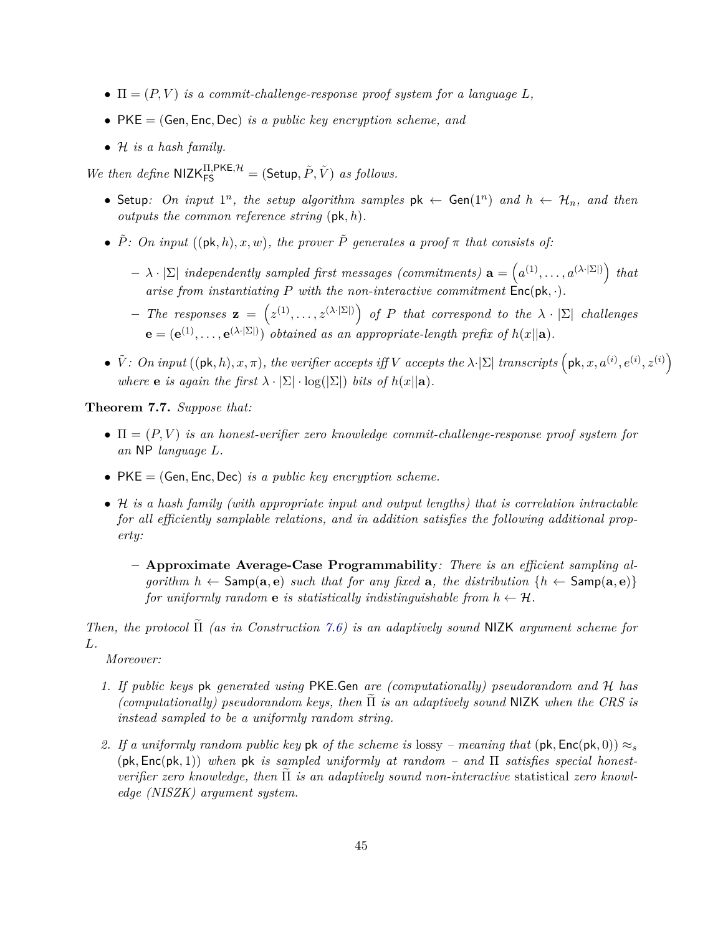- $\Pi = (P, V)$  *is a commit-challenge-response proof system for a language*  $L$ *,*
- PKE = (Gen*,* Enc*,* Dec) *is a public key encryption scheme, and*
- H *is a hash family.*

*We then define*  $NIZK_{FS}^{II, PKE, H} = (Setup, \tilde{P}, \tilde{V})$  *as follows.* 

- Setup: On input  $1^n$ , the setup algorithm samples  $pk \leftarrow Gen(1^n)$  and  $h \leftarrow H_n$ , and then *outputs the common reference string* (pk*, h*)*.*
- $\tilde{P}$ : On input  $((\mathsf{pk}, h), x, w)$ , the prover  $\tilde{P}$  generates a proof  $\pi$  that consists of:
	- $\left[ \lambda \cdot |\Sigma| \text{ independently sampled first messages (commiments) } \mathbf{a} = (a^{(1)}, \ldots, a^{(\lambda \cdot |\Sigma|)}) \text{ that } a^{(n)} \in \mathbb{R}$ *arise from instantiating*  $P$  *with the non-interactive commitment*  $\text{Enc}(\text{pk}, \cdot)$ *.*
	- $\mathbf{z} = \left( z^{(1)}, \ldots, z^{(\lambda \cdot |\Sigma|)} \right)$  of *P* that correspond to the  $\lambda \cdot |\Sigma|$  challenges  $\mathbf{e} = (\mathbf{e}^{(1)}, \dots, \mathbf{e}^{(\lambda \cdot |\Sigma|)})$  *obtained as an appropriate-length prefix of*  $h(x||\mathbf{a})$ .
- $\tilde{V}$ : On input  $((\mathsf{pk}, h), x, \pi)$ , the verifier accepts iff V accepts the  $\lambda \cdot |\Sigma|$  transcripts  $(\mathsf{pk}, x, a^{(i)}, e^{(i)}, z^{(i)})$ *where* **e** *is again the first*  $\lambda \cdot |\Sigma| \cdot \log(|\Sigma|)$  *bits of*  $h(x||a)$ *.*

<span id="page-46-0"></span>**Theorem 7.7.** *Suppose that:*

- $\bullet$   $\Pi = (P, V)$  *is an honest-verifier zero knowledge commit-challenge-response proof system for an* NP *language L.*
- PKE = (Gen*,* Enc*,* Dec) *is a public key encryption scheme.*
- H *is a hash family (with appropriate input and output lengths) that is correlation intractable for all efficiently samplable relations, and in addition satisfies the following additional property:*
	- **– Approximate Average-Case Programmability***: There is an efficient sampling algorithm*  $h \leftarrow$  Samp( $a, e$ ) *such that for any fixed*  $a$ *, the distribution*  $\{h \leftarrow$  Samp( $a, e$ )} *for uniformly random* **e** *is statistically indistinguishable from*  $h \leftarrow H$ .

*Then, the protocol*  $\tilde{\Pi}$  *(as in Construction [7.6\)](#page-45-3) is an adaptively sound* NIZK *argument scheme for L.*

*Moreover:*

- *1. If public keys* pk *generated using* PKE*.*Gen *are (computationally) pseudorandom and* H *has (computationally) pseudorandom keys, then*  $\Pi$  *is an adaptively sound* NIZK *when the CRS is instead sampled to be a uniformly random string.*
- 2. If a uniformly random public key pk of the scheme is lossy meaning that  $(\mathsf{pk}, \mathsf{Enc}(\mathsf{pk}, 0)) \approx_s$  $(\mathsf{pk}, \mathsf{Enc}(\mathsf{pk}, 1))$  when  $\mathsf{pk}$  *is sampled uniformly at random – and*  $\Pi$  *satisfies special honest-* $$ *edge (NISZK) argument system.*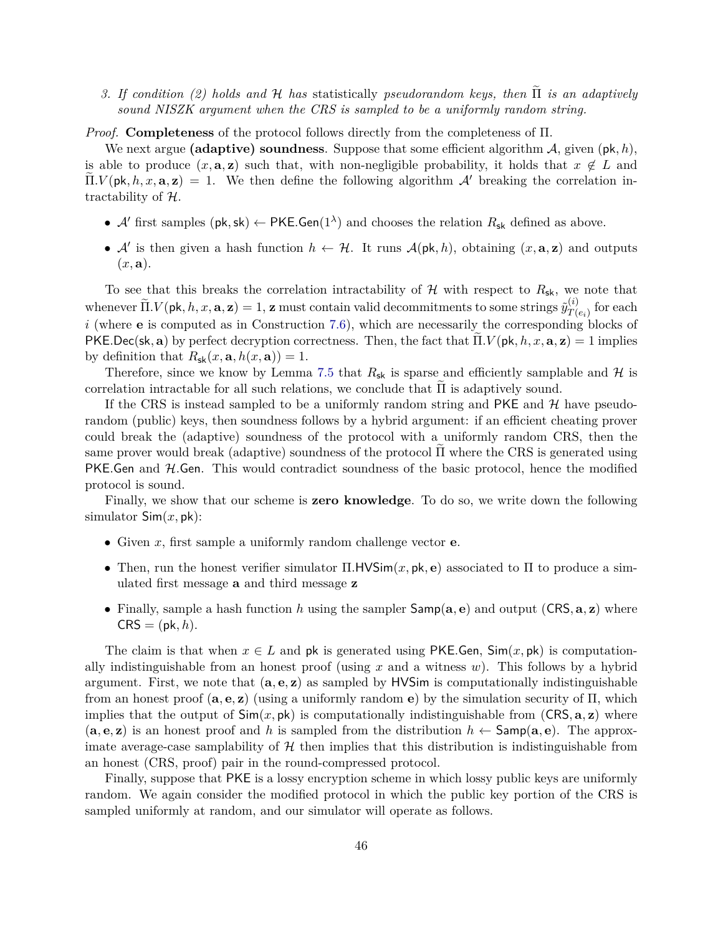*3. If condition (2) holds and H has* statistically *pseudorandom keys, then*  $\tilde{\Pi}$  *is an adaptively sound NISZK argument when the CRS is sampled to be a uniformly random string.*

*Proof.* **Completeness** of the protocol follows directly from the completeness of Π.

We next argue **(adaptive) soundness**. Suppose that some efficient algorithm A, given (pk*, h*), is able to produce  $(x, \mathbf{a}, \mathbf{z})$  such that, with non-negligible probability, it holds that  $x \notin L$  and  $\Pi.V(\mathsf{pk}, h, x, \mathbf{a}, \mathbf{z}) = 1$ . We then define the following algorithm A' breaking the correlation intractability of H.

- $\mathcal{A}'$  first samples (pk, sk)  $\leftarrow$  PKE. Gen(1<sup> $\lambda$ </sup>) and chooses the relation  $R_{\rm sk}$  defined as above.
- $\mathcal{A}'$  is then given a hash function  $h \leftarrow \mathcal{H}$ . It runs  $\mathcal{A}(\mathsf{pk}, h)$ , obtaining  $(x, \mathbf{a}, \mathbf{z})$  and outputs  $(x, \mathbf{a})$ .

To see that this breaks the correlation intractability of  $H$  with respect to  $R_{sk}$ , we note that whenever  $\widetilde{\Pi}.V(\mathsf{pk}, h, x, \mathbf{a}, \mathbf{z}) = 1$ ,  $\mathbf{z}$  must contain valid decommitments to some strings  $\widetilde{y}_{T(\cdot)}^{(i)}$  $T(e_i)$  for each *i* (where **e** is computed as in Construction [7.6\)](#page-45-3), which are necessarily the corresponding blocks of  $PKEDec(\mathsf{sk}, \mathbf{a})$  by perfect decryption correctness. Then, the fact that  $\Pi.V(\mathsf{pk}, h, x, \mathbf{a}, \mathbf{z}) = 1$  implies by definition that  $R_{\text{sk}}(x, \mathbf{a}, h(x, \mathbf{a})) = 1$ .

Therefore, since we know by Lemma [7.5](#page-45-4) that  $R_{sk}$  is sparse and efficiently samplable and  $H$  is correlation intractable for all such relations, we conclude that  $\Pi$  is adaptively sound.

If the CRS is instead sampled to be a uniformly random string and  $PKE$  and  $H$  have pseudorandom (public) keys, then soundness follows by a hybrid argument: if an efficient cheating prover could break the (adaptive) soundness of the protocol with a uniformly random CRS, then the same prover would break (adaptive) soundness of the protocol Π where the CRS is generated using PKE.Gen and H.Gen. This would contradict soundness of the basic protocol, hence the modified protocol is sound.

Finally, we show that our scheme is **zero knowledge**. To do so, we write down the following simulator Sim(*x,* pk):

- Given *x*, first sample a uniformly random challenge vector **e**.
- Then, run the honest verifier simulator Π*.*HVSim(*x,* pk*,* **e**) associated to Π to produce a simulated first message **a** and third message **z**
- Finally, sample a hash function h using the sampler  $\textsf{Samp}(a, e)$  and output  $(CRS, a, z)$  where  $CRS = (pk, h).$

The claim is that when  $x \in L$  and pk is generated using PKE.Gen,  $\text{Sim}(x, \text{pk})$  is computationally indistinguishable from an honest proof (using *x* and a witness *w*). This follows by a hybrid argument. First, we note that (**a***,* **e***,* **z**) as sampled by HVSim is computationally indistinguishable from an honest proof (**a***,* **e***,* **z**) (using a uniformly random **e**) by the simulation security of Π, which implies that the output of  $\text{Sim}(x, \text{pk})$  is computationally indistinguishable from  $(\text{CRS}, \textbf{a}, \textbf{z})$  where  $(a, e, z)$  is an honest proof and *h* is sampled from the distribution  $h \leftarrow$  Samp $(a, e)$ . The approximate average-case samplability of  $H$  then implies that this distribution is indistinguishable from an honest (CRS, proof) pair in the round-compressed protocol.

Finally, suppose that PKE is a lossy encryption scheme in which lossy public keys are uniformly random. We again consider the modified protocol in which the public key portion of the CRS is sampled uniformly at random, and our simulator will operate as follows.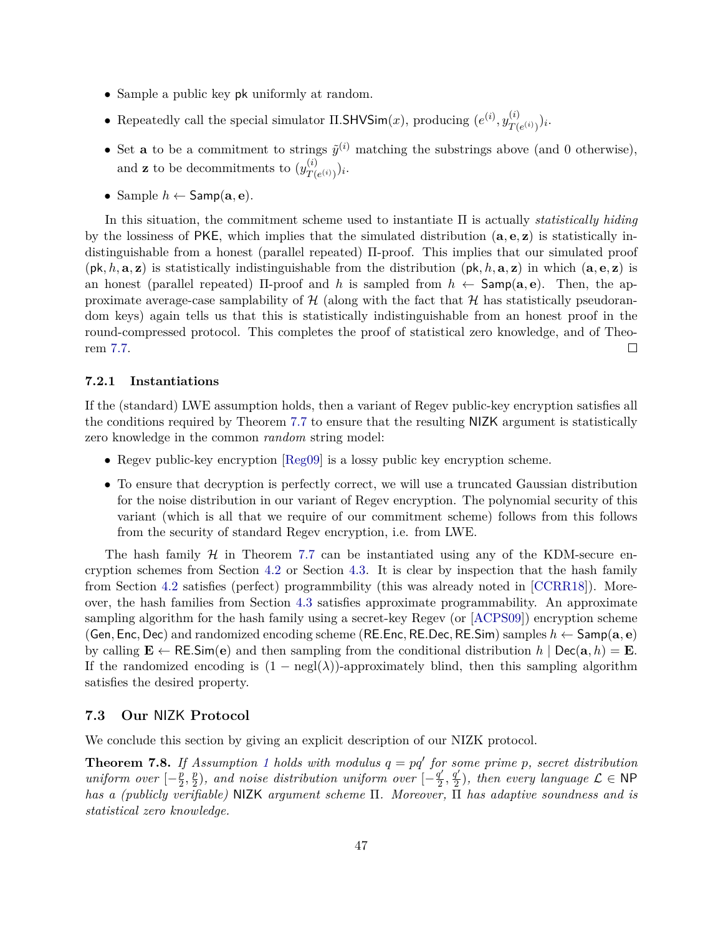- Sample a public key pk uniformly at random.
- Repeatedly call the special simulator  $\Pi$ . **SHVS**im $(x)$ , producing  $(e^{(i)}, y_{T}^{(i)})$  $\frac{(i)}{T(e^{(i)})}\big)$ i.
- Set **a** to be a commitment to strings  $\tilde{y}^{(i)}$  matching the substrings above (and 0 otherwise), and **z** to be decommitments to  $(y_{T}^{(i)})$  $\frac{(i)}{T(e^{(i)})}\big)$ i.
- Sample  $h \leftarrow$  Samp $(a, e)$ .

In this situation, the commitment scheme used to instantiate Π is actually *statistically hiding* by the lossiness of PKE, which implies that the simulated distribution (**a***,* **e***,* **z**) is statistically indistinguishable from a honest (parallel repeated) Π-proof. This implies that our simulated proof  $(\mathbf{p}, h, \mathbf{a}, \mathbf{z})$  is statistically indistinguishable from the distribution  $(\mathbf{p}, h, \mathbf{a}, \mathbf{z})$  in which  $(\mathbf{a}, \mathbf{e}, \mathbf{z})$  is an honest (parallel repeated) Π-proof and *h* is sampled from *h* ← Samp(**a***,* **e**). Then, the approximate average-case samplability of  $H$  (along with the fact that  $H$  has statistically pseudorandom keys) again tells us that this is statistically indistinguishable from an honest proof in the round-compressed protocol. This completes the proof of statistical zero knowledge, and of Theorem [7.7.](#page-46-0)  $\Box$ 

#### **7.2.1 Instantiations**

If the (standard) LWE assumption holds, then a variant of Regev public-key encryption satisfies all the conditions required by Theorem [7.7](#page-46-0) to ensure that the resulting NIZK argument is statistically zero knowledge in the common *random* string model:

- Regev public-key encryption [\[Reg09\]](#page-54-6) is a lossy public key encryption scheme.
- To ensure that decryption is perfectly correct, we will use a truncated Gaussian distribution for the noise distribution in our variant of Regev encryption. The polynomial security of this variant (which is all that we require of our commitment scheme) follows from this follows from the security of standard Regev encryption, i.e. from LWE.

The hash family  $H$  in Theorem [7.7](#page-46-0) can be instantiated using any of the KDM-secure encryption schemes from Section [4.2](#page-20-0) or Section [4.3.](#page-23-0) It is clear by inspection that the hash family from Section [4.2](#page-20-0) satisfies (perfect) programmbility (this was already noted in [\[CCRR18\]](#page-52-2)). Moreover, the hash families from Section [4.3](#page-23-0) satisfies approximate programmability. An approximate sampling algorithm for the hash family using a secret-key Regev (or [\[ACPS09\]](#page-50-7)) encryption scheme (Gen*,* Enc*,* Dec) and randomized encoding scheme (RE*.*Enc*,* RE*.*Dec*,* RE*.*Sim) samples *h* ← Samp(**a***,* **e**) by calling  $\mathbf{E} \leftarrow \mathsf{RE}.\mathsf{Sim}(e)$  and then sampling from the conditional distribution  $h \mid \mathsf{Dec}(\mathbf{a}, h) = \mathbf{E}$ . If the randomized encoding is  $(1 - \text{negl}(\lambda))$ -approximately blind, then this sampling algorithm satisfies the desired property.

#### <span id="page-48-0"></span>**7.3 Our** NIZK **Protocol**

We conclude this section by giving an explicit description of our NIZK protocol.

<span id="page-48-1"></span>**Theorem 7.8.** If Assumption [1](#page-19-3) holds with modulus  $q = pq'$  for some prime p, secret distribution *uniform over*  $\left[-\frac{p}{2}\right]$  $\frac{p}{2}, \frac{p}{2}$  $\frac{p}{2}$ ), and noise distribution uniform over  $\left[-\frac{q'}{2}\right]$  $\frac{q'}{2}, \frac{q'}{2}$  $\frac{q'}{2}$ ), then every language  $\mathcal{L} \in \mathsf{NP}$ *has a (publicly verifiable)* NIZK *argument scheme* Π*. Moreover,* Π *has adaptive soundness and is statistical zero knowledge.*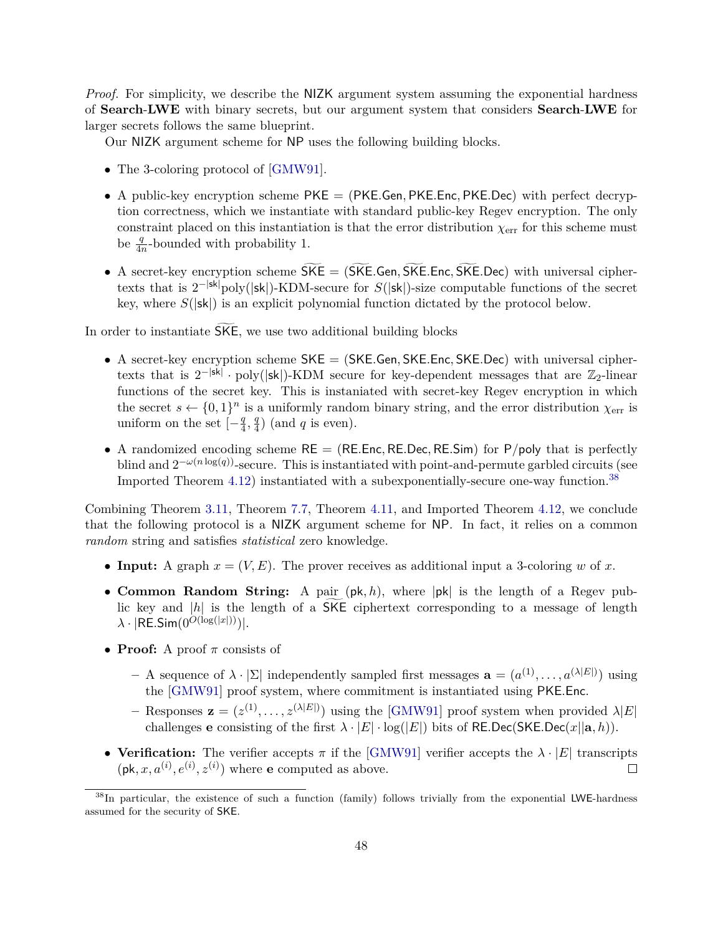*Proof.* For simplicity, we describe the NIZK argument system assuming the exponential hardness of **Search**-**LWE** with binary secrets, but our argument system that considers **Search**-**LWE** for larger secrets follows the same blueprint.

Our NIZK argument scheme for NP uses the following building blocks.

- The 3-coloring protocol of [\[GMW91\]](#page-52-6).
- A public-key encryption scheme PKE = (PKE*.*Gen*,* PKE*.*Enc*,* PKE*.*Dec) with perfect decryption correctness, which we instantiate with standard public-key Regev encryption. The only constraint placed on this instantiation is that the error distribution *χ*err for this scheme must be  $\frac{q}{4n}$ -bounded with probability 1.
- A secret-key encryption scheme  $\widetilde{SKE} = (\widetilde{SKE} \cdot \widetilde{Gen}, \widetilde{SKE} \cdot \widetilde{Enc}, \widetilde{SKE} \cdot \widetilde{Dec})$  with universal ciphertexts that is  $2^{-|sk|}$ poly(|sk|)-KDM-secure for  $S(|sk|)$ -size computable functions of the secret key, where *S*(|sk|) is an explicit polynomial function dictated by the protocol below.

In order to instantiate  $\overline{SKE}$ , we use two additional building blocks

- A secret-key encryption scheme SKE = (SKE*.*Gen*,* SKE*.*Enc*,* SKE*.*Dec) with universal ciphertexts that is  $2^{-|sk|} \cdot \text{poly}(|sk|)$ -KDM secure for key-dependent messages that are  $\mathbb{Z}_2$ -linear functions of the secret key. This is instaniated with secret-key Regev encryption in which the secret  $s \leftarrow \{0,1\}^n$  is a uniformly random binary string, and the error distribution  $\chi_{\text{err}}$  is uniform on the set  $\left[-\frac{q}{4}\right]$  $\frac{q}{4}$ ,  $\frac{q}{4}$  $\frac{q}{4}$ ) (and *q* is even).
- A randomized encoding scheme  $RE = (RE. Enc, RE. Dec, RE. Sim)$  for  $P/poly$  that is perfectly blind and  $2^{-\omega(n \log(q))}$ -secure. This is instantiated with point-and-permute garbled circuits (see Imported Theorem [4.12\)](#page-26-1) instantiated with a subexponentially-secure one-way function.<sup>[38](#page-49-0)</sup>

Combining Theorem [3.11,](#page-17-1) Theorem [7.7,](#page-46-0) Theorem [4.11,](#page-25-0) and Imported Theorem [4.12,](#page-26-1) we conclude that the following protocol is a NIZK argument scheme for NP. In fact, it relies on a common *random* string and satisfies *statistical* zero knowledge.

- **Input:** A graph  $x = (V, E)$ . The prover receives as additional input a 3-coloring *w* of *x*.
- **Common Random String:** A pair (pk*, h*), where |pk| is the length of a Regev public key and  $|h|$  is the length of a SKE ciphertext corresponding to a message of length  $\lambda \cdot |RE.Sim(0^{O(\log(|x|))})|$ .
- **Proof:** A proof *π* consists of
	- *–* A sequence of  $\lambda \cdot |\Sigma|$  independently sampled first messages  $\mathbf{a} = (a^{(1)}, \ldots, a^{(\lambda |E|)})$  using the [\[GMW91\]](#page-52-6) proof system, where commitment is instantiated using PKE*.*Enc.
	- $\mathbf{z} = (z^{(1)}, \ldots, z^{(\lambda | E|)})$  using the [\[GMW91\]](#page-52-6) proof system when provided  $\lambda |E|$ challenges **e** consisting of the first  $\lambda \cdot |E| \cdot \log(|E|)$  bits of RE.Dec(SKE.Dec(*x*||a, h)).
- **Verification:** The verifier accepts  $\pi$  if the [\[GMW91\]](#page-52-6) verifier accepts the  $\lambda \cdot |E|$  transcripts  $(\mathsf{pk}, x, a^{(i)}, e^{(i)}, z^{(i)})$  where **e** computed as above.  $\Box$

<span id="page-49-0"></span><sup>&</sup>lt;sup>38</sup>In particular, the existence of such a function (family) follows trivially from the exponential LWE-hardness assumed for the security of SKE.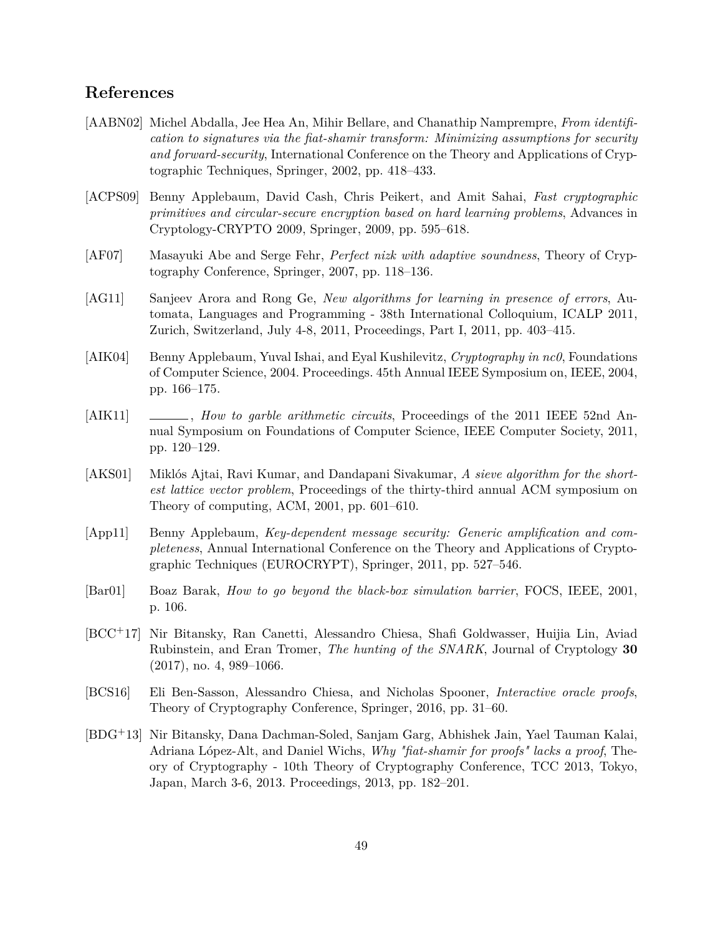# <span id="page-50-0"></span>**References**

- <span id="page-50-2"></span>[AABN02] Michel Abdalla, Jee Hea An, Mihir Bellare, and Chanathip Namprempre, *From identification to signatures via the fiat-shamir transform: Minimizing assumptions for security and forward-security*, International Conference on the Theory and Applications of Cryptographic Techniques, Springer, 2002, pp. 418–433.
- <span id="page-50-7"></span>[ACPS09] Benny Applebaum, David Cash, Chris Peikert, and Amit Sahai, *Fast cryptographic primitives and circular-secure encryption based on hard learning problems*, Advances in Cryptology-CRYPTO 2009, Springer, 2009, pp. 595–618.
- <span id="page-50-6"></span>[AF07] Masayuki Abe and Serge Fehr, *Perfect nizk with adaptive soundness*, Theory of Cryptography Conference, Springer, 2007, pp. 118–136.
- <span id="page-50-12"></span>[AG11] Sanjeev Arora and Rong Ge, *New algorithms for learning in presence of errors*, Automata, Languages and Programming - 38th International Colloquium, ICALP 2011, Zurich, Switzerland, July 4-8, 2011, Proceedings, Part I, 2011, pp. 403–415.
- <span id="page-50-9"></span>[AIK04] Benny Applebaum, Yuval Ishai, and Eyal Kushilevitz, *Cryptography in nc0*, Foundations of Computer Science, 2004. Proceedings. 45th Annual IEEE Symposium on, IEEE, 2004, pp. 166–175.
- <span id="page-50-10"></span>[AIK11] , *How to garble arithmetic circuits*, Proceedings of the 2011 IEEE 52nd Annual Symposium on Foundations of Computer Science, IEEE Computer Society, 2011, pp. 120–129.
- <span id="page-50-11"></span>[AKS01] Miklós Ajtai, Ravi Kumar, and Dandapani Sivakumar, *A sieve algorithm for the shortest lattice vector problem*, Proceedings of the thirty-third annual ACM symposium on Theory of computing, ACM, 2001, pp. 601–610.
- <span id="page-50-8"></span>[App11] Benny Applebaum, *Key-dependent message security: Generic amplification and completeness*, Annual International Conference on the Theory and Applications of Cryptographic Techniques (EUROCRYPT), Springer, 2011, pp. 527–546.
- <span id="page-50-3"></span>[Bar01] Boaz Barak, *How to go beyond the black-box simulation barrier*, FOCS, IEEE, 2001, p. 106.
- <span id="page-50-5"></span>[BCC+17] Nir Bitansky, Ran Canetti, Alessandro Chiesa, Shafi Goldwasser, Huijia Lin, Aviad Rubinstein, and Eran Tromer, *The hunting of the SNARK*, Journal of Cryptology **30** (2017), no. 4, 989–1066.
- <span id="page-50-1"></span>[BCS16] Eli Ben-Sasson, Alessandro Chiesa, and Nicholas Spooner, *Interactive oracle proofs*, Theory of Cryptography Conference, Springer, 2016, pp. 31–60.
- <span id="page-50-4"></span>[BDG+13] Nir Bitansky, Dana Dachman-Soled, Sanjam Garg, Abhishek Jain, Yael Tauman Kalai, Adriana López-Alt, and Daniel Wichs, *Why "fiat-shamir for proofs" lacks a proof*, Theory of Cryptography - 10th Theory of Cryptography Conference, TCC 2013, Tokyo, Japan, March 3-6, 2013. Proceedings, 2013, pp. 182–201.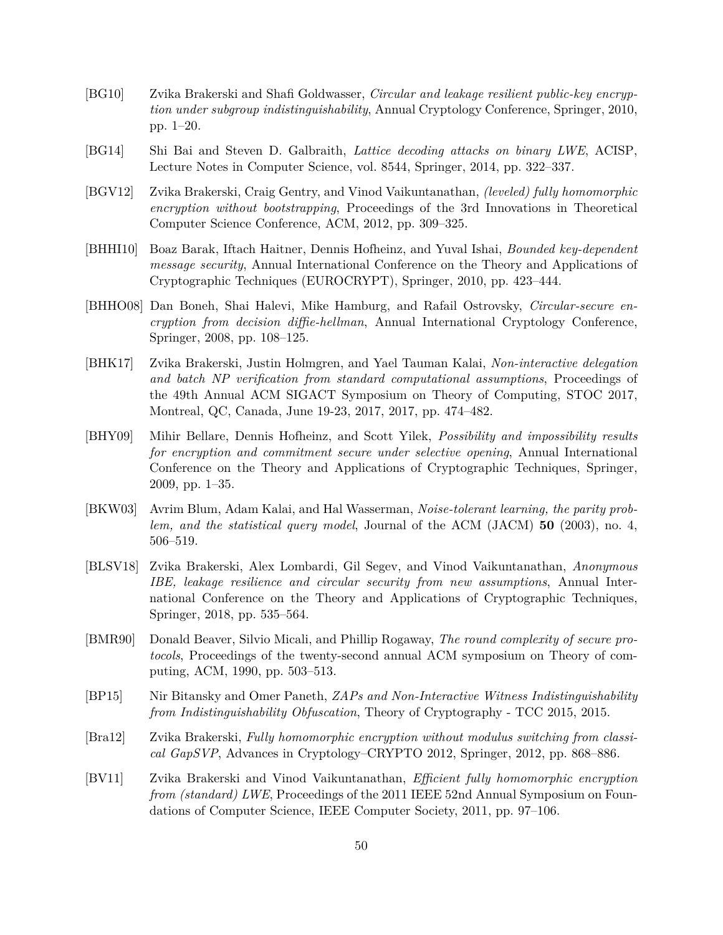- <span id="page-51-6"></span>[BG10] Zvika Brakerski and Shafi Goldwasser, *Circular and leakage resilient public-key encryption under subgroup indistinguishability*, Annual Cryptology Conference, Springer, 2010, pp. 1–20.
- <span id="page-51-10"></span>[BG14] Shi Bai and Steven D. Galbraith, *Lattice decoding attacks on binary LWE*, ACISP, Lecture Notes in Computer Science, vol. 8544, Springer, 2014, pp. 322–337.
- <span id="page-51-1"></span>[BGV12] Zvika Brakerski, Craig Gentry, and Vinod Vaikuntanathan, *(leveled) fully homomorphic encryption without bootstrapping*, Proceedings of the 3rd Innovations in Theoretical Computer Science Conference, ACM, 2012, pp. 309–325.
- <span id="page-51-7"></span>[BHHI10] Boaz Barak, Iftach Haitner, Dennis Hofheinz, and Yuval Ishai, *Bounded key-dependent message security*, Annual International Conference on the Theory and Applications of Cryptographic Techniques (EUROCRYPT), Springer, 2010, pp. 423–444.
- <span id="page-51-5"></span>[BHHO08] Dan Boneh, Shai Halevi, Mike Hamburg, and Rafail Ostrovsky, *Circular-secure encryption from decision diffie-hellman*, Annual International Cryptology Conference, Springer, 2008, pp. 108–125.
- <span id="page-51-3"></span>[BHK17] Zvika Brakerski, Justin Holmgren, and Yael Tauman Kalai, *Non-interactive delegation and batch NP verification from standard computational assumptions*, Proceedings of the 49th Annual ACM SIGACT Symposium on Theory of Computing, STOC 2017, Montreal, QC, Canada, June 19-23, 2017, 2017, pp. 474–482.
- <span id="page-51-11"></span>[BHY09] Mihir Bellare, Dennis Hofheinz, and Scott Yilek, *Possibility and impossibility results for encryption and commitment secure under selective opening*, Annual International Conference on the Theory and Applications of Cryptographic Techniques, Springer, 2009, pp. 1–35.
- <span id="page-51-12"></span>[BKW03] Avrim Blum, Adam Kalai, and Hal Wasserman, *Noise-tolerant learning, the parity problem, and the statistical query model*, Journal of the ACM (JACM) **50** (2003), no. 4, 506–519.
- <span id="page-51-8"></span>[BLSV18] Zvika Brakerski, Alex Lombardi, Gil Segev, and Vinod Vaikuntanathan, *Anonymous IBE, leakage resilience and circular security from new assumptions*, Annual International Conference on the Theory and Applications of Cryptographic Techniques, Springer, 2018, pp. 535–564.
- <span id="page-51-9"></span>[BMR90] Donald Beaver, Silvio Micali, and Phillip Rogaway, *The round complexity of secure protocols*, Proceedings of the twenty-second annual ACM symposium on Theory of computing, ACM, 1990, pp. 503–513.
- <span id="page-51-4"></span>[BP15] Nir Bitansky and Omer Paneth, *ZAPs and Non-Interactive Witness Indistinguishability from Indistinguishability Obfuscation*, Theory of Cryptography - TCC 2015, 2015.
- <span id="page-51-2"></span>[Bra12] Zvika Brakerski, *Fully homomorphic encryption without modulus switching from classical GapSVP*, Advances in Cryptology–CRYPTO 2012, Springer, 2012, pp. 868–886.
- <span id="page-51-0"></span>[BV11] Zvika Brakerski and Vinod Vaikuntanathan, *Efficient fully homomorphic encryption from (standard) LWE*, Proceedings of the 2011 IEEE 52nd Annual Symposium on Foundations of Computer Science, IEEE Computer Society, 2011, pp. 97–106.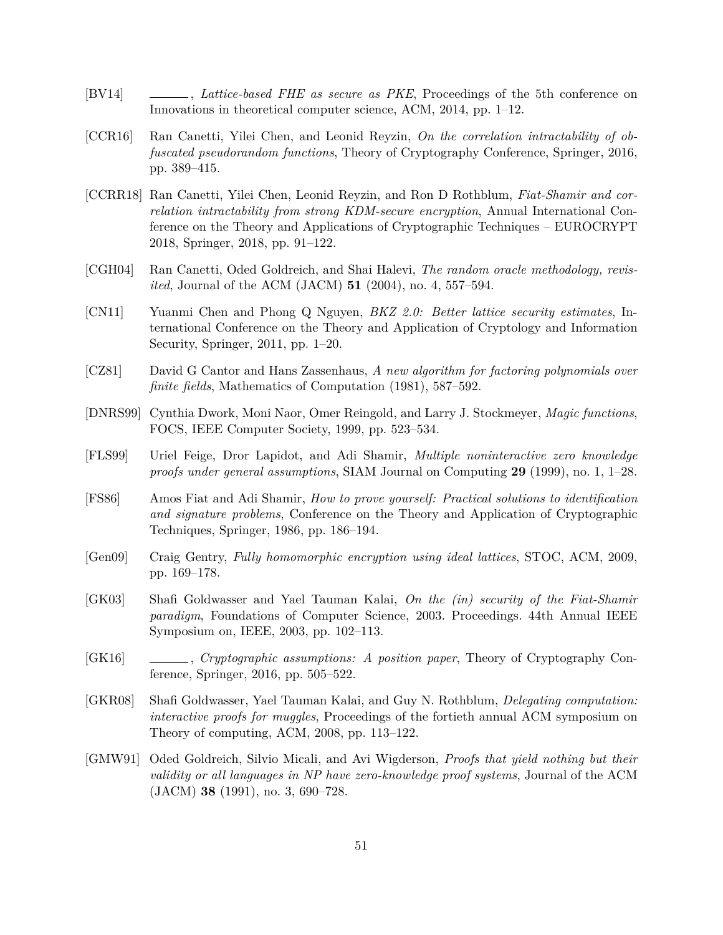- <span id="page-52-5"></span>[BV14] , *Lattice-based FHE as secure as PKE*, Proceedings of the 5th conference on Innovations in theoretical computer science, ACM, 2014, pp. 1–12.
- <span id="page-52-10"></span>[CCR16] Ran Canetti, Yilei Chen, and Leonid Reyzin, *On the correlation intractability of obfuscated pseudorandom functions*, Theory of Cryptography Conference, Springer, 2016, pp. 389–415.
- <span id="page-52-2"></span>[CCRR18] Ran Canetti, Yilei Chen, Leonid Reyzin, and Ron D Rothblum, *Fiat-Shamir and correlation intractability from strong KDM-secure encryption*, Annual International Conference on the Theory and Applications of Cryptographic Techniques – EUROCRYPT 2018, Springer, 2018, pp. 91–122.
- <span id="page-52-7"></span>[CGH04] Ran Canetti, Oded Goldreich, and Shai Halevi, *The random oracle methodology, revisited*, Journal of the ACM (JACM) **51** (2004), no. 4, 557–594.
- <span id="page-52-13"></span>[CN11] Yuanmi Chen and Phong Q Nguyen, *BKZ 2.0: Better lattice security estimates*, International Conference on the Theory and Application of Cryptology and Information Security, Springer, 2011, pp. 1–20.
- <span id="page-52-12"></span>[CZ81] David G Cantor and Hans Zassenhaus, *A new algorithm for factoring polynomials over finite fields*, Mathematics of Computation (1981), 587–592.
- <span id="page-52-8"></span>[DNRS99] Cynthia Dwork, Moni Naor, Omer Reingold, and Larry J. Stockmeyer, *Magic functions*, FOCS, IEEE Computer Society, 1999, pp. 523–534.
- <span id="page-52-11"></span>[FLS99] Uriel Feige, Dror Lapidot, and Adi Shamir, *Multiple noninteractive zero knowledge proofs under general assumptions*, SIAM Journal on Computing **29** (1999), no. 1, 1–28.
- <span id="page-52-0"></span>[FS86] Amos Fiat and Adi Shamir, *How to prove yourself: Practical solutions to identification and signature problems*, Conference on the Theory and Application of Cryptographic Techniques, Springer, 1986, pp. 186–194.
- <span id="page-52-9"></span>[Gen09] Craig Gentry, *Fully homomorphic encryption using ideal lattices*, STOC, ACM, 2009, pp. 169–178.
- <span id="page-52-1"></span>[GK03] Shafi Goldwasser and Yael Tauman Kalai, *On the (in) security of the Fiat-Shamir paradigm*, Foundations of Computer Science, 2003. Proceedings. 44th Annual IEEE Symposium on, IEEE, 2003, pp. 102–113.
- <span id="page-52-3"></span>[GK16] , *Cryptographic assumptions: A position paper*, Theory of Cryptography Conference, Springer, 2016, pp. 505–522.
- <span id="page-52-4"></span>[GKR08] Shafi Goldwasser, Yael Tauman Kalai, and Guy N. Rothblum, *Delegating computation: interactive proofs for muggles*, Proceedings of the fortieth annual ACM symposium on Theory of computing, ACM, 2008, pp. 113–122.
- <span id="page-52-6"></span>[GMW91] Oded Goldreich, Silvio Micali, and Avi Wigderson, *Proofs that yield nothing but their validity or all languages in NP have zero-knowledge proof systems*, Journal of the ACM (JACM) **38** (1991), no. 3, 690–728.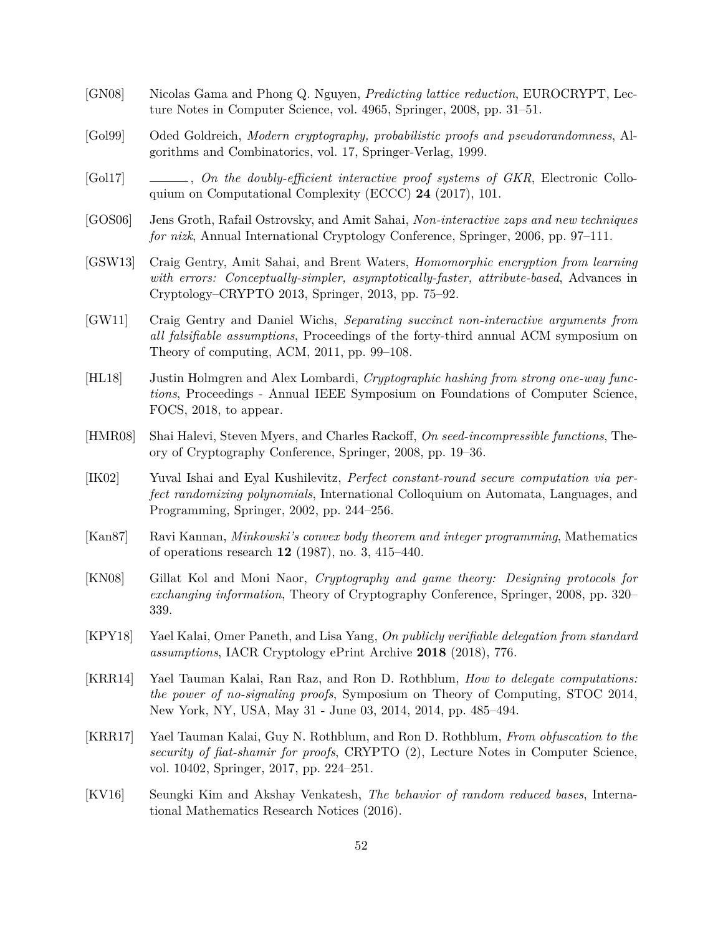- <span id="page-53-14"></span>[GN08] Nicolas Gama and Phong Q. Nguyen, *Predicting lattice reduction*, EUROCRYPT, Lecture Notes in Computer Science, vol. 4965, Springer, 2008, pp. 31–51.
- <span id="page-53-9"></span>[Gol99] Oded Goldreich, *Modern cryptography, probabilistic proofs and pseudorandomness*, Algorithms and Combinatorics, vol. 17, Springer-Verlag, 1999.
- <span id="page-53-10"></span>[Gol17] , *On the doubly-efficient interactive proof systems of GKR*, Electronic Colloquium on Computational Complexity (ECCC) **24** (2017), 101.
- <span id="page-53-7"></span>[GOS06] Jens Groth, Rafail Ostrovsky, and Amit Sahai, *Non-interactive zaps and new techniques for nizk*, Annual International Cryptology Conference, Springer, 2006, pp. 97–111.
- <span id="page-53-3"></span>[GSW13] Craig Gentry, Amit Sahai, and Brent Waters, *Homomorphic encryption from learning with errors: Conceptually-simpler, asymptotically-faster, attribute-based*, Advances in Cryptology–CRYPTO 2013, Springer, 2013, pp. 75–92.
- <span id="page-53-2"></span>[GW11] Craig Gentry and Daniel Wichs, *Separating succinct non-interactive arguments from all falsifiable assumptions*, Proceedings of the forty-third annual ACM symposium on Theory of computing, ACM, 2011, pp. 99–108.
- <span id="page-53-1"></span>[HL18] Justin Holmgren and Alex Lombardi, *Cryptographic hashing from strong one-way functions*, Proceedings - Annual IEEE Symposium on Foundations of Computer Science, FOCS, 2018, to appear.
- <span id="page-53-4"></span>[HMR08] Shai Halevi, Steven Myers, and Charles Rackoff, *On seed-incompressible functions*, Theory of Cryptography Conference, Springer, 2008, pp. 19–36.
- <span id="page-53-8"></span>[IK02] Yuval Ishai and Eyal Kushilevitz, *Perfect constant-round secure computation via perfect randomizing polynomials*, International Colloquium on Automata, Languages, and Programming, Springer, 2002, pp. 244–256.
- <span id="page-53-12"></span>[Kan87] Ravi Kannan, *Minkowski's convex body theorem and integer programming*, Mathematics of operations research **12** (1987), no. 3, 415–440.
- <span id="page-53-11"></span>[KN08] Gillat Kol and Moni Naor, *Cryptography and game theory: Designing protocols for exchanging information*, Theory of Cryptography Conference, Springer, 2008, pp. 320– 339.
- <span id="page-53-5"></span>[KPY18] Yael Kalai, Omer Paneth, and Lisa Yang, *On publicly verifiable delegation from standard assumptions*, IACR Cryptology ePrint Archive **2018** (2018), 776.
- <span id="page-53-6"></span>[KRR14] Yael Tauman Kalai, Ran Raz, and Ron D. Rothblum, *How to delegate computations: the power of no-signaling proofs*, Symposium on Theory of Computing, STOC 2014, New York, NY, USA, May 31 - June 03, 2014, 2014, pp. 485–494.
- <span id="page-53-0"></span>[KRR17] Yael Tauman Kalai, Guy N. Rothblum, and Ron D. Rothblum, *From obfuscation to the security of fiat-shamir for proofs*, CRYPTO (2), Lecture Notes in Computer Science, vol. 10402, Springer, 2017, pp. 224–251.
- <span id="page-53-13"></span>[KV16] Seungki Kim and Akshay Venkatesh, *The behavior of random reduced bases*, International Mathematics Research Notices (2016).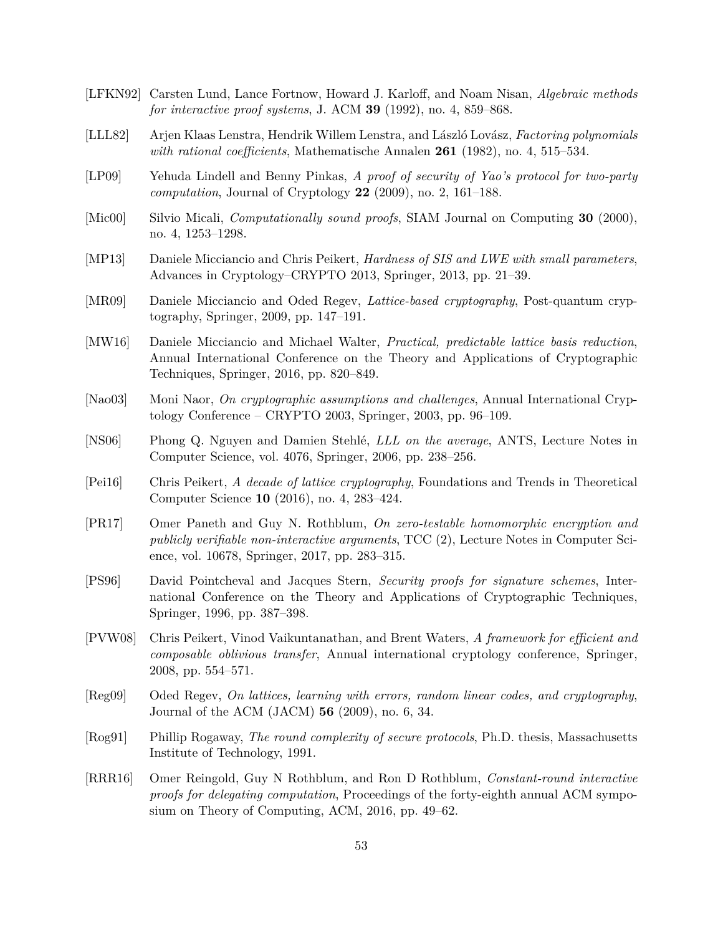- <span id="page-54-5"></span>[LFKN92] Carsten Lund, Lance Fortnow, Howard J. Karloff, and Noam Nisan, *Algebraic methods for interactive proof systems*, J. ACM **39** (1992), no. 4, 859–868.
- <span id="page-54-11"></span>[LLL82] Arjen Klaas Lenstra, Hendrik Willem Lenstra, and László Lovász, *Factoring polynomials with rational coefficients*, Mathematische Annalen **261** (1982), no. 4, 515–534.
- <span id="page-54-8"></span>[LP09] Yehuda Lindell and Benny Pinkas, *A proof of security of Yao's protocol for two-party computation*, Journal of Cryptology **22** (2009), no. 2, 161–188.
- <span id="page-54-1"></span>[Mic00] Silvio Micali, *Computationally sound proofs*, SIAM Journal on Computing **30** (2000), no. 4, 1253–1298.
- <span id="page-54-12"></span>[MP13] Daniele Micciancio and Chris Peikert, *Hardness of SIS and LWE with small parameters*, Advances in Cryptology–CRYPTO 2013, Springer, 2013, pp. 21–39.
- <span id="page-54-14"></span>[MR09] Daniele Micciancio and Oded Regev, *Lattice-based cryptography*, Post-quantum cryptography, Springer, 2009, pp. 147–191.
- <span id="page-54-15"></span>[MW16] Daniele Micciancio and Michael Walter, *Practical, predictable lattice basis reduction*, Annual International Conference on the Theory and Applications of Cryptographic Techniques, Springer, 2016, pp. 820–849.
- <span id="page-54-2"></span>[Nao03] Moni Naor, *On cryptographic assumptions and challenges*, Annual International Cryptology Conference – CRYPTO 2003, Springer, 2003, pp. 96–109.
- <span id="page-54-13"></span>[NS06] Phong Q. Nguyen and Damien Stehlé, *LLL on the average*, ANTS, Lecture Notes in Computer Science, vol. 4076, Springer, 2006, pp. 238–256.
- <span id="page-54-7"></span>[Pei16] Chris Peikert, *A decade of lattice cryptography*, Foundations and Trends in Theoretical Computer Science **10** (2016), no. 4, 283–424.
- <span id="page-54-3"></span>[PR17] Omer Paneth and Guy N. Rothblum, *On zero-testable homomorphic encryption and publicly verifiable non-interactive arguments*, TCC (2), Lecture Notes in Computer Science, vol. 10678, Springer, 2017, pp. 283–315.
- <span id="page-54-0"></span>[PS96] David Pointcheval and Jacques Stern, *Security proofs for signature schemes*, International Conference on the Theory and Applications of Cryptographic Techniques, Springer, 1996, pp. 387–398.
- <span id="page-54-10"></span>[PVW08] Chris Peikert, Vinod Vaikuntanathan, and Brent Waters, *A framework for efficient and composable oblivious transfer*, Annual international cryptology conference, Springer, 2008, pp. 554–571.
- <span id="page-54-6"></span>[Reg09] Oded Regev, *On lattices, learning with errors, random linear codes, and cryptography*, Journal of the ACM (JACM) **56** (2009), no. 6, 34.
- <span id="page-54-9"></span>[Rog91] Phillip Rogaway, *The round complexity of secure protocols*, Ph.D. thesis, Massachusetts Institute of Technology, 1991.
- <span id="page-54-4"></span>[RRR16] Omer Reingold, Guy N Rothblum, and Ron D Rothblum, *Constant-round interactive proofs for delegating computation*, Proceedings of the forty-eighth annual ACM symposium on Theory of Computing, ACM, 2016, pp. 49–62.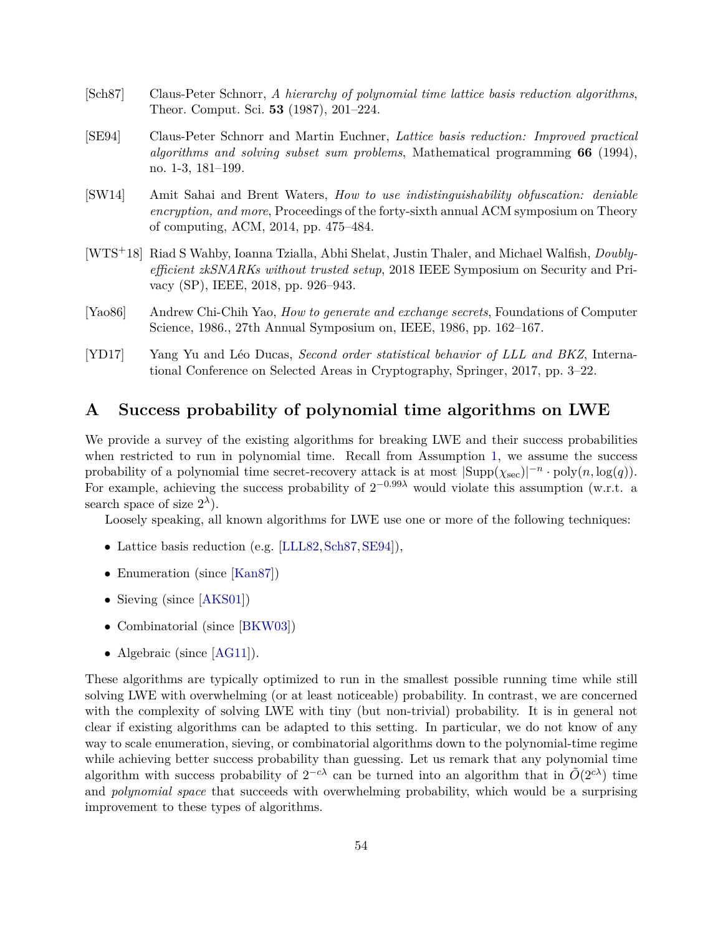- <span id="page-55-4"></span>[Sch87] Claus-Peter Schnorr, *A hierarchy of polynomial time lattice basis reduction algorithms*, Theor. Comput. Sci. **53** (1987), 201–224.
- <span id="page-55-5"></span>[SE94] Claus-Peter Schnorr and Martin Euchner, *Lattice basis reduction: Improved practical algorithms and solving subset sum problems*, Mathematical programming **66** (1994), no. 1-3, 181–199.
- <span id="page-55-2"></span>[SW14] Amit Sahai and Brent Waters, *How to use indistinguishability obfuscation: deniable encryption, and more*, Proceedings of the forty-sixth annual ACM symposium on Theory of computing, ACM, 2014, pp. 475–484.
- <span id="page-55-1"></span>[WTS+18] Riad S Wahby, Ioanna Tzialla, Abhi Shelat, Justin Thaler, and Michael Walfish, *Doublyefficient zkSNARKs without trusted setup*, 2018 IEEE Symposium on Security and Privacy (SP), IEEE, 2018, pp. 926–943.
- <span id="page-55-3"></span>[Yao86] Andrew Chi-Chih Yao, *How to generate and exchange secrets*, Foundations of Computer Science, 1986., 27th Annual Symposium on, IEEE, 1986, pp. 162–167.
- <span id="page-55-6"></span>[YD17] Yang Yu and Léo Ducas, *Second order statistical behavior of LLL and BKZ*, International Conference on Selected Areas in Cryptography, Springer, 2017, pp. 3–22.

# <span id="page-55-0"></span>**A Success probability of polynomial time algorithms on LWE**

We provide a survey of the existing algorithms for breaking LWE and their success probabilities when restricted to run in polynomial time. Recall from Assumption [1,](#page-19-3) we assume the success probability of a polynomial time secret-recovery attack is at most  $|\text{Supp}(\chi_{\text{sec}})|^{-n} \cdot \text{poly}(n, \log(q)).$ For example, achieving the success probability of  $2^{-0.99\lambda}$  would violate this assumption (w.r.t. a search space of size  $2^{\lambda}$ ).

Loosely speaking, all known algorithms for LWE use one or more of the following techniques:

- Lattice basis reduction (e.g. [\[LLL82,](#page-54-11)[Sch87,](#page-55-4)[SE94\]](#page-55-5)),
- Enumeration (since [\[Kan87\]](#page-53-12))
- Sieving (since [\[AKS01\]](#page-50-11))
- Combinatorial (since [\[BKW03\]](#page-51-12))
- Algebraic (since [\[AG11\]](#page-50-12)).

These algorithms are typically optimized to run in the smallest possible running time while still solving LWE with overwhelming (or at least noticeable) probability. In contrast, we are concerned with the complexity of solving LWE with tiny (but non-trivial) probability. It is in general not clear if existing algorithms can be adapted to this setting. In particular, we do not know of any way to scale enumeration, sieving, or combinatorial algorithms down to the polynomial-time regime while achieving better success probability than guessing. Let us remark that any polynomial time algorithm with success probability of  $2^{-c\lambda}$  can be turned into an algorithm that in  $\tilde{O}(2^{c\lambda})$  time and *polynomial space* that succeeds with overwhelming probability, which would be a surprising improvement to these types of algorithms.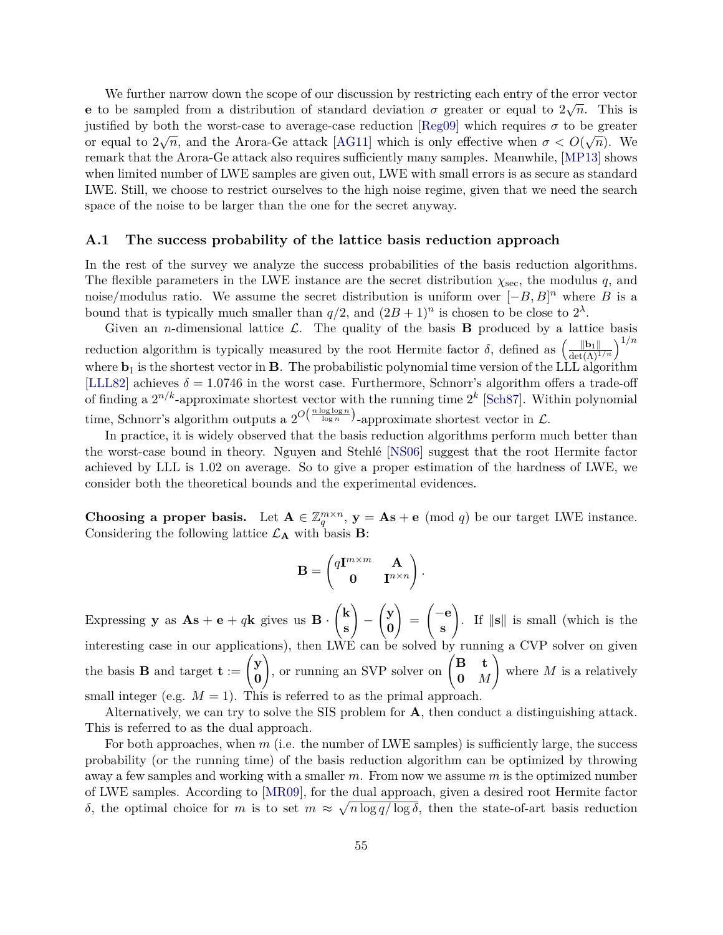We further narrow down the scope of our discussion by restricting each entry of the error vector **e** to be sampled from a distribution of standard deviation  $\sigma$  greater or equal to  $2\sqrt{n}$ . This is justified by both the worst-case to average-case reduction [\[Reg09\]](#page-54-6) which requires  $\sigma$  to be greater or equal to  $2\sqrt{n}$ , and the Arora-Ge attack [\[AG11\]](#page-50-12) which is only effective when  $\sigma < O(\sqrt{n})$ . We remark that the Arora-Ge attack also requires sufficiently many samples. Meanwhile, [\[MP13\]](#page-54-12) shows when limited number of LWE samples are given out, LWE with small errors is as secure as standard LWE. Still, we choose to restrict ourselves to the high noise regime, given that we need the search space of the noise to be larger than the one for the secret anyway.

#### <span id="page-56-0"></span>**A.1 The success probability of the lattice basis reduction approach**

In the rest of the survey we analyze the success probabilities of the basis reduction algorithms. The flexible parameters in the LWE instance are the secret distribution *χ*sec, the modulus *q*, and noise/modulus ratio. We assume the secret distribution is uniform over  $[-B, B]^n$  where *B* is a bound that is typically much smaller than  $q/2$ , and  $(2B+1)^n$  is chosen to be close to  $2^{\lambda}$ .

Given an *n*-dimensional lattice  $\mathcal{L}$ . The quality of the basis **B** produced by a lattice basis reduction algorithm is typically measured by the root Hermite factor  $\delta$ , defined as  $\left(\frac{\|\mathbf{b}_1\|}{\det(\Lambda)^{1/n}}\right)^{1/n}$ where  $\mathbf{b}_1$  is the shortest vector in **B**. The probabilistic polynomial time version of the LLL algorithm [\[LLL82\]](#page-54-11) achieves  $\delta = 1.0746$  in the worst case. Furthermore, Schnorr's algorithm offers a trade-off of finding a  $2^{n/k}$ -approximate shortest vector with the running time  $2^k$  [\[Sch87\]](#page-55-4). Within polynomial time, Schnorr's algorithm outputs a  $2^{O(\frac{n \log \log n}{\log n})}$ -approximate shortest vector in  $\mathcal{L}$ .

In practice, it is widely observed that the basis reduction algorithms perform much better than the worst-case bound in theory. Nguyen and Stehlé [\[NS06\]](#page-54-13) suggest that the root Hermite factor achieved by LLL is 1*.*02 on average. So to give a proper estimation of the hardness of LWE, we consider both the theoretical bounds and the experimental evidences.

**Choosing a proper basis.** Let  $A \in \mathbb{Z}_q^{m \times n}$ ,  $y = As + e \pmod{q}$  be our target LWE instance. Considering the following lattice  $\mathcal{L}_{\mathbf{A}}$  with basis **B**:

$$
\mathbf{B} = \begin{pmatrix} q\mathbf{I}^{m \times m} & \mathbf{A} \\ \mathbf{0} & \mathbf{I}^{n \times n} \end{pmatrix}.
$$

Expressing **y** as  $\mathbf{As} + \mathbf{e} + q\mathbf{k}$  gives us  $\mathbf{B} \cdot$  $\sqrt{k}$ **s**  $\setminus$ −  $\sqrt{y}$ **0**  $\setminus$ = −**e s**  $\setminus$ . If  $\|\mathbf{s}\|$  is small (which is the interesting case in our applications), then LWE can be solved by running a CVP solver on given the basis **B** and target **t** :=  $\begin{pmatrix} y \\ z \end{pmatrix}$ **0** , or running an SVP solver on  $\begin{pmatrix} \mathbf{B} & \mathbf{t} \\ \mathbf{0} & \mathbf{0} \end{pmatrix}$ **0** *M*  $\setminus$ where *M* is a relatively small integer (e.g.  $M = 1$ ). This is referred to as the primal approach.

Alternatively, we can try to solve the SIS problem for **A**, then conduct a distinguishing attack. This is referred to as the dual approach.

For both approaches, when *m* (i.e. the number of LWE samples) is sufficiently large, the success probability (or the running time) of the basis reduction algorithm can be optimized by throwing away a few samples and working with a smaller *m*. From now we assume *m* is the optimized number of LWE samples. According to [\[MR09\]](#page-54-14), for the dual approach, given a desired root Hermite factor *δ*, the optimal choice for *m* is to set  $m \approx \sqrt{n \log q / \log \delta}$ , then the state-of-art basis reduction